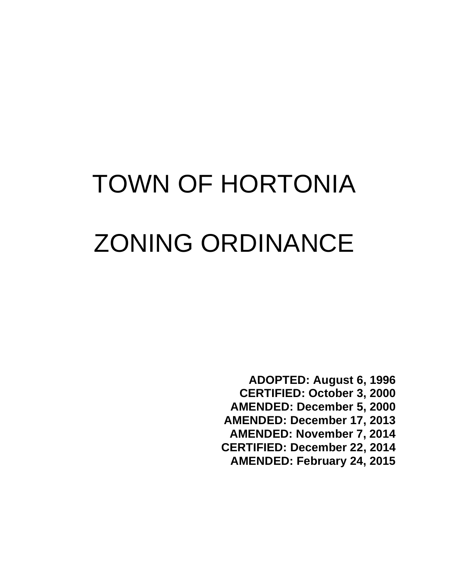# TOWN OF HORTONIA ZONING ORDINANCE

**ADOPTED: August 6, 1996**

- **CERTIFIED: October 3, 2000**
- **AMENDED: December 5, 2000**
- **AMENDED: December 17, 2013**
- **AMENDED: November 7, 2014**
- **CERTIFIED: December 22, 2014**
	- **AMENDED: February 24, 2015**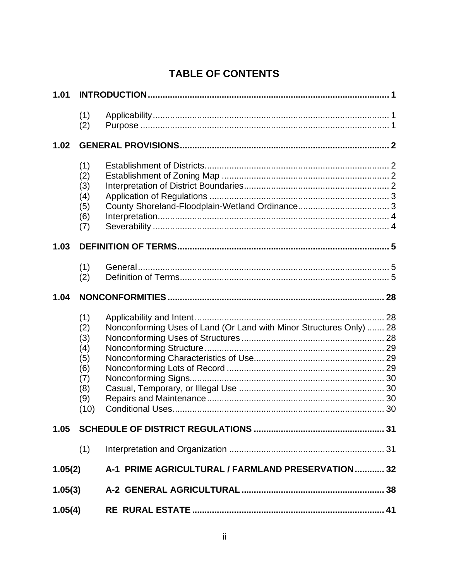# **TABLE OF CONTENTS**

| 1.01    |                                                                     |                                                                     |  |
|---------|---------------------------------------------------------------------|---------------------------------------------------------------------|--|
|         | (1)<br>(2)                                                          |                                                                     |  |
| 1.02    |                                                                     |                                                                     |  |
|         | (1)<br>(2)<br>(3)<br>(4)<br>(5)<br>(6)<br>(7)                       |                                                                     |  |
| 1.03    |                                                                     |                                                                     |  |
|         | (1)<br>(2)                                                          |                                                                     |  |
| 1.04    |                                                                     |                                                                     |  |
|         | (1)<br>(2)<br>(3)<br>(4)<br>(5)<br>(6)<br>(7)<br>(8)<br>(9)<br>(10) | Nonconforming Uses of Land (Or Land with Minor Structures Only)  28 |  |
| 1.05    |                                                                     |                                                                     |  |
|         | (1)                                                                 |                                                                     |  |
| 1.05(2) |                                                                     | A-1 PRIME AGRICULTURAL / FARMLAND PRESERVATION 32                   |  |
| 1.05(3) |                                                                     |                                                                     |  |
| 1.05(4) |                                                                     |                                                                     |  |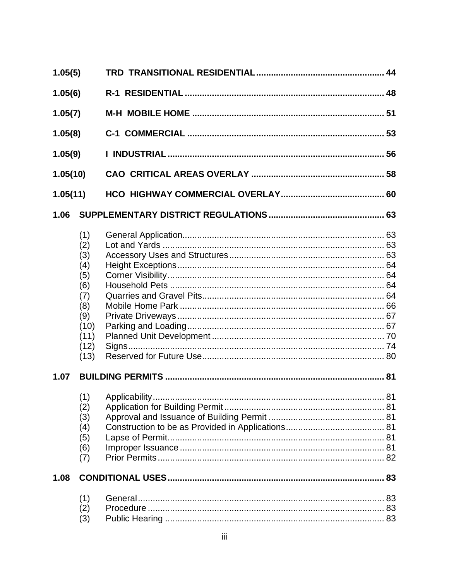| 1.05(5)                                   |                                                                                             |  |  |
|-------------------------------------------|---------------------------------------------------------------------------------------------|--|--|
| 1.05(6)                                   |                                                                                             |  |  |
| 1.05(7)<br>1.05(8)<br>1.05(9)<br>1.05(10) |                                                                                             |  |  |
|                                           |                                                                                             |  |  |
|                                           |                                                                                             |  |  |
|                                           |                                                                                             |  |  |
| 1.05(11)                                  |                                                                                             |  |  |
| 1.06                                      |                                                                                             |  |  |
|                                           | (1)<br>(2)<br>(3)<br>(4)<br>(5)<br>(6)<br>(7)<br>(8)<br>(9)<br>(10)<br>(11)<br>(12)<br>(13) |  |  |
| 1.07                                      |                                                                                             |  |  |
|                                           | (2)<br>(3)<br>(4)<br>(5)<br>(6)<br>(7)                                                      |  |  |
| 1.08                                      |                                                                                             |  |  |
|                                           | (1)<br>(2)<br>(3)                                                                           |  |  |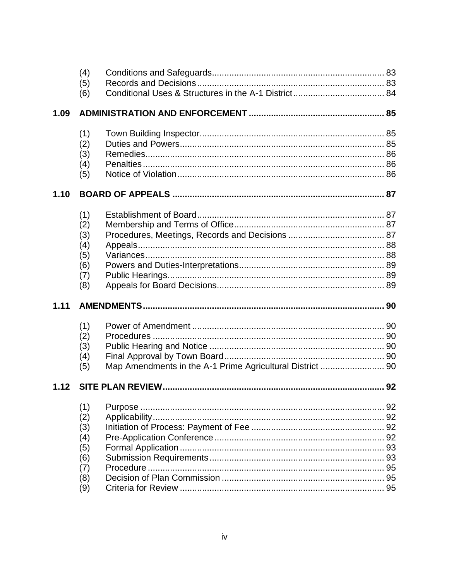|      | (4)        |                                                           |  |
|------|------------|-----------------------------------------------------------|--|
|      | (5)        |                                                           |  |
|      | (6)        |                                                           |  |
| 1.09 |            |                                                           |  |
|      | (1)        |                                                           |  |
|      | (2)        |                                                           |  |
|      | (3)        |                                                           |  |
|      | (4)        |                                                           |  |
|      | (5)        |                                                           |  |
| 1.10 |            |                                                           |  |
|      | (1)        |                                                           |  |
|      | (2)        |                                                           |  |
|      | (3)        |                                                           |  |
|      | (4)        |                                                           |  |
|      | (5)        |                                                           |  |
|      | (6)        |                                                           |  |
|      | (7)        |                                                           |  |
|      |            |                                                           |  |
|      | (8)        |                                                           |  |
| 1.11 |            |                                                           |  |
|      | (1)        |                                                           |  |
|      | (2)        |                                                           |  |
|      | (3)        |                                                           |  |
|      | (4)        |                                                           |  |
|      | (5)        | Map Amendments in the A-1 Prime Agricultural District  90 |  |
| 1.12 |            |                                                           |  |
|      | (1)        |                                                           |  |
|      |            |                                                           |  |
|      | (2)<br>(3) |                                                           |  |
|      | (4)        |                                                           |  |
|      | (5)        |                                                           |  |
|      | (6)        |                                                           |  |
|      | (7)        |                                                           |  |
|      | (8)<br>(9) |                                                           |  |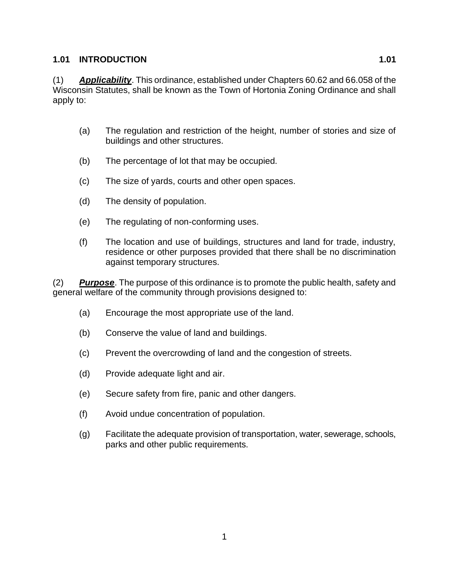### **1.01 INTRODUCTION 1.01**

(1) *Applicability*. This ordinance, established under Chapters 60.62 and 66.058 of the Wisconsin Statutes, shall be known as the Town of Hortonia Zoning Ordinance and shall apply to:

- (a) The regulation and restriction of the height, number of stories and size of buildings and other structures.
- (b) The percentage of lot that may be occupied.
- (c) The size of yards, courts and other open spaces.
- (d) The density of population.
- (e) The regulating of non-conforming uses.
- (f) The location and use of buildings, structures and land for trade, industry, residence or other purposes provided that there shall be no discrimination against temporary structures.

(2) *Purpose*. The purpose of this ordinance is to promote the public health, safety and general welfare of the community through provisions designed to:

- (a) Encourage the most appropriate use of the land.
- (b) Conserve the value of land and buildings.
- (c) Prevent the overcrowding of land and the congestion of streets.
- (d) Provide adequate light and air.
- (e) Secure safety from fire, panic and other dangers.
- (f) Avoid undue concentration of population.
- (g) Facilitate the adequate provision of transportation, water, sewerage, schools, parks and other public requirements.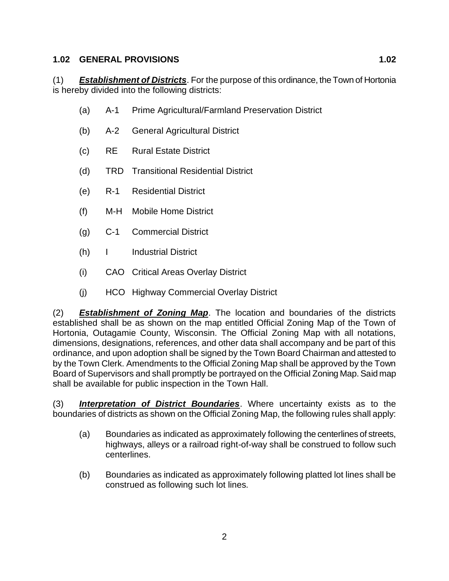# **1.02 GENERAL PROVISIONS 1.02**

(1) *Establishment of Districts*. For the purpose of this ordinance, the Town of Hortonia is hereby divided into the following districts:

- (a) A-1 Prime Agricultural/Farmland Preservation District
- (b) A-2 General Agricultural District
- (c) RE Rural Estate District
- (d) TRD Transitional Residential District
- (e) R-1 Residential District
- (f) M-H Mobile Home District
- (g) C-1 Commercial District
- (h) I Industrial District
- (i) CAO Critical Areas Overlay District
- (j) HCO Highway Commercial Overlay District

(2) *Establishment of Zoning Map*. The location and boundaries of the districts established shall be as shown on the map entitled Official Zoning Map of the Town of Hortonia, Outagamie County, Wisconsin. The Official Zoning Map with all notations, dimensions, designations, references, and other data shall accompany and be part of this ordinance, and upon adoption shall be signed by the Town Board Chairman and attested to by the Town Clerk. Amendments to the Official Zoning Map shall be approved by the Town Board of Supervisors and shall promptly be portrayed on the Official Zoning Map. Said map shall be available for public inspection in the Town Hall.

(3) *Interpretation of District Boundaries*. Where uncertainty exists as to the boundaries of districts as shown on the Official Zoning Map, the following rules shall apply:

- (a) Boundaries as indicated as approximately following the centerlines of streets, highways, alleys or a railroad right-of-way shall be construed to follow such centerlines.
- (b) Boundaries as indicated as approximately following platted lot lines shall be construed as following such lot lines.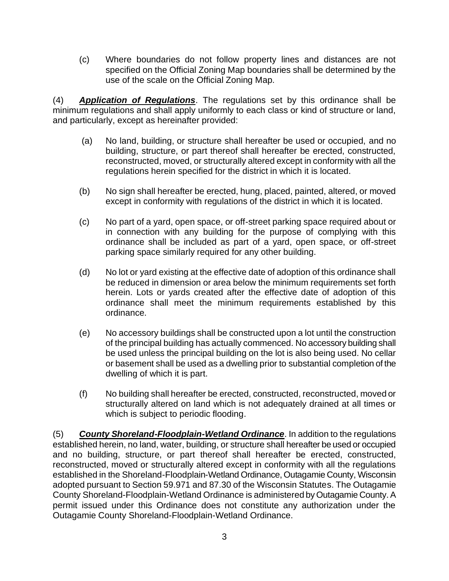(c) Where boundaries do not follow property lines and distances are not specified on the Official Zoning Map boundaries shall be determined by the use of the scale on the Official Zoning Map.

(4) *Application of Regulations*. The regulations set by this ordinance shall be minimum regulations and shall apply uniformly to each class or kind of structure or land, and particularly, except as hereinafter provided:

- (a) No land, building, or structure shall hereafter be used or occupied, and no building, structure, or part thereof shall hereafter be erected, constructed, reconstructed, moved, or structurally altered except in conformity with all the regulations herein specified for the district in which it is located.
- (b) No sign shall hereafter be erected, hung, placed, painted, altered, or moved except in conformity with regulations of the district in which it is located.
- (c) No part of a yard, open space, or off-street parking space required about or in connection with any building for the purpose of complying with this ordinance shall be included as part of a yard, open space, or off-street parking space similarly required for any other building.
- (d) No lot or yard existing at the effective date of adoption of this ordinance shall be reduced in dimension or area below the minimum requirements set forth herein. Lots or yards created after the effective date of adoption of this ordinance shall meet the minimum requirements established by this ordinance.
- (e) No accessory buildings shall be constructed upon a lot until the construction of the principal building has actually commenced. No accessory building shall be used unless the principal building on the lot is also being used. No cellar or basement shall be used as a dwelling prior to substantial completion of the dwelling of which it is part.
- (f) No building shall hereafter be erected, constructed, reconstructed, moved or structurally altered on land which is not adequately drained at all times or which is subject to periodic flooding.

(5) *County Shoreland-Floodplain-Wetland Ordinance*. In addition to the regulations established herein, no land, water, building, or structure shall hereafter be used or occupied and no building, structure, or part thereof shall hereafter be erected, constructed, reconstructed, moved or structurally altered except in conformity with all the regulations established in the Shoreland-Floodplain-Wetland Ordinance, Outagamie County, Wisconsin adopted pursuant to Section 59.971 and 87.30 of the Wisconsin Statutes. The Outagamie County Shoreland-Floodplain-Wetland Ordinance is administered by Outagamie County. A permit issued under this Ordinance does not constitute any authorization under the Outagamie County Shoreland-Floodplain-Wetland Ordinance.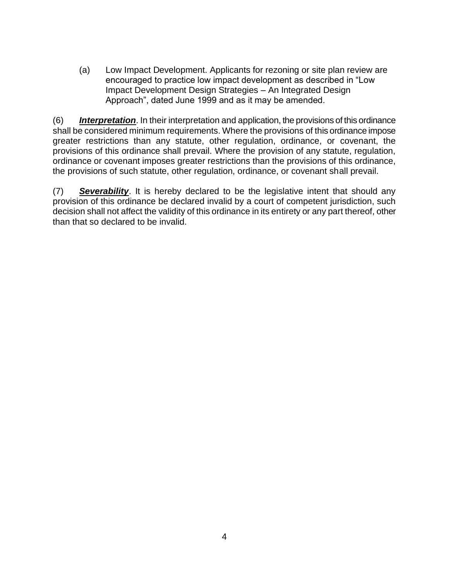(a) Low Impact Development. Applicants for rezoning or site plan review are encouraged to practice low impact development as described in "Low Impact Development Design Strategies – An Integrated Design Approach", dated June 1999 and as it may be amended.

(6) *Interpretation*. In their interpretation and application, the provisions of this ordinance shall be considered minimum requirements. Where the provisions of this ordinance impose greater restrictions than any statute, other regulation, ordinance, or covenant, the provisions of this ordinance shall prevail. Where the provision of any statute, regulation, ordinance or covenant imposes greater restrictions than the provisions of this ordinance, the provisions of such statute, other regulation, ordinance, or covenant shall prevail.

(7) *Severability*. It is hereby declared to be the legislative intent that should any provision of this ordinance be declared invalid by a court of competent jurisdiction, such decision shall not affect the validity of this ordinance in its entirety or any part thereof, other than that so declared to be invalid.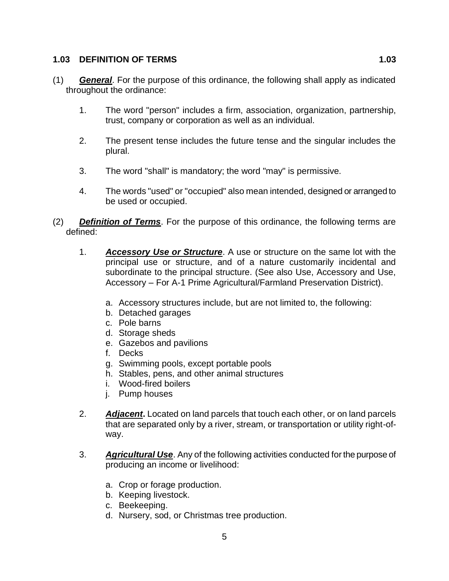#### **1.03 DEFINITION OF TERMS 1.03**

- (1) *General*. For the purpose of this ordinance, the following shall apply as indicated throughout the ordinance:
	- 1. The word "person" includes a firm, association, organization, partnership, trust, company or corporation as well as an individual.
	- 2. The present tense includes the future tense and the singular includes the plural.
	- 3. The word "shall" is mandatory; the word "may" is permissive.
	- 4. The words "used" or "occupied" also mean intended, designed or arranged to be used or occupied.
- (2) *Definition of Terms*. For the purpose of this ordinance, the following terms are defined:
	- 1. *Accessory Use or Structure*. A use or structure on the same lot with the principal use or structure, and of a nature customarily incidental and subordinate to the principal structure. (See also Use, Accessory and Use, Accessory – For A-1 Prime Agricultural/Farmland Preservation District).
		- a. Accessory structures include, but are not limited to, the following:
		- b. Detached garages
		- c. Pole barns
		- d. Storage sheds
		- e. Gazebos and pavilions
		- f. Decks
		- g. Swimming pools, except portable pools
		- h. Stables, pens, and other animal structures
		- i. Wood-fired boilers
		- j. Pump houses
	- 2. *Adjacent***.** Located on land parcels that touch each other, or on land parcels that are separated only by a river, stream, or transportation or utility right-ofway.
	- 3. *Agricultural Use*. Any of the following activities conducted for the purpose of producing an income or livelihood:
		- a. Crop or forage production.
		- b. Keeping livestock.
		- c. Beekeeping.
		- d. Nursery, sod, or Christmas tree production.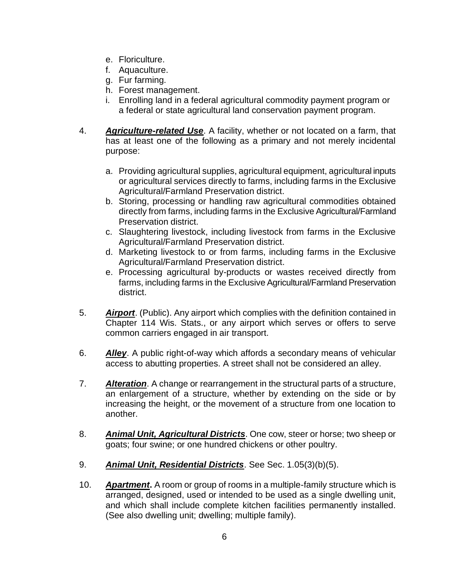- e. Floriculture.
- f. Aquaculture.
- g. Fur farming.
- h. Forest management.
- i. Enrolling land in a federal agricultural commodity payment program or a federal or state agricultural land conservation payment program.
- 4. *Agriculture-related Use*. A facility, whether or not located on a farm, that has at least one of the following as a primary and not merely incidental purpose:
	- a. Providing agricultural supplies, agricultural equipment, agricultural inputs or agricultural services directly to farms, including farms in the Exclusive Agricultural/Farmland Preservation district.
	- b. Storing, processing or handling raw agricultural commodities obtained directly from farms, including farms in the Exclusive Agricultural/Farmland Preservation district.
	- c. Slaughtering livestock, including livestock from farms in the Exclusive Agricultural/Farmland Preservation district.
	- d. Marketing livestock to or from farms, including farms in the Exclusive Agricultural/Farmland Preservation district.
	- e. Processing agricultural by-products or wastes received directly from farms, including farms in the Exclusive Agricultural/Farmland Preservation district.
- 5. *Airport*. (Public). Any airport which complies with the definition contained in Chapter 114 Wis. Stats., or any airport which serves or offers to serve common carriers engaged in air transport.
- 6. *Alley*. A public right-of-way which affords a secondary means of vehicular access to abutting properties. A street shall not be considered an alley.
- 7. *Alteration*. A change or rearrangement in the structural parts of a structure, an enlargement of a structure, whether by extending on the side or by increasing the height, or the movement of a structure from one location to another.
- 8. *Animal Unit, Agricultural Districts*. One cow, steer or horse; two sheep or goats; four swine; or one hundred chickens or other poultry.
- 9. *Animal Unit, Residential Districts*. See Sec. 1.05(3)(b)(5).
- 10. *Apartment***.** A room or group of rooms in a multiple-family structure which is arranged, designed, used or intended to be used as a single dwelling unit, and which shall include complete kitchen facilities permanently installed. (See also dwelling unit; dwelling; multiple family).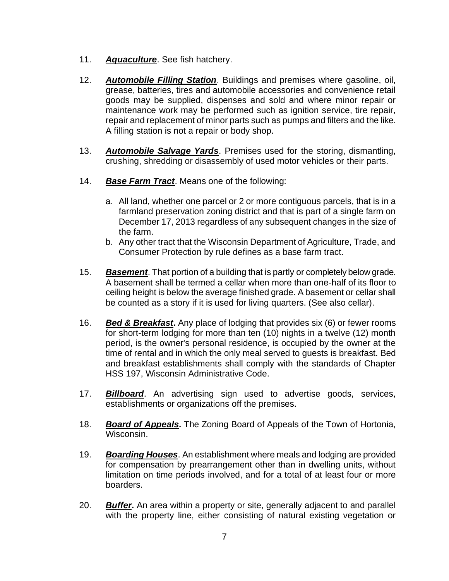- 11. *Aquaculture*. See fish hatchery.
- 12. *Automobile Filling Station*. Buildings and premises where gasoline, oil, grease, batteries, tires and automobile accessories and convenience retail goods may be supplied, dispenses and sold and where minor repair or maintenance work may be performed such as ignition service, tire repair, repair and replacement of minor parts such as pumps and filters and the like. A filling station is not a repair or body shop.
- 13. *Automobile Salvage Yards*. Premises used for the storing, dismantling, crushing, shredding or disassembly of used motor vehicles or their parts.
- 14. *Base Farm Tract*. Means one of the following:
	- a. All land, whether one parcel or 2 or more contiguous parcels, that is in a farmland preservation zoning district and that is part of a single farm on December 17, 2013 regardless of any subsequent changes in the size of the farm.
	- b. Any other tract that the Wisconsin Department of Agriculture, Trade, and Consumer Protection by rule defines as a base farm tract.
- 15. *Basement*. That portion of a building that is partly or completely below grade. A basement shall be termed a cellar when more than one-half of its floor to ceiling height is below the average finished grade. A basement or cellar shall be counted as a story if it is used for living quarters. (See also cellar).
- 16. *Bed & Breakfast***.** Any place of lodging that provides six (6) or fewer rooms for short-term lodging for more than ten (10) nights in a twelve (12) month period, is the owner's personal residence, is occupied by the owner at the time of rental and in which the only meal served to guests is breakfast. Bed and breakfast establishments shall comply with the standards of Chapter HSS 197, Wisconsin Administrative Code.
- 17. *Billboard*. An advertising sign used to advertise goods, services, establishments or organizations off the premises.
- 18. *Board of Appeals***.** The Zoning Board of Appeals of the Town of Hortonia, Wisconsin.
- 19. *Boarding Houses*. An establishment where meals and lodging are provided for compensation by prearrangement other than in dwelling units, without limitation on time periods involved, and for a total of at least four or more boarders.
- 20. *Buffer***.** An area within a property or site, generally adjacent to and parallel with the property line, either consisting of natural existing vegetation or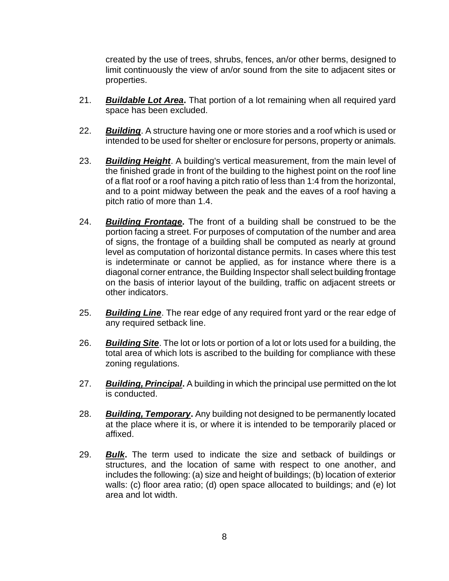created by the use of trees, shrubs, fences, an/or other berms, designed to limit continuously the view of an/or sound from the site to adjacent sites or properties.

- 21. *Buildable Lot Area***.** That portion of a lot remaining when all required yard space has been excluded.
- 22. *Building*. A structure having one or more stories and a roof which is used or intended to be used for shelter or enclosure for persons, property or animals.
- 23. *Building Height*. A building's vertical measurement, from the main level of the finished grade in front of the building to the highest point on the roof line of a flat roof or a roof having a pitch ratio of less than 1:4 from the horizontal, and to a point midway between the peak and the eaves of a roof having a pitch ratio of more than 1.4.
- 24. *Building Frontage***.** The front of a building shall be construed to be the portion facing a street. For purposes of computation of the number and area of signs, the frontage of a building shall be computed as nearly at ground level as computation of horizontal distance permits. In cases where this test is indeterminate or cannot be applied, as for instance where there is a diagonal corner entrance, the Building Inspector shall select building frontage on the basis of interior layout of the building, traffic on adjacent streets or other indicators.
- 25. *Building Line*. The rear edge of any required front yard or the rear edge of any required setback line.
- 26. *Building Site*. The lot or lots or portion of a lot or lots used for a building, the total area of which lots is ascribed to the building for compliance with these zoning regulations.
- 27. *Building, Principal***.** A building in which the principal use permitted on the lot is conducted.
- 28. *Building, Temporary***.** Any building not designed to be permanently located at the place where it is, or where it is intended to be temporarily placed or affixed.
- 29. *Bulk***.** The term used to indicate the size and setback of buildings or structures, and the location of same with respect to one another, and includes the following: (a) size and height of buildings; (b) location of exterior walls: (c) floor area ratio; (d) open space allocated to buildings; and (e) lot area and lot width.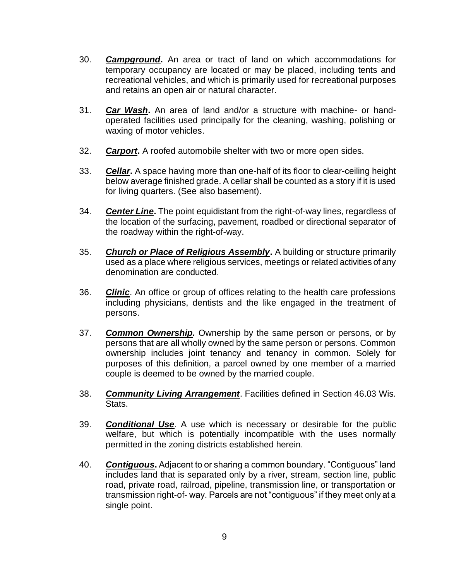- 30. *Campground***.** An area or tract of land on which accommodations for temporary occupancy are located or may be placed, including tents and recreational vehicles, and which is primarily used for recreational purposes and retains an open air or natural character.
- 31. *Car Wash***.** An area of land and/or a structure with machine- or handoperated facilities used principally for the cleaning, washing, polishing or waxing of motor vehicles.
- 32. *Carport***.** A roofed automobile shelter with two or more open sides.
- 33. *Cellar***.** A space having more than one-half of its floor to clear-ceiling height below average finished grade. A cellar shall be counted as a story if it is used for living quarters. (See also basement).
- 34. *Center Line***.** The point equidistant from the right-of-way lines, regardless of the location of the surfacing, pavement, roadbed or directional separator of the roadway within the right-of-way.
- 35. *Church or Place of Religious Assembly***.** A building or structure primarily used as a place where religious services, meetings or related activities of any denomination are conducted.
- 36. *Clinic*. An office or group of offices relating to the health care professions including physicians, dentists and the like engaged in the treatment of persons.
- 37. *Common Ownership.* Ownership by the same person or persons, or by persons that are all wholly owned by the same person or persons. Common ownership includes joint tenancy and tenancy in common. Solely for purposes of this definition, a parcel owned by one member of a married couple is deemed to be owned by the married couple.
- 38. *Community Living Arrangement*. Facilities defined in Section 46.03 Wis. Stats.
- 39. *Conditional Use*. A use which is necessary or desirable for the public welfare, but which is potentially incompatible with the uses normally permitted in the zoning districts established herein.
- 40. *Contiguous***.** Adjacent to or sharing a common boundary. "Contiguous" land includes land that is separated only by a river, stream, section line, public road, private road, railroad, pipeline, transmission line, or transportation or transmission right-of- way. Parcels are not "contiguous" if they meet only at a single point.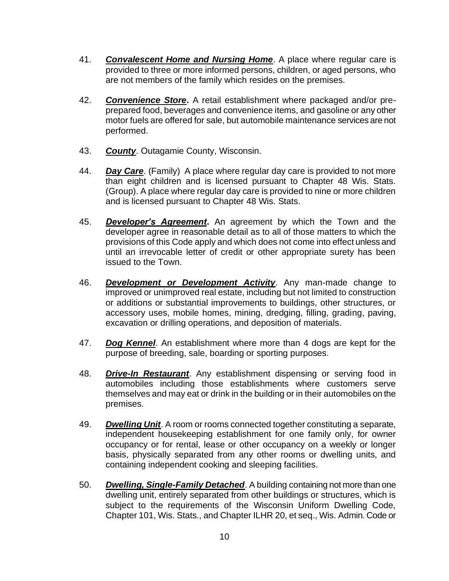- 41. *Convalescent Home and Nursing Home*. A place where regular care is provided to three or more informed persons, children, or aged persons, who are not members of the family which resides on the premises.
- 42. *Convenience Store***.** A retail establishment where packaged and/or preprepared food, beverages and convenience items, and gasoline or any other motor fuels are offered for sale, but automobile maintenance services are not performed.
- 43. *County*. Outagamie County, Wisconsin.
- 44. *Day Care*. (Family) A place where regular day care is provided to not more than eight children and is licensed pursuant to Chapter 48 Wis. Stats. (Group). A place where regular day care is provided to nine or more children and is licensed pursuant to Chapter 48 Wis. Stats.
- 45. *Developer's Agreement***.** An agreement by which the Town and the developer agree in reasonable detail as to all of those matters to which the provisions of this Code apply and which does not come into effect unless and until an irrevocable letter of credit or other appropriate surety has been issued to the Town.
- 46. *Development or Development Activity*. Any man-made change to improved or unimproved real estate, including but not limited to construction or additions or substantial improvements to buildings, other structures, or accessory uses, mobile homes, mining, dredging, filling, grading, paving, excavation or drilling operations, and deposition of materials.
- 47. *Dog Kennel*. An establishment where more than 4 dogs are kept for the purpose of breeding, sale, boarding or sporting purposes.
- 48. *Drive-In Restaurant*. Any establishment dispensing or serving food in automobiles including those establishments where customers serve themselves and may eat or drink in the building or in their automobiles on the premises.
- 49. *Dwelling Unit*. A room or rooms connected together constituting a separate, independent housekeeping establishment for one family only, for owner occupancy or for rental, lease or other occupancy on a weekly or longer basis, physically separated from any other rooms or dwelling units, and containing independent cooking and sleeping facilities.
- 50. *Dwelling, Single-Family Detached*. A building containing not more than one dwelling unit, entirely separated from other buildings or structures, which is subject to the requirements of the Wisconsin Uniform Dwelling Code, Chapter 101, Wis. Stats., and Chapter ILHR 20, et seq., Wis. Admin. Code or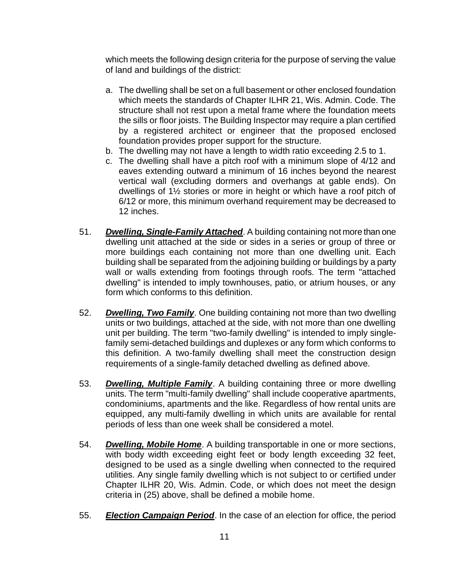which meets the following design criteria for the purpose of serving the value of land and buildings of the district:

- a. The dwelling shall be set on a full basement or other enclosed foundation which meets the standards of Chapter ILHR 21, Wis. Admin. Code. The structure shall not rest upon a metal frame where the foundation meets the sills or floor joists. The Building Inspector may require a plan certified by a registered architect or engineer that the proposed enclosed foundation provides proper support for the structure.
- b. The dwelling may not have a length to width ratio exceeding 2.5 to 1.
- c. The dwelling shall have a pitch roof with a minimum slope of 4/12 and eaves extending outward a minimum of 16 inches beyond the nearest vertical wall (excluding dormers and overhangs at gable ends). On dwellings of 1½ stories or more in height or which have a roof pitch of 6/12 or more, this minimum overhand requirement may be decreased to 12 inches.
- 51. *Dwelling, Single-Family Attached*. A building containing not more than one dwelling unit attached at the side or sides in a series or group of three or more buildings each containing not more than one dwelling unit. Each building shall be separated from the adjoining building or buildings by a party wall or walls extending from footings through roofs. The term "attached dwelling" is intended to imply townhouses, patio, or atrium houses, or any form which conforms to this definition.
- 52. *Dwelling, Two Family*. One building containing not more than two dwelling units or two buildings, attached at the side, with not more than one dwelling unit per building. The term "two-family dwelling" is intended to imply singlefamily semi-detached buildings and duplexes or any form which conforms to this definition. A two-family dwelling shall meet the construction design requirements of a single-family detached dwelling as defined above.
- 53. *Dwelling, Multiple Family*. A building containing three or more dwelling units. The term "multi-family dwelling" shall include cooperative apartments, condominiums, apartments and the like. Regardless of how rental units are equipped, any multi-family dwelling in which units are available for rental periods of less than one week shall be considered a motel.
- 54. *Dwelling, Mobile Home*. A building transportable in one or more sections, with body width exceeding eight feet or body length exceeding 32 feet, designed to be used as a single dwelling when connected to the required utilities. Any single family dwelling which is not subject to or certified under Chapter ILHR 20, Wis. Admin. Code, or which does not meet the design criteria in (25) above, shall be defined a mobile home.
- 55. *Election Campaign Period*. In the case of an election for office, the period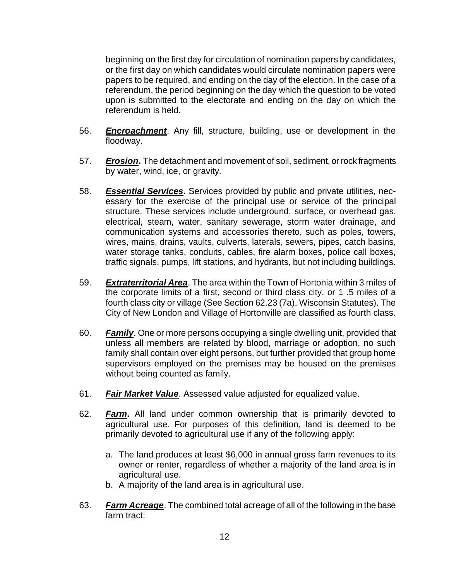beginning on the first day for circulation of nomination papers by candidates, or the first day on which candidates would circulate nomination papers were papers to be required, and ending on the day of the election. In the case of a referendum, the period beginning on the day which the question to be voted upon is submitted to the electorate and ending on the day on which the referendum is held.

- 56. *Encroachment*. Any fill, structure, building, use or development in the floodway.
- 57. *Erosion***.** The detachment and movement of soil, sediment, or rock fragments by water, wind, ice, or gravity.
- 58. *Essential Services***.** Services provided by public and private utilities, necessary for the exercise of the principal use or service of the principal structure. These services include underground, surface, or overhead gas, electrical, steam, water, sanitary sewerage, storm water drainage, and communication systems and accessories thereto, such as poles, towers, wires, mains, drains, vaults, culverts, laterals, sewers, pipes, catch basins, water storage tanks, conduits, cables, fire alarm boxes, police call boxes, traffic signals, pumps, lift stations, and hydrants, but not including buildings.
- 59. *Extraterritorial Area*. The area within the Town of Hortonia within 3 miles of the corporate limits of a first, second or third class city, or 1 .5 miles of a fourth class city or village (See Section 62.23 (7a), Wisconsin Statutes). The City of New London and Village of Hortonville are classified as fourth class.
- 60. *Family*. One or more persons occupying a single dwelling unit, provided that unless all members are related by blood, marriage or adoption, no such family shall contain over eight persons, but further provided that group home supervisors employed on the premises may be housed on the premises without being counted as family.
- 61. *Fair Market Value*. Assessed value adjusted for equalized value.
- 62. *Farm***.** All land under common ownership that is primarily devoted to agricultural use. For purposes of this definition, land is deemed to be primarily devoted to agricultural use if any of the following apply:
	- a. The land produces at least \$6,000 in annual gross farm revenues to its owner or renter, regardless of whether a majority of the land area is in agricultural use.
	- b. A majority of the land area is in agricultural use.
- 63. *Farm Acreage*. The combined total acreage of all of the following in the base farm tract: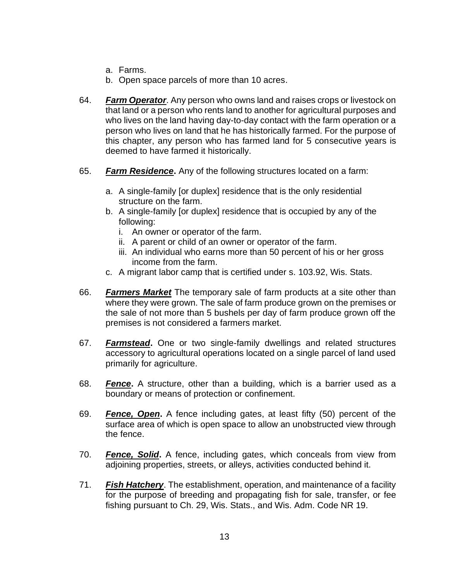- a. Farms.
- b. Open space parcels of more than 10 acres.
- 64. *Farm Operator*. Any person who owns land and raises crops or livestock on that land or a person who rents land to another for agricultural purposes and who lives on the land having day-to-day contact with the farm operation or a person who lives on land that he has historically farmed. For the purpose of this chapter, any person who has farmed land for 5 consecutive years is deemed to have farmed it historically.
- 65. *Farm Residence***.** Any of the following structures located on a farm:
	- a. A single-family [or duplex] residence that is the only residential structure on the farm.
	- b. A single-family [or duplex] residence that is occupied by any of the following:
		- i. An owner or operator of the farm.
		- ii. A parent or child of an owner or operator of the farm.
		- iii. An individual who earns more than 50 percent of his or her gross income from the farm.
	- c. A migrant labor camp that is certified under s. 103.92, Wis. Stats.
- 66. *Farmers Market* The temporary sale of farm products at a site other than where they were grown. The sale of farm produce grown on the premises or the sale of not more than 5 bushels per day of farm produce grown off the premises is not considered a farmers market.
- 67. *Farmstead***.** One or two single-family dwellings and related structures accessory to agricultural operations located on a single parcel of land used primarily for agriculture.
- 68. *Fence***.** A structure, other than a building, which is a barrier used as a boundary or means of protection or confinement.
- 69. *Fence, Open***.** A fence including gates, at least fifty (50) percent of the surface area of which is open space to allow an unobstructed view through the fence.
- 70. *Fence, Solid***.** A fence, including gates, which conceals from view from adjoining properties, streets, or alleys, activities conducted behind it.
- 71. *Fish Hatchery*. The establishment, operation, and maintenance of a facility for the purpose of breeding and propagating fish for sale, transfer, or fee fishing pursuant to Ch. 29, Wis. Stats., and Wis. Adm. Code NR 19.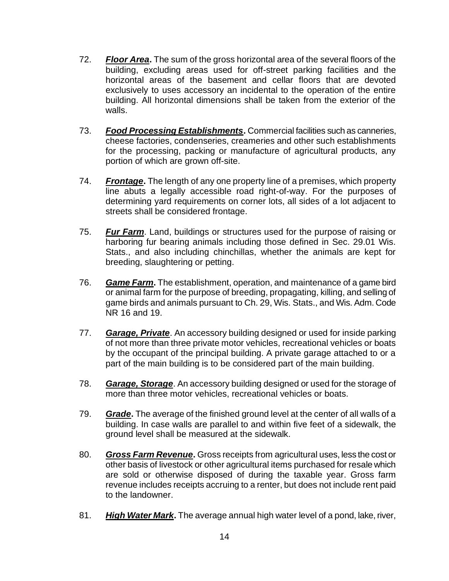- 72. *Floor Area***.** The sum of the gross horizontal area of the several floors of the building, excluding areas used for off-street parking facilities and the horizontal areas of the basement and cellar floors that are devoted exclusively to uses accessory an incidental to the operation of the entire building. All horizontal dimensions shall be taken from the exterior of the walls.
- 73. *Food Processing Establishments***.** Commercial facilities such as canneries, cheese factories, condenseries, creameries and other such establishments for the processing, packing or manufacture of agricultural products, any portion of which are grown off-site.
- 74. *Frontage***.** The length of any one property line of a premises, which property line abuts a legally accessible road right-of-way. For the purposes of determining yard requirements on corner lots, all sides of a lot adjacent to streets shall be considered frontage.
- 75. *Fur Farm*. Land, buildings or structures used for the purpose of raising or harboring fur bearing animals including those defined in Sec. 29.01 Wis. Stats., and also including chinchillas, whether the animals are kept for breeding, slaughtering or petting.
- 76. *Game Farm***.** The establishment, operation, and maintenance of a game bird or animal farm for the purpose of breeding, propagating, killing, and selling of game birds and animals pursuant to Ch. 29, Wis. Stats., and Wis. Adm. Code NR 16 and 19.
- 77. *Garage, Private*. An accessory building designed or used for inside parking of not more than three private motor vehicles, recreational vehicles or boats by the occupant of the principal building. A private garage attached to or a part of the main building is to be considered part of the main building.
- 78. *Garage, Storage*. An accessory building designed or used for the storage of more than three motor vehicles, recreational vehicles or boats.
- 79. *Grade***.** The average of the finished ground level at the center of all walls of a building. In case walls are parallel to and within five feet of a sidewalk, the ground level shall be measured at the sidewalk.
- 80. *Gross Farm Revenue***.** Gross receipts from agricultural uses, less the cost or other basis of livestock or other agricultural items purchased for resale which are sold or otherwise disposed of during the taxable year. Gross farm revenue includes receipts accruing to a renter, but does not include rent paid to the landowner.
- 81. *High Water Mark***.** The average annual high water level of a pond, lake, river,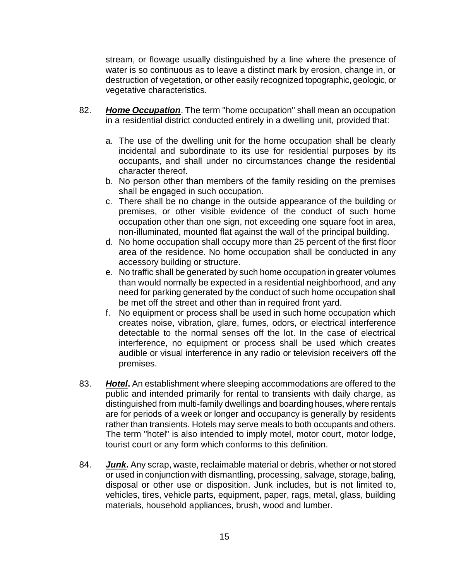stream, or flowage usually distinguished by a line where the presence of water is so continuous as to leave a distinct mark by erosion, change in, or destruction of vegetation, or other easily recognized topographic, geologic, or vegetative characteristics.

- 82. *Home Occupation*. The term "home occupation" shall mean an occupation in a residential district conducted entirely in a dwelling unit, provided that:
	- a. The use of the dwelling unit for the home occupation shall be clearly incidental and subordinate to its use for residential purposes by its occupants, and shall under no circumstances change the residential character thereof.
	- b. No person other than members of the family residing on the premises shall be engaged in such occupation.
	- c. There shall be no change in the outside appearance of the building or premises, or other visible evidence of the conduct of such home occupation other than one sign, not exceeding one square foot in area, non-illuminated, mounted flat against the wall of the principal building.
	- d. No home occupation shall occupy more than 25 percent of the first floor area of the residence. No home occupation shall be conducted in any accessory building or structure.
	- e. No traffic shall be generated by such home occupation in greater volumes than would normally be expected in a residential neighborhood, and any need for parking generated by the conduct of such home occupation shall be met off the street and other than in required front yard.
	- f. No equipment or process shall be used in such home occupation which creates noise, vibration, glare, fumes, odors, or electrical interference detectable to the normal senses off the lot. In the case of electrical interference, no equipment or process shall be used which creates audible or visual interference in any radio or television receivers off the premises.
- 83. *Hotel***.** An establishment where sleeping accommodations are offered to the public and intended primarily for rental to transients with daily charge, as distinguished from multi-family dwellings and boarding houses, where rentals are for periods of a week or longer and occupancy is generally by residents rather than transients. Hotels may serve meals to both occupants and others. The term "hotel" is also intended to imply motel, motor court, motor lodge, tourist court or any form which conforms to this definition.
- 84. *Junk***.** Any scrap, waste, reclaimable material or debris, whether or not stored or used in conjunction with dismantling, processing, salvage, storage, baling, disposal or other use or disposition. Junk includes, but is not limited to, vehicles, tires, vehicle parts, equipment, paper, rags, metal, glass, building materials, household appliances, brush, wood and lumber.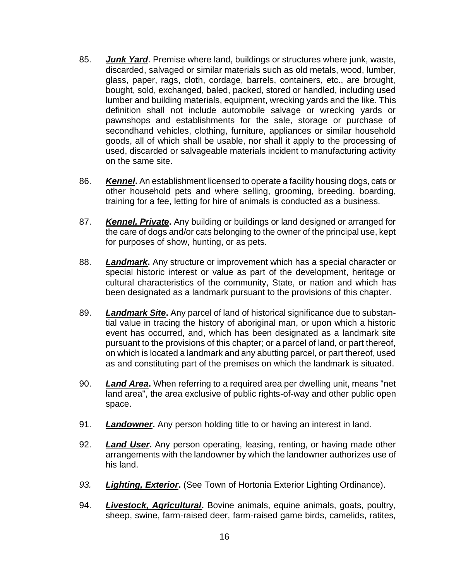- 85. *Junk Yard*. Premise where land, buildings or structures where junk, waste, discarded, salvaged or similar materials such as old metals, wood, lumber, glass, paper, rags, cloth, cordage, barrels, containers, etc., are brought, bought, sold, exchanged, baled, packed, stored or handled, including used lumber and building materials, equipment, wrecking yards and the like. This definition shall not include automobile salvage or wrecking yards or pawnshops and establishments for the sale, storage or purchase of secondhand vehicles, clothing, furniture, appliances or similar household goods, all of which shall be usable, nor shall it apply to the processing of used, discarded or salvageable materials incident to manufacturing activity on the same site.
- 86. *Kennel***.** An establishment licensed to operate a facility housing dogs, cats or other household pets and where selling, grooming, breeding, boarding, training for a fee, letting for hire of animals is conducted as a business.
- 87. *Kennel, Private***.** Any building or buildings or land designed or arranged for the care of dogs and/or cats belonging to the owner of the principal use, kept for purposes of show, hunting, or as pets.
- 88. *Landmark***.** Any structure or improvement which has a special character or special historic interest or value as part of the development, heritage or cultural characteristics of the community, State, or nation and which has been designated as a landmark pursuant to the provisions of this chapter.
- 89. *Landmark Site***.** Any parcel of land of historical significance due to substantial value in tracing the history of aboriginal man, or upon which a historic event has occurred, and, which has been designated as a landmark site pursuant to the provisions of this chapter; or a parcel of land, or part thereof, on which is located a landmark and any abutting parcel, or part thereof, used as and constituting part of the premises on which the landmark is situated.
- 90. *Land Area***.** When referring to a required area per dwelling unit, means "net land area", the area exclusive of public rights-of-way and other public open space.
- 91. *Landowner***.** Any person holding title to or having an interest in land.
- 92. *Land User***.** Any person operating, leasing, renting, or having made other arrangements with the landowner by which the landowner authorizes use of his land.
- *93. Lighting, Exterior***.** (See Town of Hortonia Exterior Lighting Ordinance).
- 94. *Livestock, Agricultural***.** Bovine animals, equine animals, goats, poultry, sheep, swine, farm-raised deer, farm-raised game birds, camelids, ratites,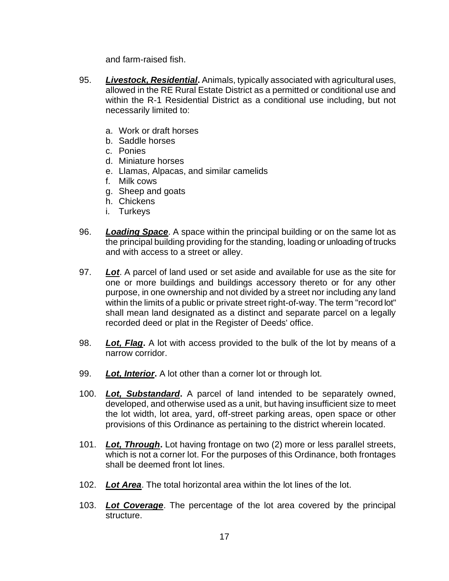and farm-raised fish.

- 95. *Livestock, Residential***.** Animals, typically associated with agricultural uses, allowed in the RE Rural Estate District as a permitted or conditional use and within the R-1 Residential District as a conditional use including, but not necessarily limited to:
	- a. Work or draft horses
	- b. Saddle horses
	- c. Ponies
	- d. Miniature horses
	- e. Llamas, Alpacas, and similar camelids
	- f. Milk cows
	- g. Sheep and goats
	- h. Chickens
	- i. Turkeys
- 96. *Loading Space*. A space within the principal building or on the same lot as the principal building providing for the standing, loading or unloading of trucks and with access to a street or alley.
- 97. *Lot*. A parcel of land used or set aside and available for use as the site for one or more buildings and buildings accessory thereto or for any other purpose, in one ownership and not divided by a street nor including any land within the limits of a public or private street right-of-way. The term "record lot" shall mean land designated as a distinct and separate parcel on a legally recorded deed or plat in the Register of Deeds' office.
- 98. *Lot, Flag***.** A lot with access provided to the bulk of the lot by means of a narrow corridor.
- 99. *Lot, Interior***.** A lot other than a corner lot or through lot.
- 100. *Lot, Substandard***.** A parcel of land intended to be separately owned, developed, and otherwise used as a unit, but having insufficient size to meet the lot width, lot area, yard, off-street parking areas, open space or other provisions of this Ordinance as pertaining to the district wherein located.
- 101. *Lot, Through***.** Lot having frontage on two (2) more or less parallel streets, which is not a corner lot. For the purposes of this Ordinance, both frontages shall be deemed front lot lines.
- 102. *Lot Area*. The total horizontal area within the lot lines of the lot.
- 103. *Lot Coverage*. The percentage of the lot area covered by the principal structure.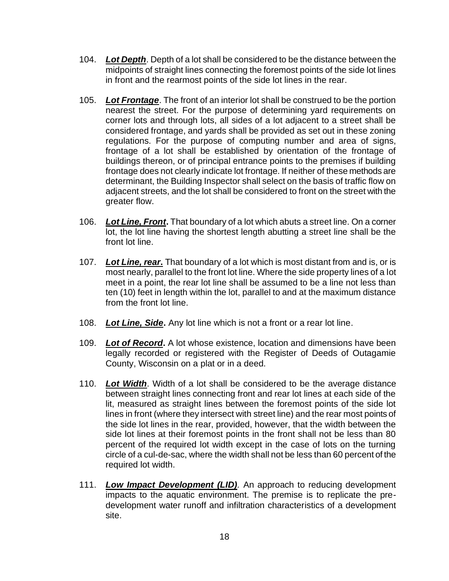- 104. *Lot Depth*. Depth of a lot shall be considered to be the distance between the midpoints of straight lines connecting the foremost points of the side lot lines in front and the rearmost points of the side lot lines in the rear.
- 105. *Lot Frontage*. The front of an interior lot shall be construed to be the portion nearest the street. For the purpose of determining yard requirements on corner lots and through lots, all sides of a lot adjacent to a street shall be considered frontage, and yards shall be provided as set out in these zoning regulations. For the purpose of computing number and area of signs, frontage of a lot shall be established by orientation of the frontage of buildings thereon, or of principal entrance points to the premises if building frontage does not clearly indicate lot frontage. If neither of these methods are determinant, the Building Inspector shall select on the basis of traffic flow on adjacent streets, and the lot shall be considered to front on the street with the greater flow.
- 106. *Lot Line, Front***.** That boundary of a lot which abuts a street line. On a corner lot, the lot line having the shortest length abutting a street line shall be the front lot line.
- 107. *Lot Line, rear***.** That boundary of a lot which is most distant from and is, or is most nearly, parallel to the front lot line. Where the side property lines of a lot meet in a point, the rear lot line shall be assumed to be a line not less than ten (10) feet in length within the lot, parallel to and at the maximum distance from the front lot line.
- 108. *Lot Line, Side***.** Any lot line which is not a front or a rear lot line.
- 109. *Lot of Record***.** A lot whose existence, location and dimensions have been legally recorded or registered with the Register of Deeds of Outagamie County, Wisconsin on a plat or in a deed.
- 110. *Lot Width*. Width of a lot shall be considered to be the average distance between straight lines connecting front and rear lot lines at each side of the lit, measured as straight lines between the foremost points of the side lot lines in front (where they intersect with street line) and the rear most points of the side lot lines in the rear, provided, however, that the width between the side lot lines at their foremost points in the front shall not be less than 80 percent of the required lot width except in the case of lots on the turning circle of a cul-de-sac, where the width shall not be less than 60 percent of the required lot width.
- 111. *Low Impact Development (LID).* An approach to reducing development impacts to the aquatic environment. The premise is to replicate the predevelopment water runoff and infiltration characteristics of a development site.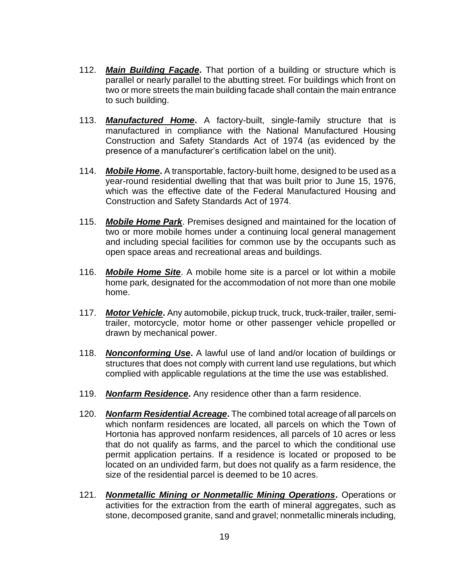- 112. *Main Building Façade***.** That portion of a building or structure which is parallel or nearly parallel to the abutting street. For buildings which front on two or more streets the main building facade shall contain the main entrance to such building.
- 113. *Manufactured Home***.** A factory-built, single-family structure that is manufactured in compliance with the National Manufactured Housing Construction and Safety Standards Act of 1974 (as evidenced by the presence of a manufacturer's certification label on the unit).
- 114. *Mobile Home***.** A transportable, factory-built home, designed to be used as a year-round residential dwelling that that was built prior to June 15, 1976, which was the effective date of the Federal Manufactured Housing and Construction and Safety Standards Act of 1974.
- 115. *Mobile Home Park*. Premises designed and maintained for the location of two or more mobile homes under a continuing local general management and including special facilities for common use by the occupants such as open space areas and recreational areas and buildings.
- 116. *Mobile Home Site*. A mobile home site is a parcel or lot within a mobile home park, designated for the accommodation of not more than one mobile home.
- 117. *Motor Vehicle***.** Any automobile, pickup truck, truck, truck-trailer, trailer, semitrailer, motorcycle, motor home or other passenger vehicle propelled or drawn by mechanical power.
- 118. *Nonconforming Use***.** A lawful use of land and/or location of buildings or structures that does not comply with current land use regulations, but which complied with applicable regulations at the time the use was established.
- 119. *Nonfarm Residence***.** Any residence other than a farm residence.
- 120. *Nonfarm Residential Acreage***.** The combined total acreage of all parcels on which nonfarm residences are located, all parcels on which the Town of Hortonia has approved nonfarm residences, all parcels of 10 acres or less that do not qualify as farms, and the parcel to which the conditional use permit application pertains. If a residence is located or proposed to be located on an undivided farm, but does not qualify as a farm residence, the size of the residential parcel is deemed to be 10 acres.
- 121. *Nonmetallic Mining or Nonmetallic Mining Operations***.** Operations or activities for the extraction from the earth of mineral aggregates, such as stone, decomposed granite, sand and gravel; nonmetallic minerals including,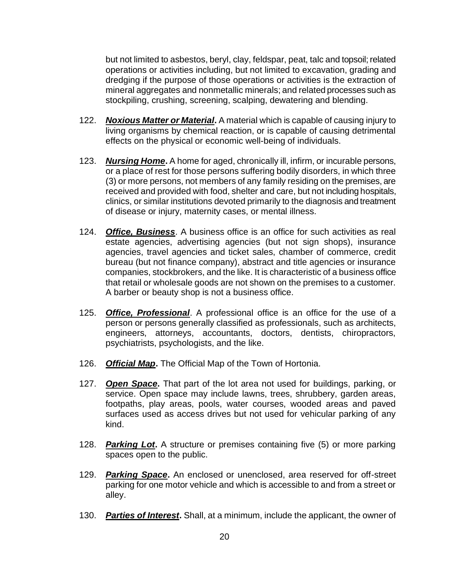but not limited to asbestos, beryl, clay, feldspar, peat, talc and topsoil; related operations or activities including, but not limited to excavation, grading and dredging if the purpose of those operations or activities is the extraction of mineral aggregates and nonmetallic minerals; and related processes such as stockpiling, crushing, screening, scalping, dewatering and blending.

- 122. *Noxious Matter or Material***.** A material which is capable of causing injury to living organisms by chemical reaction, or is capable of causing detrimental effects on the physical or economic well-being of individuals.
- 123. *Nursing Home***.** A home for aged, chronically ill, infirm, or incurable persons, or a place of rest for those persons suffering bodily disorders, in which three (3) or more persons, not members of any family residing on the premises, are received and provided with food, shelter and care, but not including hospitals, clinics, or similar institutions devoted primarily to the diagnosis and treatment of disease or injury, maternity cases, or mental illness.
- 124. *Office, Business*. A business office is an office for such activities as real estate agencies, advertising agencies (but not sign shops), insurance agencies, travel agencies and ticket sales, chamber of commerce, credit bureau (but not finance company), abstract and title agencies or insurance companies, stockbrokers, and the like. It is characteristic of a business office that retail or wholesale goods are not shown on the premises to a customer. A barber or beauty shop is not a business office.
- 125. *Office, Professional*. A professional office is an office for the use of a person or persons generally classified as professionals, such as architects, engineers, attorneys, accountants, doctors, dentists, chiropractors, psychiatrists, psychologists, and the like.
- 126. *Official Map***.** The Official Map of the Town of Hortonia.
- 127. *Open Space***.** That part of the lot area not used for buildings, parking, or service. Open space may include lawns, trees, shrubbery, garden areas, footpaths, play areas, pools, water courses, wooded areas and paved surfaces used as access drives but not used for vehicular parking of any kind.
- 128. *Parking Lot***.** A structure or premises containing five (5) or more parking spaces open to the public.
- 129. *Parking Space***.** An enclosed or unenclosed, area reserved for off-street parking for one motor vehicle and which is accessible to and from a street or alley.
- 130. *Parties of Interest***.** Shall, at a minimum, include the applicant, the owner of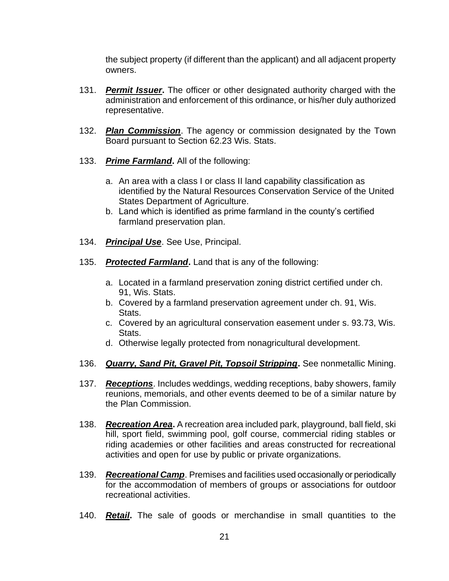the subject property (if different than the applicant) and all adjacent property owners.

- 131. *Permit Issuer***.** The officer or other designated authority charged with the administration and enforcement of this ordinance, or his/her duly authorized representative.
- 132. *Plan Commission*. The agency or commission designated by the Town Board pursuant to Section 62.23 Wis. Stats.
- 133. *Prime Farmland***.** All of the following:
	- a. An area with a class I or class II land capability classification as identified by the Natural Resources Conservation Service of the United States Department of Agriculture.
	- b. Land which is identified as prime farmland in the county's certified farmland preservation plan.
- 134. *Principal Use*. See Use, Principal.
- 135. *Protected Farmland***.** Land that is any of the following:
	- a. Located in a farmland preservation zoning district certified under ch. 91, Wis. Stats.
	- b. Covered by a farmland preservation agreement under ch. 91, Wis. Stats.
	- c. Covered by an agricultural conservation easement under s. 93.73, Wis. Stats.
	- d. Otherwise legally protected from nonagricultural development.
- 136. *Quarry, Sand Pit, Gravel Pit, Topsoil Stripping***.** See nonmetallic Mining.
- 137. *Receptions*. Includes weddings, wedding receptions, baby showers, family reunions, memorials, and other events deemed to be of a similar nature by the Plan Commission.
- 138. *Recreation Area***.** A recreation area included park, playground, ball field, ski hill, sport field, swimming pool, golf course, commercial riding stables or riding academies or other facilities and areas constructed for recreational activities and open for use by public or private organizations.
- 139. *Recreational Camp*. Premises and facilities used occasionally or periodically for the accommodation of members of groups or associations for outdoor recreational activities.
- 140. *Retail***.** The sale of goods or merchandise in small quantities to the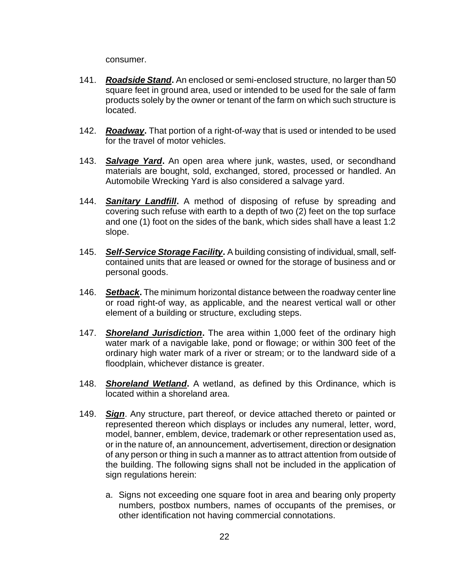consumer.

- 141. *Roadside Stand***.** An enclosed or semi-enclosed structure, no larger than 50 square feet in ground area, used or intended to be used for the sale of farm products solely by the owner or tenant of the farm on which such structure is located.
- 142. *Roadway***.** That portion of a right-of-way that is used or intended to be used for the travel of motor vehicles.
- 143. *Salvage Yard***.** An open area where junk, wastes, used, or secondhand materials are bought, sold, exchanged, stored, processed or handled. An Automobile Wrecking Yard is also considered a salvage yard.
- 144. *Sanitary Landfill***.** A method of disposing of refuse by spreading and covering such refuse with earth to a depth of two (2) feet on the top surface and one (1) foot on the sides of the bank, which sides shall have a least 1:2 slope.
- 145. *Self-Service Storage Facility***.** A building consisting of individual, small, selfcontained units that are leased or owned for the storage of business and or personal goods.
- 146. *Setback***.** The minimum horizontal distance between the roadway center line or road right-of way, as applicable, and the nearest vertical wall or other element of a building or structure, excluding steps.
- 147. *Shoreland Jurisdiction***.** The area within 1,000 feet of the ordinary high water mark of a navigable lake, pond or flowage; or within 300 feet of the ordinary high water mark of a river or stream; or to the landward side of a floodplain, whichever distance is greater.
- 148. *Shoreland Wetland***.** A wetland, as defined by this Ordinance, which is located within a shoreland area.
- 149. *Sign*. Any structure, part thereof, or device attached thereto or painted or represented thereon which displays or includes any numeral, letter, word, model, banner, emblem, device, trademark or other representation used as, or in the nature of, an announcement, advertisement, direction or designation of any person or thing in such a manner as to attract attention from outside of the building. The following signs shall not be included in the application of sign regulations herein:
	- a. Signs not exceeding one square foot in area and bearing only property numbers, postbox numbers, names of occupants of the premises, or other identification not having commercial connotations.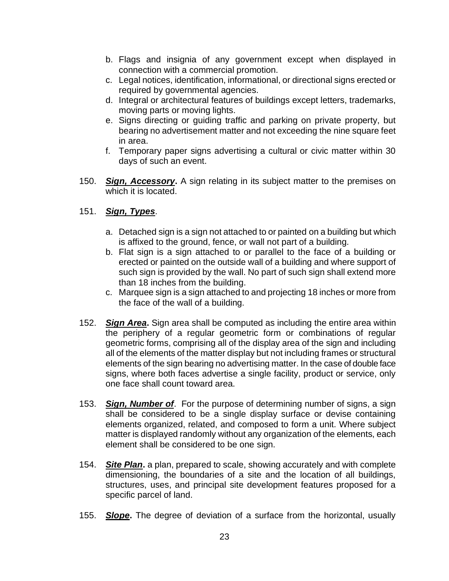- b. Flags and insignia of any government except when displayed in connection with a commercial promotion.
- c. Legal notices, identification, informational, or directional signs erected or required by governmental agencies.
- d. Integral or architectural features of buildings except letters, trademarks, moving parts or moving lights.
- e. Signs directing or guiding traffic and parking on private property, but bearing no advertisement matter and not exceeding the nine square feet in area.
- f. Temporary paper signs advertising a cultural or civic matter within 30 days of such an event.
- 150. *Sign, Accessory***.** A sign relating in its subject matter to the premises on which it is located.

# 151. *Sign, Types*.

- a. Detached sign is a sign not attached to or painted on a building but which is affixed to the ground, fence, or wall not part of a building.
- b. Flat sign is a sign attached to or parallel to the face of a building or erected or painted on the outside wall of a building and where support of such sign is provided by the wall. No part of such sign shall extend more than 18 inches from the building.
- c. Marquee sign is a sign attached to and projecting 18 inches or more from the face of the wall of a building.
- 152. *Sign Area***.** Sign area shall be computed as including the entire area within the periphery of a regular geometric form or combinations of regular geometric forms, comprising all of the display area of the sign and including all of the elements of the matter display but not including frames or structural elements of the sign bearing no advertising matter. In the case of double face signs, where both faces advertise a single facility, product or service, only one face shall count toward area.
- 153. *Sign, Number of*. For the purpose of determining number of signs, a sign shall be considered to be a single display surface or devise containing elements organized, related, and composed to form a unit. Where subject matter is displayed randomly without any organization of the elements, each element shall be considered to be one sign.
- 154. *Site Plan***.** a plan, prepared to scale, showing accurately and with complete dimensioning, the boundaries of a site and the location of all buildings, structures, uses, and principal site development features proposed for a specific parcel of land.
- 155. *Slope***.** The degree of deviation of a surface from the horizontal, usually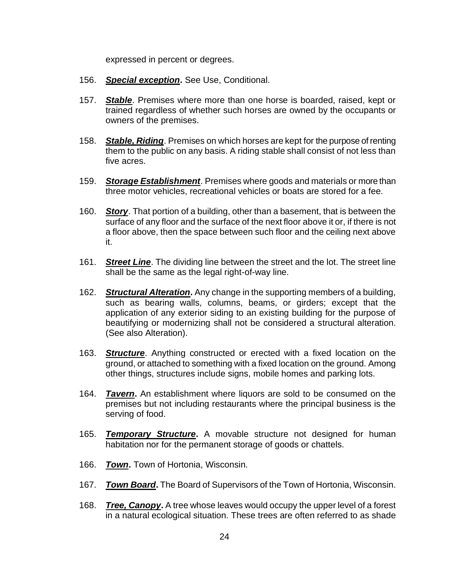expressed in percent or degrees.

- 156. *Special exception***.** See Use, Conditional.
- 157. *Stable*. Premises where more than one horse is boarded, raised, kept or trained regardless of whether such horses are owned by the occupants or owners of the premises.
- 158. *Stable, Riding*. Premises on which horses are kept for the purpose of renting them to the public on any basis. A riding stable shall consist of not less than five acres.
- 159. *Storage Establishment*. Premises where goods and materials or more than three motor vehicles, recreational vehicles or boats are stored for a fee.
- 160. *Story*. That portion of a building, other than a basement, that is between the surface of any floor and the surface of the next floor above it or, if there is not a floor above, then the space between such floor and the ceiling next above it.
- 161. *Street Line*. The dividing line between the street and the lot. The street line shall be the same as the legal right-of-way line.
- 162. *Structural Alteration***.** Any change in the supporting members of a building, such as bearing walls, columns, beams, or girders; except that the application of any exterior siding to an existing building for the purpose of beautifying or modernizing shall not be considered a structural alteration. (See also Alteration).
- 163. *Structure*. Anything constructed or erected with a fixed location on the ground, or attached to something with a fixed location on the ground. Among other things, structures include signs, mobile homes and parking lots.
- 164. *Tavern***.** An establishment where liquors are sold to be consumed on the premises but not including restaurants where the principal business is the serving of food.
- 165. *Temporary Structure***.** A movable structure not designed for human habitation nor for the permanent storage of goods or chattels.
- 166. *Town***.** Town of Hortonia, Wisconsin.
- 167. *Town Board***.** The Board of Supervisors of the Town of Hortonia, Wisconsin.
- 168. *Tree, Canopy***.** A tree whose leaves would occupy the upper level of a forest in a natural ecological situation. These trees are often referred to as shade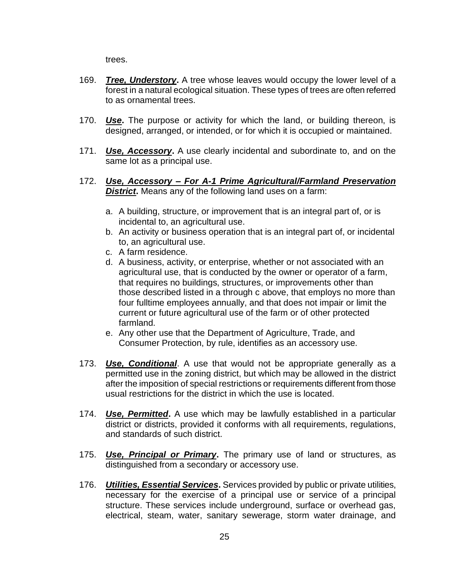trees.

- 169. *Tree, Understory***.** A tree whose leaves would occupy the lower level of a forest in a natural ecological situation. These types of trees are often referred to as ornamental trees.
- 170. *Use***.** The purpose or activity for which the land, or building thereon, is designed, arranged, or intended, or for which it is occupied or maintained.
- 171. *Use, Accessory***.** A use clearly incidental and subordinate to, and on the same lot as a principal use.
- 172. *Use, Accessory – For A-1 Prime Agricultural/Farmland Preservation*  **District.** Means any of the following land uses on a farm:
	- a. A building, structure, or improvement that is an integral part of, or is incidental to, an agricultural use.
	- b. An activity or business operation that is an integral part of, or incidental to, an agricultural use.
	- c. A farm residence.
	- d. A business, activity, or enterprise, whether or not associated with an agricultural use, that is conducted by the owner or operator of a farm, that requires no buildings, structures, or improvements other than those described listed in a through c above, that employs no more than four fulltime employees annually, and that does not impair or limit the current or future agricultural use of the farm or of other protected farmland.
	- e. Any other use that the Department of Agriculture, Trade, and Consumer Protection, by rule, identifies as an accessory use.
- 173. *Use, Conditional*. A use that would not be appropriate generally as a permitted use in the zoning district, but which may be allowed in the district after the imposition of special restrictions or requirements different from those usual restrictions for the district in which the use is located.
- 174. *Use, Permitted***.** A use which may be lawfully established in a particular district or districts, provided it conforms with all requirements, regulations, and standards of such district.
- 175. *Use, Principal or Primary***.** The primary use of land or structures, as distinguished from a secondary or accessory use.
- 176. *Utilities, Essential Services***.** Services provided by public or private utilities, necessary for the exercise of a principal use or service of a principal structure. These services include underground, surface or overhead gas, electrical, steam, water, sanitary sewerage, storm water drainage, and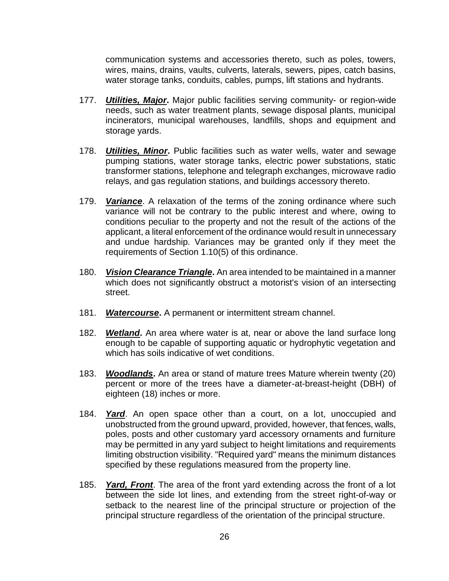communication systems and accessories thereto, such as poles, towers, wires, mains, drains, vaults, culverts, laterals, sewers, pipes, catch basins, water storage tanks, conduits, cables, pumps, lift stations and hydrants.

- 177. *Utilities, Major***.** Major public facilities serving community- or region-wide needs, such as water treatment plants, sewage disposal plants, municipal incinerators, municipal warehouses, landfills, shops and equipment and storage yards.
- 178. *Utilities, Minor***.** Public facilities such as water wells, water and sewage pumping stations, water storage tanks, electric power substations, static transformer stations, telephone and telegraph exchanges, microwave radio relays, and gas regulation stations, and buildings accessory thereto.
- 179. *Variance*. A relaxation of the terms of the zoning ordinance where such variance will not be contrary to the public interest and where, owing to conditions peculiar to the property and not the result of the actions of the applicant, a literal enforcement of the ordinance would result in unnecessary and undue hardship. Variances may be granted only if they meet the requirements of Section 1.10(5) of this ordinance.
- 180. *Vision Clearance Triangle***.** An area intended to be maintained in a manner which does not significantly obstruct a motorist's vision of an intersecting street.
- 181. *Watercourse***.** A permanent or intermittent stream channel.
- 182. *Wetland***.** An area where water is at, near or above the land surface long enough to be capable of supporting aquatic or hydrophytic vegetation and which has soils indicative of wet conditions.
- 183. *Woodlands***.** An area or stand of mature trees Mature wherein twenty (20) percent or more of the trees have a diameter-at-breast-height (DBH) of eighteen (18) inches or more.
- 184. *Yard*. An open space other than a court, on a lot, unoccupied and unobstructed from the ground upward, provided, however, that fences, walls, poles, posts and other customary yard accessory ornaments and furniture may be permitted in any yard subject to height limitations and requirements limiting obstruction visibility. "Required yard" means the minimum distances specified by these regulations measured from the property line.
- 185. *Yard, Front*. The area of the front yard extending across the front of a lot between the side lot lines, and extending from the street right-of-way or setback to the nearest line of the principal structure or projection of the principal structure regardless of the orientation of the principal structure.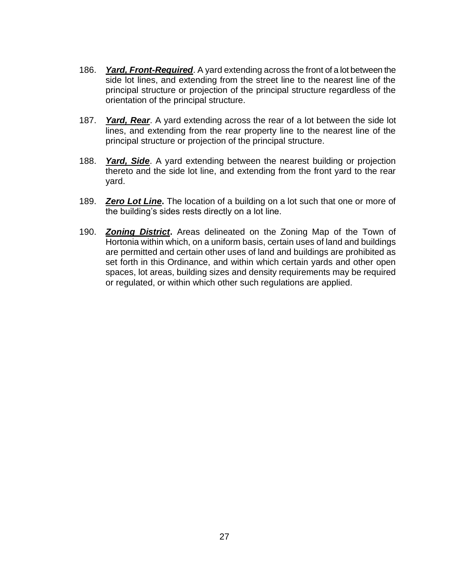- 186. *Yard, Front-Required*. A yard extending across the front of a lot between the side lot lines, and extending from the street line to the nearest line of the principal structure or projection of the principal structure regardless of the orientation of the principal structure.
- 187. *Yard, Rear*. A yard extending across the rear of a lot between the side lot lines, and extending from the rear property line to the nearest line of the principal structure or projection of the principal structure.
- 188. *Yard, Side*. A yard extending between the nearest building or projection thereto and the side lot line, and extending from the front yard to the rear yard.
- 189. *Zero Lot Line***.** The location of a building on a lot such that one or more of the building's sides rests directly on a lot line.
- 190. *Zoning District***.** Areas delineated on the Zoning Map of the Town of Hortonia within which, on a uniform basis, certain uses of land and buildings are permitted and certain other uses of land and buildings are prohibited as set forth in this Ordinance, and within which certain yards and other open spaces, lot areas, building sizes and density requirements may be required or regulated, or within which other such regulations are applied.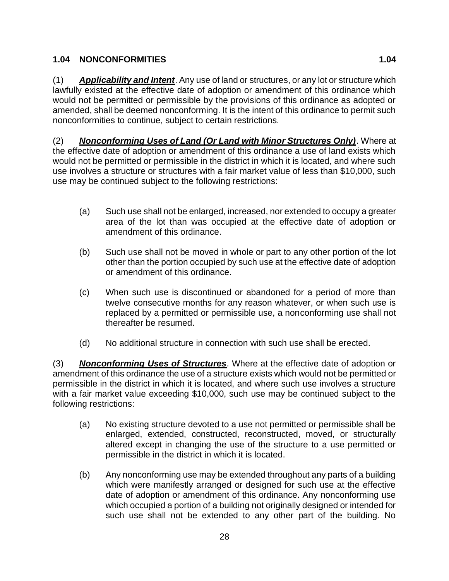# **1.04 NONCONFORMITIES 1.04**

(1) *Applicability and Intent*. Any use of land or structures, or any lot or structure which lawfully existed at the effective date of adoption or amendment of this ordinance which would not be permitted or permissible by the provisions of this ordinance as adopted or amended, shall be deemed nonconforming. It is the intent of this ordinance to permit such nonconformities to continue, subject to certain restrictions.

(2) *Nonconforming Uses of Land (Or Land with Minor Structures Only)*. Where at the effective date of adoption or amendment of this ordinance a use of land exists which would not be permitted or permissible in the district in which it is located, and where such use involves a structure or structures with a fair market value of less than \$10,000, such use may be continued subject to the following restrictions:

- (a) Such use shall not be enlarged, increased, nor extended to occupy a greater area of the lot than was occupied at the effective date of adoption or amendment of this ordinance.
- (b) Such use shall not be moved in whole or part to any other portion of the lot other than the portion occupied by such use at the effective date of adoption or amendment of this ordinance.
- (c) When such use is discontinued or abandoned for a period of more than twelve consecutive months for any reason whatever, or when such use is replaced by a permitted or permissible use, a nonconforming use shall not thereafter be resumed.
- (d) No additional structure in connection with such use shall be erected.

(3) *Nonconforming Uses of Structures*. Where at the effective date of adoption or amendment of this ordinance the use of a structure exists which would not be permitted or permissible in the district in which it is located, and where such use involves a structure with a fair market value exceeding \$10,000, such use may be continued subject to the following restrictions:

- (a) No existing structure devoted to a use not permitted or permissible shall be enlarged, extended, constructed, reconstructed, moved, or structurally altered except in changing the use of the structure to a use permitted or permissible in the district in which it is located.
- (b) Any nonconforming use may be extended throughout any parts of a building which were manifestly arranged or designed for such use at the effective date of adoption or amendment of this ordinance. Any nonconforming use which occupied a portion of a building not originally designed or intended for such use shall not be extended to any other part of the building. No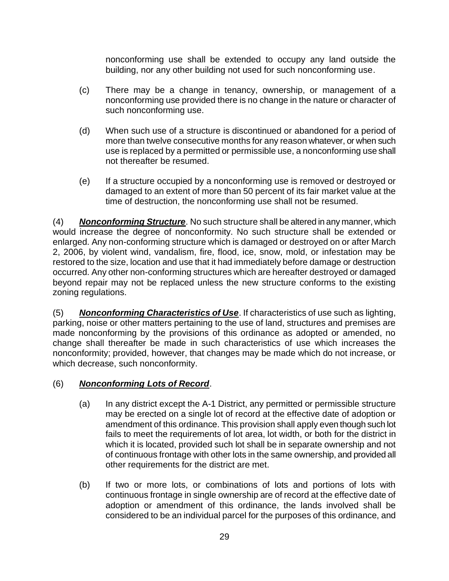nonconforming use shall be extended to occupy any land outside the building, nor any other building not used for such nonconforming use.

- (c) There may be a change in tenancy, ownership, or management of a nonconforming use provided there is no change in the nature or character of such nonconforming use.
- (d) When such use of a structure is discontinued or abandoned for a period of more than twelve consecutive months for any reason whatever, or when such use is replaced by a permitted or permissible use, a nonconforming use shall not thereafter be resumed.
- (e) If a structure occupied by a nonconforming use is removed or destroyed or damaged to an extent of more than 50 percent of its fair market value at the time of destruction, the nonconforming use shall not be resumed.

(4) *Nonconforming Structure*. No such structure shall be altered in any manner, which would increase the degree of nonconformity. No such structure shall be extended or enlarged. Any non-conforming structure which is damaged or destroyed on or after March 2, 2006, by violent wind, vandalism, fire, flood, ice, snow, mold, or infestation may be restored to the size, location and use that it had immediately before damage or destruction occurred. Any other non-conforming structures which are hereafter destroyed or damaged beyond repair may not be replaced unless the new structure conforms to the existing zoning regulations.

(5) *Nonconforming Characteristics of Use*. If characteristics of use such as lighting, parking, noise or other matters pertaining to the use of land, structures and premises are made nonconforming by the provisions of this ordinance as adopted or amended, no change shall thereafter be made in such characteristics of use which increases the nonconformity; provided, however, that changes may be made which do not increase, or which decrease, such nonconformity.

# (6) *Nonconforming Lots of Record*.

- (a) In any district except the A-1 District, any permitted or permissible structure may be erected on a single lot of record at the effective date of adoption or amendment of this ordinance. This provision shall apply even though such lot fails to meet the requirements of lot area, lot width, or both for the district in which it is located, provided such lot shall be in separate ownership and not of continuous frontage with other lots in the same ownership, and provided all other requirements for the district are met.
- (b) If two or more lots, or combinations of lots and portions of lots with continuous frontage in single ownership are of record at the effective date of adoption or amendment of this ordinance, the lands involved shall be considered to be an individual parcel for the purposes of this ordinance, and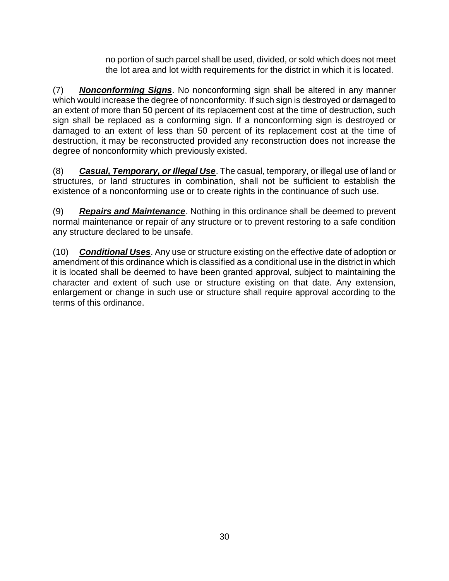no portion of such parcel shall be used, divided, or sold which does not meet the lot area and lot width requirements for the district in which it is located.

(7) *Nonconforming Signs*. No nonconforming sign shall be altered in any manner which would increase the degree of nonconformity. If such sign is destroyed or damaged to an extent of more than 50 percent of its replacement cost at the time of destruction, such sign shall be replaced as a conforming sign. If a nonconforming sign is destroyed or damaged to an extent of less than 50 percent of its replacement cost at the time of destruction, it may be reconstructed provided any reconstruction does not increase the degree of nonconformity which previously existed.

(8) *Casual, Temporary, or Illegal Use*. The casual, temporary, or illegal use of land or structures, or land structures in combination, shall not be sufficient to establish the existence of a nonconforming use or to create rights in the continuance of such use.

(9) *Repairs and Maintenance*. Nothing in this ordinance shall be deemed to prevent normal maintenance or repair of any structure or to prevent restoring to a safe condition any structure declared to be unsafe.

(10) *Conditional Uses*. Any use or structure existing on the effective date of adoption or amendment of this ordinance which is classified as a conditional use in the district in which it is located shall be deemed to have been granted approval, subject to maintaining the character and extent of such use or structure existing on that date. Any extension, enlargement or change in such use or structure shall require approval according to the terms of this ordinance.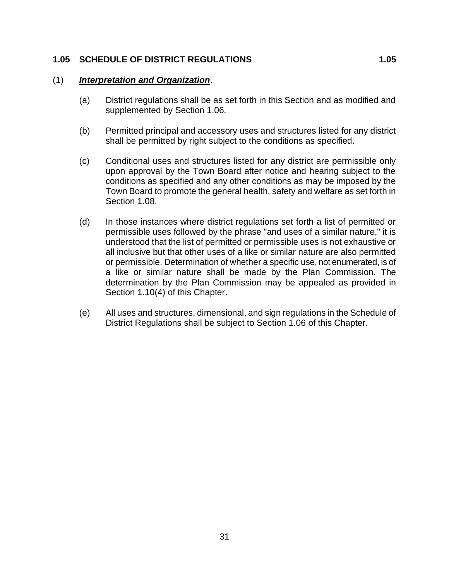#### **1.05 SCHEDULE OF DISTRICT REGULATIONS 1.05**

#### (1) *Interpretation and Organization*.

- (a) District regulations shall be as set forth in this Section and as modified and supplemented by Section 1.06.
- (b) Permitted principal and accessory uses and structures listed for any district shall be permitted by right subject to the conditions as specified.
- (c) Conditional uses and structures listed for any district are permissible only upon approval by the Town Board after notice and hearing subject to the conditions as specified and any other conditions as may be imposed by the Town Board to promote the general health, safety and welfare as set forth in Section 1.08.
- (d) In those instances where district regulations set forth a list of permitted or permissible uses followed by the phrase "and uses of a similar nature," it is understood that the list of permitted or permissible uses is not exhaustive or all inclusive but that other uses of a like or similar nature are also permitted or permissible. Determination of whether a specific use, not enumerated, is of a like or similar nature shall be made by the Plan Commission. The determination by the Plan Commission may be appealed as provided in Section 1.10(4) of this Chapter.
- (e) All uses and structures, dimensional, and sign regulations in the Schedule of District Regulations shall be subject to Section 1.06 of this Chapter.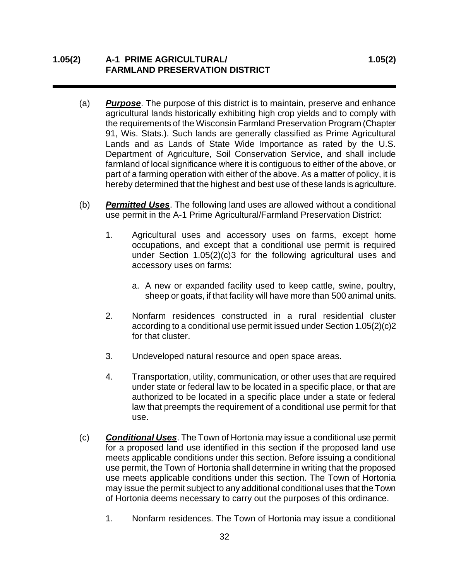# **1.05(2) A-1 PRIME AGRICULTURAL/ 1.05(2) FARMLAND PRESERVATION DISTRICT**

- (a) *Purpose*. The purpose of this district is to maintain, preserve and enhance agricultural lands historically exhibiting high crop yields and to comply with the requirements of the Wisconsin Farmland Preservation Program (Chapter 91, Wis. Stats.). Such lands are generally classified as Prime Agricultural Lands and as Lands of State Wide Importance as rated by the U.S. Department of Agriculture, Soil Conservation Service, and shall include farmland of local significance where it is contiguous to either of the above, or part of a farming operation with either of the above. As a matter of policy, it is hereby determined that the highest and best use of these lands is agriculture.
- (b) *Permitted Uses*. The following land uses are allowed without a conditional use permit in the A-1 Prime Agricultural/Farmland Preservation District:
	- 1. Agricultural uses and accessory uses on farms, except home occupations, and except that a conditional use permit is required under Section 1.05(2)(c)3 for the following agricultural uses and accessory uses on farms:
		- a. A new or expanded facility used to keep cattle, swine, poultry, sheep or goats, if that facility will have more than 500 animal units.
	- 2. Nonfarm residences constructed in a rural residential cluster according to a conditional use permit issued under Section 1.05(2)(c)2 for that cluster.
	- 3. Undeveloped natural resource and open space areas.
	- 4. Transportation, utility, communication, or other uses that are required under state or federal law to be located in a specific place, or that are authorized to be located in a specific place under a state or federal law that preempts the requirement of a conditional use permit for that use.
- (c) *Conditional Uses*. The Town of Hortonia may issue a conditional use permit for a proposed land use identified in this section if the proposed land use meets applicable conditions under this section. Before issuing a conditional use permit, the Town of Hortonia shall determine in writing that the proposed use meets applicable conditions under this section. The Town of Hortonia may issue the permit subject to any additional conditional uses that the Town of Hortonia deems necessary to carry out the purposes of this ordinance.
	- 1. Nonfarm residences. The Town of Hortonia may issue a conditional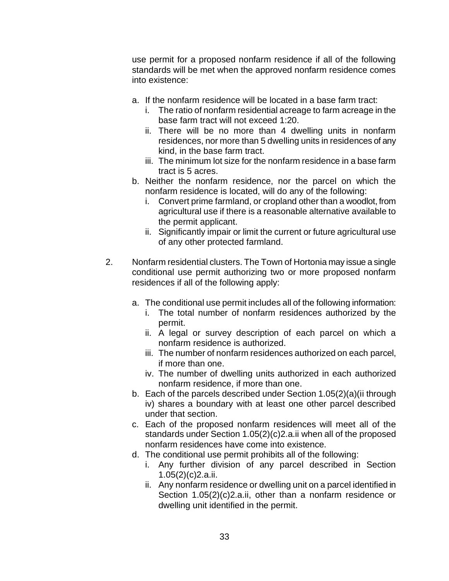use permit for a proposed nonfarm residence if all of the following standards will be met when the approved nonfarm residence comes into existence:

- a. If the nonfarm residence will be located in a base farm tract:
	- i. The ratio of nonfarm residential acreage to farm acreage in the base farm tract will not exceed 1:20.
	- ii. There will be no more than 4 dwelling units in nonfarm residences, nor more than 5 dwelling units in residences of any kind, in the base farm tract.
	- iii. The minimum lot size for the nonfarm residence in a base farm tract is 5 acres.
- b. Neither the nonfarm residence, nor the parcel on which the nonfarm residence is located, will do any of the following:
	- i. Convert prime farmland, or cropland other than a woodlot, from agricultural use if there is a reasonable alternative available to the permit applicant.
	- ii. Significantly impair or limit the current or future agricultural use of any other protected farmland.
- 2. Nonfarm residential clusters. The Town of Hortonia may issue a single conditional use permit authorizing two or more proposed nonfarm residences if all of the following apply:
	- a. The conditional use permit includes all of the following information:
		- i. The total number of nonfarm residences authorized by the permit.
		- ii. A legal or survey description of each parcel on which a nonfarm residence is authorized.
		- iii. The number of nonfarm residences authorized on each parcel, if more than one.
		- iv. The number of dwelling units authorized in each authorized nonfarm residence, if more than one.
	- b. Each of the parcels described under Section 1.05(2)(a)(ii through iv) shares a boundary with at least one other parcel described under that section.
	- c. Each of the proposed nonfarm residences will meet all of the standards under Section 1.05(2)(c)2.a.ii when all of the proposed nonfarm residences have come into existence.
	- d. The conditional use permit prohibits all of the following:
		- i. Any further division of any parcel described in Section 1.05(2)(c)2.a.ii.
		- ii. Any nonfarm residence or dwelling unit on a parcel identified in Section 1.05(2)(c)2.a.ii, other than a nonfarm residence or dwelling unit identified in the permit.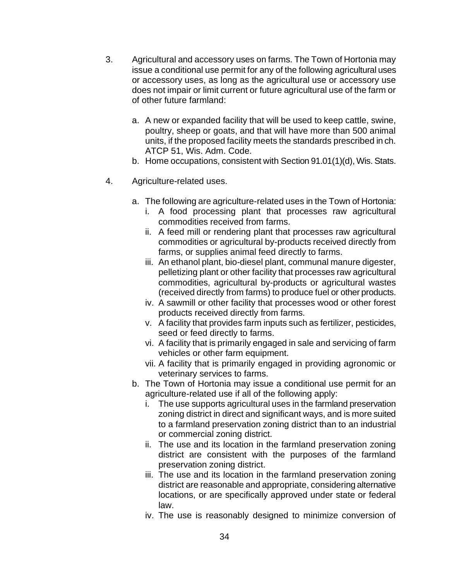- 3. Agricultural and accessory uses on farms. The Town of Hortonia may issue a conditional use permit for any of the following agricultural uses or accessory uses, as long as the agricultural use or accessory use does not impair or limit current or future agricultural use of the farm or of other future farmland:
	- a. A new or expanded facility that will be used to keep cattle, swine, poultry, sheep or goats, and that will have more than 500 animal units, if the proposed facility meets the standards prescribed in ch. ATCP 51, Wis. Adm. Code.
	- b. Home occupations, consistent with Section 91.01(1)(d), Wis. Stats.
- 4. Agriculture-related uses.
	- a. The following are agriculture-related uses in the Town of Hortonia:
		- i. A food processing plant that processes raw agricultural commodities received from farms.
		- ii. A feed mill or rendering plant that processes raw agricultural commodities or agricultural by-products received directly from farms, or supplies animal feed directly to farms.
		- iii. An ethanol plant, bio-diesel plant, communal manure digester, pelletizing plant or other facility that processes raw agricultural commodities, agricultural by-products or agricultural wastes (received directly from farms) to produce fuel or other products.
		- iv. A sawmill or other facility that processes wood or other forest products received directly from farms.
		- v. A facility that provides farm inputs such as fertilizer, pesticides, seed or feed directly to farms.
		- vi. A facility that is primarily engaged in sale and servicing of farm vehicles or other farm equipment.
		- vii. A facility that is primarily engaged in providing agronomic or veterinary services to farms.
	- b. The Town of Hortonia may issue a conditional use permit for an agriculture-related use if all of the following apply:
		- i. The use supports agricultural uses in the farmland preservation zoning district in direct and significant ways, and is more suited to a farmland preservation zoning district than to an industrial or commercial zoning district.
		- ii. The use and its location in the farmland preservation zoning district are consistent with the purposes of the farmland preservation zoning district.
		- iii. The use and its location in the farmland preservation zoning district are reasonable and appropriate, considering alternative locations, or are specifically approved under state or federal law.
		- iv. The use is reasonably designed to minimize conversion of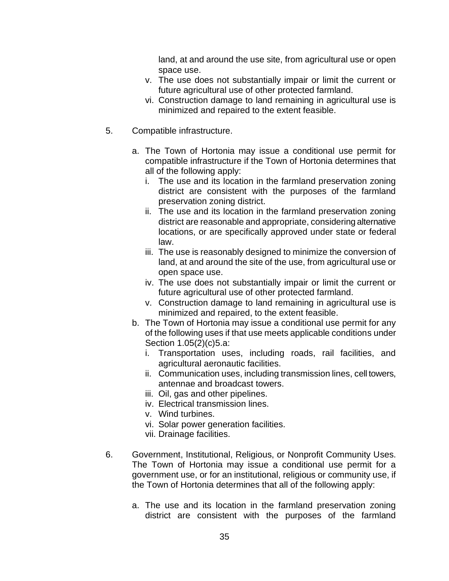land, at and around the use site, from agricultural use or open space use.

- v. The use does not substantially impair or limit the current or future agricultural use of other protected farmland.
- vi. Construction damage to land remaining in agricultural use is minimized and repaired to the extent feasible.
- 5. Compatible infrastructure.
	- a. The Town of Hortonia may issue a conditional use permit for compatible infrastructure if the Town of Hortonia determines that all of the following apply:
		- i. The use and its location in the farmland preservation zoning district are consistent with the purposes of the farmland preservation zoning district.
		- ii. The use and its location in the farmland preservation zoning district are reasonable and appropriate, considering alternative locations, or are specifically approved under state or federal law.
		- iii. The use is reasonably designed to minimize the conversion of land, at and around the site of the use, from agricultural use or open space use.
		- iv. The use does not substantially impair or limit the current or future agricultural use of other protected farmland.
		- v. Construction damage to land remaining in agricultural use is minimized and repaired, to the extent feasible.
	- b. The Town of Hortonia may issue a conditional use permit for any of the following uses if that use meets applicable conditions under Section 1.05(2)(c)5.a:
		- i. Transportation uses, including roads, rail facilities, and agricultural aeronautic facilities.
		- ii. Communication uses, including transmission lines, cell towers, antennae and broadcast towers.
		- iii. Oil, gas and other pipelines.
		- iv. Electrical transmission lines.
		- v. Wind turbines.
		- vi. Solar power generation facilities.
		- vii. Drainage facilities.
- 6. Government, Institutional, Religious, or Nonprofit Community Uses. The Town of Hortonia may issue a conditional use permit for a government use, or for an institutional, religious or community use, if the Town of Hortonia determines that all of the following apply:
	- a. The use and its location in the farmland preservation zoning district are consistent with the purposes of the farmland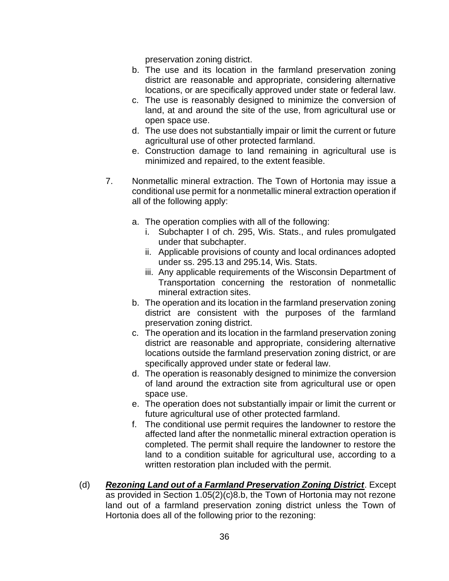preservation zoning district.

- b. The use and its location in the farmland preservation zoning district are reasonable and appropriate, considering alternative locations, or are specifically approved under state or federal law.
- c. The use is reasonably designed to minimize the conversion of land, at and around the site of the use, from agricultural use or open space use.
- d. The use does not substantially impair or limit the current or future agricultural use of other protected farmland.
- e. Construction damage to land remaining in agricultural use is minimized and repaired, to the extent feasible.
- 7. Nonmetallic mineral extraction. The Town of Hortonia may issue a conditional use permit for a nonmetallic mineral extraction operation if all of the following apply:
	- a. The operation complies with all of the following:
		- i. Subchapter I of ch. 295, Wis. Stats., and rules promulgated under that subchapter.
		- ii. Applicable provisions of county and local ordinances adopted under ss. 295.13 and 295.14, Wis. Stats.
		- iii. Any applicable requirements of the Wisconsin Department of Transportation concerning the restoration of nonmetallic mineral extraction sites.
	- b. The operation and its location in the farmland preservation zoning district are consistent with the purposes of the farmland preservation zoning district.
	- c. The operation and its location in the farmland preservation zoning district are reasonable and appropriate, considering alternative locations outside the farmland preservation zoning district, or are specifically approved under state or federal law.
	- d. The operation is reasonably designed to minimize the conversion of land around the extraction site from agricultural use or open space use.
	- e. The operation does not substantially impair or limit the current or future agricultural use of other protected farmland.
	- f. The conditional use permit requires the landowner to restore the affected land after the nonmetallic mineral extraction operation is completed. The permit shall require the landowner to restore the land to a condition suitable for agricultural use, according to a written restoration plan included with the permit.
- (d) *Rezoning Land out of a Farmland Preservation Zoning District*. Except as provided in Section 1.05(2)(c)8.b, the Town of Hortonia may not rezone land out of a farmland preservation zoning district unless the Town of Hortonia does all of the following prior to the rezoning: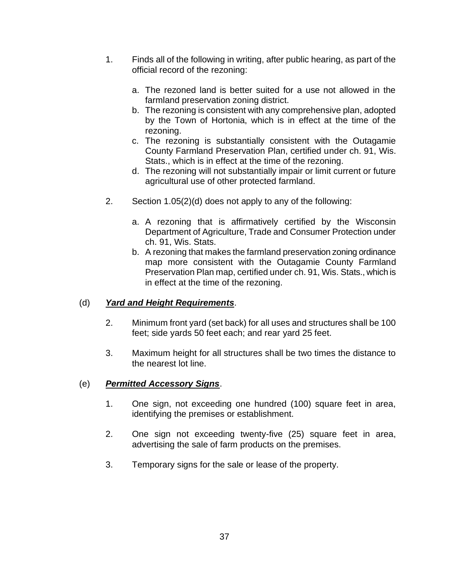- 1. Finds all of the following in writing, after public hearing, as part of the official record of the rezoning:
	- a. The rezoned land is better suited for a use not allowed in the farmland preservation zoning district.
	- b. The rezoning is consistent with any comprehensive plan, adopted by the Town of Hortonia, which is in effect at the time of the rezoning.
	- c. The rezoning is substantially consistent with the Outagamie County Farmland Preservation Plan, certified under ch. 91, Wis. Stats., which is in effect at the time of the rezoning.
	- d. The rezoning will not substantially impair or limit current or future agricultural use of other protected farmland.
- 2. Section 1.05(2)(d) does not apply to any of the following:
	- a. A rezoning that is affirmatively certified by the Wisconsin Department of Agriculture, Trade and Consumer Protection under ch. 91, Wis. Stats.
	- b. A rezoning that makes the farmland preservation zoning ordinance map more consistent with the Outagamie County Farmland Preservation Plan map, certified under ch. 91, Wis. Stats., which is in effect at the time of the rezoning.

#### (d) *Yard and Height Requirements*.

- 2. Minimum front yard (set back) for all uses and structures shall be 100 feet; side yards 50 feet each; and rear yard 25 feet.
- 3. Maximum height for all structures shall be two times the distance to the nearest lot line.

#### (e) *Permitted Accessory Signs*.

- 1. One sign, not exceeding one hundred (100) square feet in area, identifying the premises or establishment.
- 2. One sign not exceeding twenty-five (25) square feet in area, advertising the sale of farm products on the premises.
- 3. Temporary signs for the sale or lease of the property.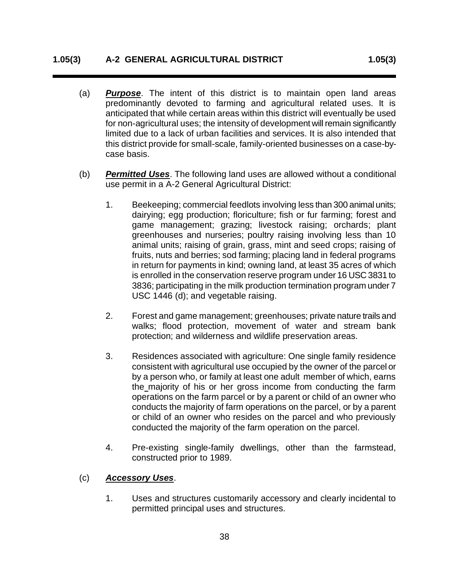#### **1.05(3) A-2 GENERAL AGRICULTURAL DISTRICT 1.05(3)**

- (a) *Purpose*. The intent of this district is to maintain open land areas predominantly devoted to farming and agricultural related uses. It is anticipated that while certain areas within this district will eventually be used for non-agricultural uses; the intensity of development will remain significantly limited due to a lack of urban facilities and services. It is also intended that this district provide for small-scale, family-oriented businesses on a case-bycase basis.
- (b) *Permitted Uses*. The following land uses are allowed without a conditional use permit in a A-2 General Agricultural District:
	- 1. Beekeeping; commercial feedlots involving less than 300 animal units; dairying; egg production; floriculture; fish or fur farming; forest and game management; grazing; livestock raising; orchards; plant greenhouses and nurseries; poultry raising involving less than 10 animal units; raising of grain, grass, mint and seed crops; raising of fruits, nuts and berries; sod farming; placing land in federal programs in return for payments in kind; owning land, at least 35 acres of which is enrolled in the conservation reserve program under 16 USC 3831 to 3836; participating in the milk production termination program under 7 USC 1446 (d); and vegetable raising.
	- 2. Forest and game management; greenhouses; private nature trails and walks; flood protection, movement of water and stream bank protection; and wilderness and wildlife preservation areas.
	- 3. Residences associated with agriculture: One single family residence consistent with agricultural use occupied by the owner of the parcel or by a person who, or family at least one adult member of which, earns the majority of his or her gross income from conducting the farm operations on the farm parcel or by a parent or child of an owner who conducts the majority of farm operations on the parcel, or by a parent or child of an owner who resides on the parcel and who previously conducted the majority of the farm operation on the parcel.
	- 4. Pre-existing single-family dwellings, other than the farmstead, constructed prior to 1989.

#### (c) *Accessory Uses*.

1. Uses and structures customarily accessory and clearly incidental to permitted principal uses and structures.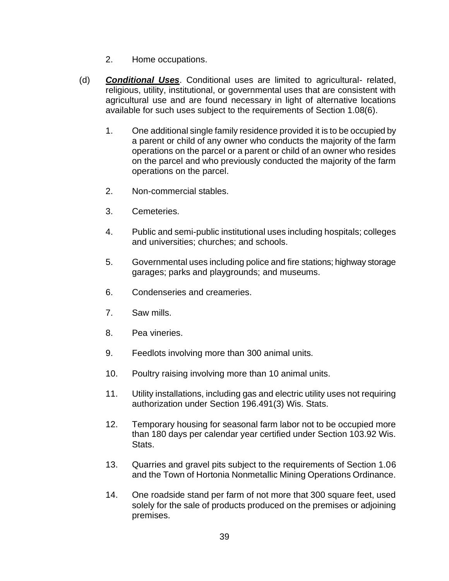- 2. Home occupations.
- (d) *Conditional Uses*. Conditional uses are limited to agricultural- related, religious, utility, institutional, or governmental uses that are consistent with agricultural use and are found necessary in light of alternative locations available for such uses subject to the requirements of Section 1.08(6).
	- 1. One additional single family residence provided it is to be occupied by a parent or child of any owner who conducts the majority of the farm operations on the parcel or a parent or child of an owner who resides on the parcel and who previously conducted the majority of the farm operations on the parcel.
	- 2. Non-commercial stables.
	- 3. Cemeteries.
	- 4. Public and semi-public institutional uses including hospitals; colleges and universities; churches; and schools.
	- 5. Governmental uses including police and fire stations; highway storage garages; parks and playgrounds; and museums.
	- 6. Condenseries and creameries.
	- 7. Saw mills.
	- 8. Pea vineries.
	- 9. Feedlots involving more than 300 animal units.
	- 10. Poultry raising involving more than 10 animal units.
	- 11. Utility installations, including gas and electric utility uses not requiring authorization under Section 196.491(3) Wis. Stats.
	- 12. Temporary housing for seasonal farm labor not to be occupied more than 180 days per calendar year certified under Section 103.92 Wis. Stats.
	- 13. Quarries and gravel pits subject to the requirements of Section 1.06 and the Town of Hortonia Nonmetallic Mining Operations Ordinance.
	- 14. One roadside stand per farm of not more that 300 square feet, used solely for the sale of products produced on the premises or adjoining premises.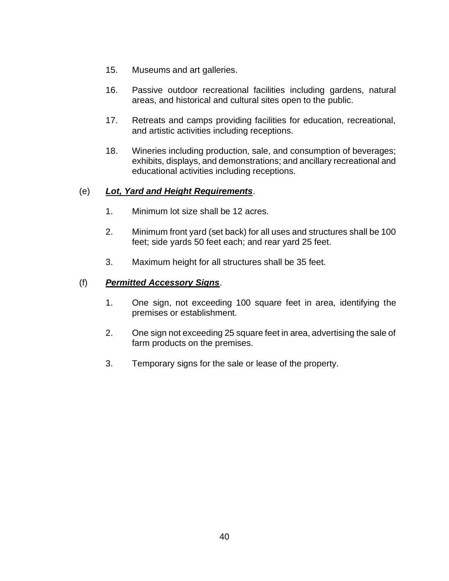- 15. Museums and art galleries.
- 16. Passive outdoor recreational facilities including gardens, natural areas, and historical and cultural sites open to the public.
- 17. Retreats and camps providing facilities for education, recreational, and artistic activities including receptions.
- 18. Wineries including production, sale, and consumption of beverages; exhibits, displays, and demonstrations; and ancillary recreational and educational activities including receptions.

# (e) *Lot, Yard and Height Requirements*.

- 1. Minimum lot size shall be 12 acres.
- 2. Minimum front yard (set back) for all uses and structures shall be 100 feet; side yards 50 feet each; and rear yard 25 feet.
- 3. Maximum height for all structures shall be 35 feet.

### (f) *Permitted Accessory Signs*.

- 1. One sign, not exceeding 100 square feet in area, identifying the premises or establishment.
- 2. One sign not exceeding 25 square feet in area, advertising the sale of farm products on the premises.
- 3. Temporary signs for the sale or lease of the property.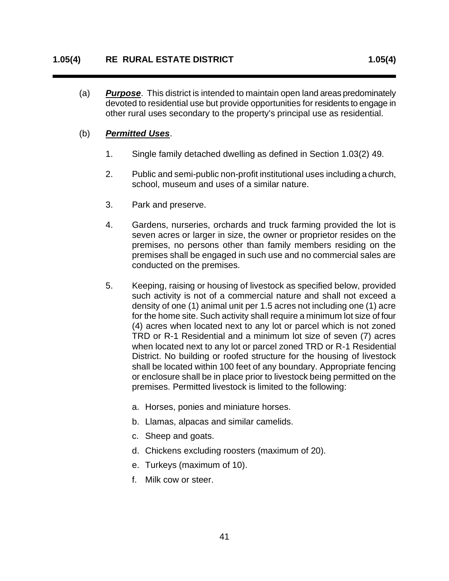(a) *Purpose*. This district is intended to maintain open land areas predominately devoted to residential use but provide opportunities for residents to engage in other rural uses secondary to the property's principal use as residential.

#### (b) *Permitted Uses*.

- 1. Single family detached dwelling as defined in Section 1.03(2) 49.
- 2. Public and semi-public non-profit institutional uses including a church, school, museum and uses of a similar nature.
- 3. Park and preserve.
- 4. Gardens, nurseries, orchards and truck farming provided the lot is seven acres or larger in size, the owner or proprietor resides on the premises, no persons other than family members residing on the premises shall be engaged in such use and no commercial sales are conducted on the premises.
- 5. Keeping, raising or housing of livestock as specified below, provided such activity is not of a commercial nature and shall not exceed a density of one (1) animal unit per 1.5 acres not including one (1) acre for the home site. Such activity shall require a minimum lot size of four (4) acres when located next to any lot or parcel which is not zoned TRD or R-1 Residential and a minimum lot size of seven (7) acres when located next to any lot or parcel zoned TRD or R-1 Residential District. No building or roofed structure for the housing of livestock shall be located within 100 feet of any boundary. Appropriate fencing or enclosure shall be in place prior to livestock being permitted on the premises. Permitted livestock is limited to the following:
	- a. Horses, ponies and miniature horses.
	- b. Llamas, alpacas and similar camelids.
	- c. Sheep and goats.
	- d. Chickens excluding roosters (maximum of 20).
	- e. Turkeys (maximum of 10).
	- f. Milk cow or steer.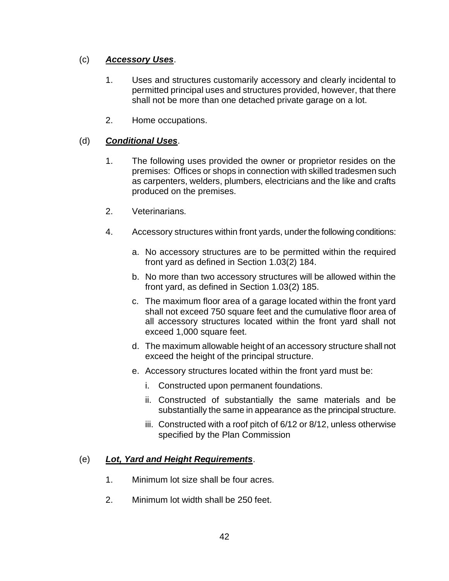# (c) *Accessory Uses*.

- 1. Uses and structures customarily accessory and clearly incidental to permitted principal uses and structures provided, however, that there shall not be more than one detached private garage on a lot.
- 2. Home occupations.

# (d) *Conditional Uses*.

- 1. The following uses provided the owner or proprietor resides on the premises: Offices or shops in connection with skilled tradesmen such as carpenters, welders, plumbers, electricians and the like and crafts produced on the premises.
- 2. Veterinarians.
- 4. Accessory structures within front yards, under the following conditions:
	- a. No accessory structures are to be permitted within the required front yard as defined in Section 1.03(2) 184.
	- b. No more than two accessory structures will be allowed within the front yard, as defined in Section 1.03(2) 185.
	- c. The maximum floor area of a garage located within the front yard shall not exceed 750 square feet and the cumulative floor area of all accessory structures located within the front yard shall not exceed 1,000 square feet.
	- d. The maximum allowable height of an accessory structure shall not exceed the height of the principal structure.
	- e. Accessory structures located within the front yard must be:
		- i. Constructed upon permanent foundations.
		- ii. Constructed of substantially the same materials and be substantially the same in appearance as the principal structure.
		- iii. Constructed with a roof pitch of 6/12 or 8/12, unless otherwise specified by the Plan Commission

# (e) *Lot, Yard and Height Requirements*.

- 1. Minimum lot size shall be four acres.
- 2. Minimum lot width shall be 250 feet.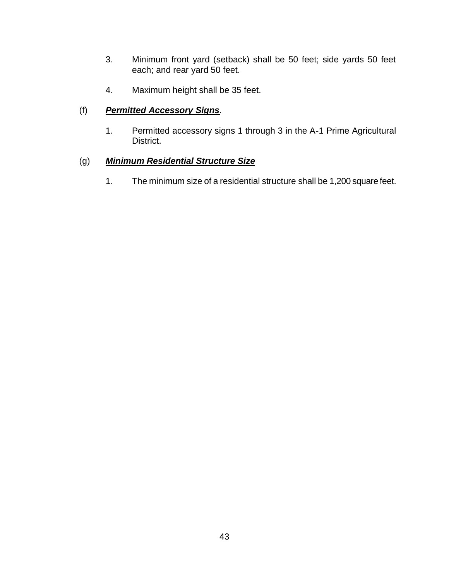- 3. Minimum front yard (setback) shall be 50 feet; side yards 50 feet each; and rear yard 50 feet.
- 4. Maximum height shall be 35 feet.

# (f) *Permitted Accessory Signs.*

1. Permitted accessory signs 1 through 3 in the A-1 Prime Agricultural District.

# (g) *Minimum Residential Structure Size*

1. The minimum size of a residential structure shall be 1,200 square feet.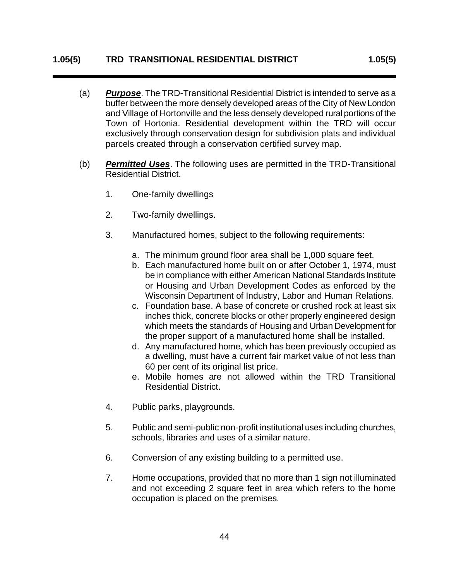#### **1.05(5) TRD TRANSITIONAL RESIDENTIAL DISTRICT 1.05(5)**

- (a) *Purpose*. The TRD-Transitional Residential District is intended to serve as a buffer between the more densely developed areas of the City of New London and Village of Hortonville and the less densely developed rural portions of the Town of Hortonia. Residential development within the TRD will occur exclusively through conservation design for subdivision plats and individual parcels created through a conservation certified survey map.
- (b) *Permitted Uses*. The following uses are permitted in the TRD-Transitional Residential District.
	- 1. One-family dwellings
	- 2. Two-family dwellings.
	- 3. Manufactured homes, subject to the following requirements:
		- a. The minimum ground floor area shall be 1,000 square feet.
		- b. Each manufactured home built on or after October 1, 1974, must be in compliance with either American National Standards Institute or Housing and Urban Development Codes as enforced by the Wisconsin Department of Industry, Labor and Human Relations.
		- c. Foundation base. A base of concrete or crushed rock at least six inches thick, concrete blocks or other properly engineered design which meets the standards of Housing and Urban Development for the proper support of a manufactured home shall be installed.
		- d. Any manufactured home, which has been previously occupied as a dwelling, must have a current fair market value of not less than 60 per cent of its original list price.
		- e. Mobile homes are not allowed within the TRD Transitional Residential District.
	- 4. Public parks, playgrounds.
	- 5. Public and semi-public non-profit institutional uses including churches, schools, libraries and uses of a similar nature.
	- 6. Conversion of any existing building to a permitted use.
	- 7. Home occupations, provided that no more than 1 sign not illuminated and not exceeding 2 square feet in area which refers to the home occupation is placed on the premises.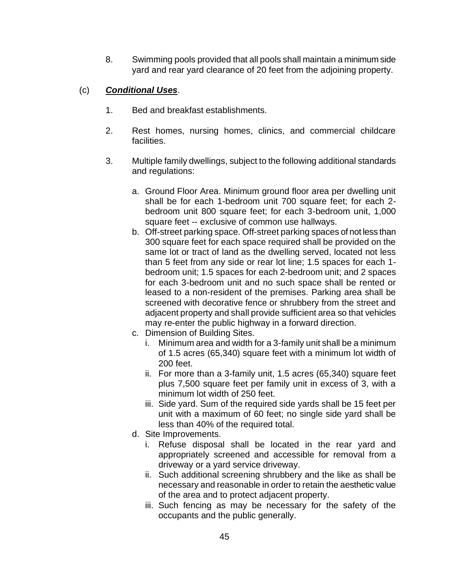8. Swimming pools provided that all pools shall maintain a minimum side yard and rear yard clearance of 20 feet from the adjoining property.

### (c) *Conditional Uses*.

- 1. Bed and breakfast establishments.
- 2. Rest homes, nursing homes, clinics, and commercial childcare facilities.
- 3. Multiple family dwellings, subject to the following additional standards and regulations:
	- a. Ground Floor Area. Minimum ground floor area per dwelling unit shall be for each 1-bedroom unit 700 square feet; for each 2 bedroom unit 800 square feet; for each 3-bedroom unit, 1,000 square feet -- exclusive of common use hallways.
	- b. Off-street parking space. Off-street parking spaces of not less than 300 square feet for each space required shall be provided on the same lot or tract of land as the dwelling served, located not less than 5 feet from any side or rear lot line; 1.5 spaces for each 1 bedroom unit; 1.5 spaces for each 2-bedroom unit; and 2 spaces for each 3-bedroom unit and no such space shall be rented or leased to a non-resident of the premises. Parking area shall be screened with decorative fence or shrubbery from the street and adjacent property and shall provide sufficient area so that vehicles may re-enter the public highway in a forward direction.
	- c. Dimension of Building Sites.
		- i. Minimum area and width for a 3-family unit shall be a minimum of 1.5 acres (65,340) square feet with a minimum lot width of 200 feet.
		- ii. For more than a 3-family unit, 1.5 acres (65,340) square feet plus 7,500 square feet per family unit in excess of 3, with a minimum lot width of 250 feet.
		- iii. Side yard. Sum of the required side yards shall be 15 feet per unit with a maximum of 60 feet; no single side yard shall be less than 40% of the required total.
	- d. Site Improvements.
		- i. Refuse disposal shall be located in the rear yard and appropriately screened and accessible for removal from a driveway or a yard service driveway.
		- ii. Such additional screening shrubbery and the like as shall be necessary and reasonable in order to retain the aesthetic value of the area and to protect adjacent property.
		- iii. Such fencing as may be necessary for the safety of the occupants and the public generally.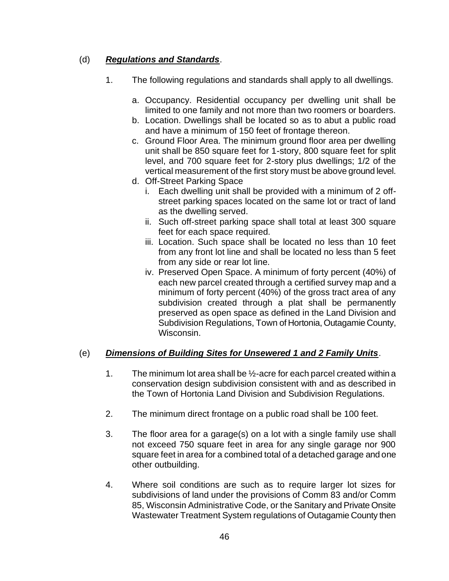# (d) *Regulations and Standards*.

- 1. The following regulations and standards shall apply to all dwellings.
	- a. Occupancy. Residential occupancy per dwelling unit shall be limited to one family and not more than two roomers or boarders.
	- b. Location. Dwellings shall be located so as to abut a public road and have a minimum of 150 feet of frontage thereon.
	- c. Ground Floor Area. The minimum ground floor area per dwelling unit shall be 850 square feet for 1-story, 800 square feet for split level, and 700 square feet for 2-story plus dwellings; 1/2 of the vertical measurement of the first story must be above ground level.
	- d. Off-Street Parking Space
		- i. Each dwelling unit shall be provided with a minimum of 2 offstreet parking spaces located on the same lot or tract of land as the dwelling served.
		- ii. Such off-street parking space shall total at least 300 square feet for each space required.
		- iii. Location. Such space shall be located no less than 10 feet from any front lot line and shall be located no less than 5 feet from any side or rear lot line.
		- iv. Preserved Open Space. A minimum of forty percent (40%) of each new parcel created through a certified survey map and a minimum of forty percent (40%) of the gross tract area of any subdivision created through a plat shall be permanently preserved as open space as defined in the Land Division and Subdivision Regulations, Town of Hortonia, Outagamie County, Wisconsin.

# (e) *Dimensions of Building Sites for Unsewered 1 and 2 Family Units*.

- 1. The minimum lot area shall be ½-acre for each parcel created within a conservation design subdivision consistent with and as described in the Town of Hortonia Land Division and Subdivision Regulations.
- 2. The minimum direct frontage on a public road shall be 100 feet.
- 3. The floor area for a garage(s) on a lot with a single family use shall not exceed 750 square feet in area for any single garage nor 900 square feet in area for a combined total of a detached garage and one other outbuilding.
- 4. Where soil conditions are such as to require larger lot sizes for subdivisions of land under the provisions of Comm 83 and/or Comm 85, Wisconsin Administrative Code, or the Sanitary and Private Onsite Wastewater Treatment System regulations of Outagamie County then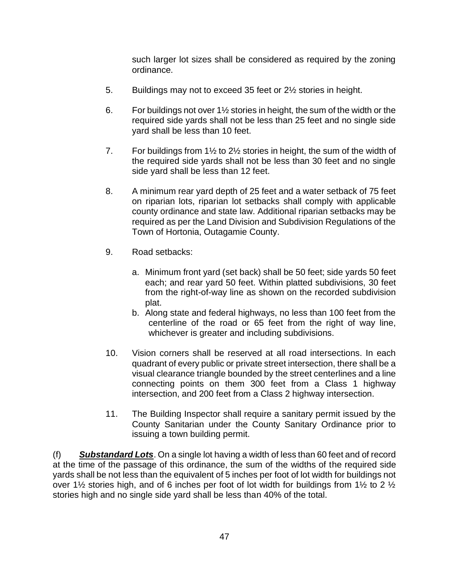such larger lot sizes shall be considered as required by the zoning ordinance.

- 5. Buildings may not to exceed 35 feet or 2½ stories in height.
- 6. For buildings not over  $1\frac{1}{2}$  stories in height, the sum of the width or the required side yards shall not be less than 25 feet and no single side yard shall be less than 10 feet.
- 7. For buildings from 1½ to 2½ stories in height, the sum of the width of the required side yards shall not be less than 30 feet and no single side yard shall be less than 12 feet.
- 8. A minimum rear yard depth of 25 feet and a water setback of 75 feet on riparian lots, riparian lot setbacks shall comply with applicable county ordinance and state law. Additional riparian setbacks may be required as per the Land Division and Subdivision Regulations of the Town of Hortonia, Outagamie County.
- 9. Road setbacks:
	- a. Minimum front yard (set back) shall be 50 feet; side yards 50 feet each; and rear yard 50 feet. Within platted subdivisions, 30 feet from the right-of-way line as shown on the recorded subdivision plat.
	- b. Along state and federal highways, no less than 100 feet from the centerline of the road or 65 feet from the right of way line, whichever is greater and including subdivisions.
- 10. Vision corners shall be reserved at all road intersections. In each quadrant of every public or private street intersection, there shall be a visual clearance triangle bounded by the street centerlines and a line connecting points on them 300 feet from a Class 1 highway intersection, and 200 feet from a Class 2 highway intersection.
- 11. The Building Inspector shall require a sanitary permit issued by the County Sanitarian under the County Sanitary Ordinance prior to issuing a town building permit.

(f) *Substandard Lots*. On a single lot having a width of less than 60 feet and of record at the time of the passage of this ordinance, the sum of the widths of the required side yards shall be not less than the equivalent of 5 inches per foot of lot width for buildings not over 1½ stories high, and of 6 inches per foot of lot width for buildings from 1½ to 2  $\frac{1}{2}$ stories high and no single side yard shall be less than 40% of the total.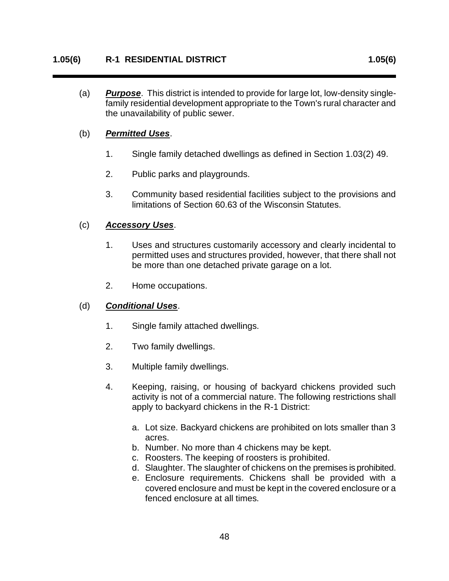(a) *Purpose*. This district is intended to provide for large lot, low-density singlefamily residential development appropriate to the Town's rural character and the unavailability of public sewer.

#### (b) *Permitted Uses*.

- 1. Single family detached dwellings as defined in Section 1.03(2) 49.
- 2. Public parks and playgrounds.
- 3. Community based residential facilities subject to the provisions and limitations of Section 60.63 of the Wisconsin Statutes.

#### (c) *Accessory Uses*.

- 1. Uses and structures customarily accessory and clearly incidental to permitted uses and structures provided, however, that there shall not be more than one detached private garage on a lot.
- 2. Home occupations.

#### (d) *Conditional Uses*.

- 1. Single family attached dwellings.
- 2. Two family dwellings.
- 3. Multiple family dwellings.
- 4. Keeping, raising, or housing of backyard chickens provided such activity is not of a commercial nature. The following restrictions shall apply to backyard chickens in the R-1 District:
	- a. Lot size. Backyard chickens are prohibited on lots smaller than 3 acres.
	- b. Number. No more than 4 chickens may be kept.
	- c. Roosters. The keeping of roosters is prohibited.
	- d. Slaughter. The slaughter of chickens on the premises is prohibited.
	- e. Enclosure requirements. Chickens shall be provided with a covered enclosure and must be kept in the covered enclosure or a fenced enclosure at all times.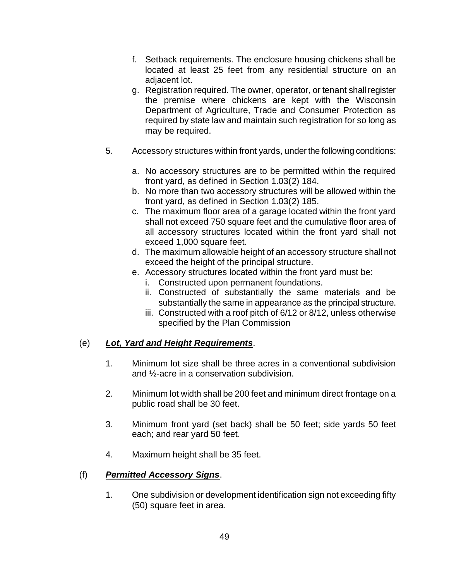- f. Setback requirements. The enclosure housing chickens shall be located at least 25 feet from any residential structure on an adjacent lot.
- g. Registration required. The owner, operator, or tenant shall register the premise where chickens are kept with the Wisconsin Department of Agriculture, Trade and Consumer Protection as required by state law and maintain such registration for so long as may be required.
- 5. Accessory structures within front yards, under the following conditions:
	- a. No accessory structures are to be permitted within the required front yard, as defined in Section 1.03(2) 184.
	- b. No more than two accessory structures will be allowed within the front yard, as defined in Section 1.03(2) 185.
	- c. The maximum floor area of a garage located within the front yard shall not exceed 750 square feet and the cumulative floor area of all accessory structures located within the front yard shall not exceed 1,000 square feet.
	- d. The maximum allowable height of an accessory structure shall not exceed the height of the principal structure.
	- e. Accessory structures located within the front yard must be:
		- i. Constructed upon permanent foundations.
		- ii. Constructed of substantially the same materials and be substantially the same in appearance as the principal structure.
		- iii. Constructed with a roof pitch of 6/12 or 8/12, unless otherwise specified by the Plan Commission

#### (e) *Lot, Yard and Height Requirements*.

- 1. Minimum lot size shall be three acres in a conventional subdivision and ½-acre in a conservation subdivision.
- 2. Minimum lot width shall be 200 feet and minimum direct frontage on a public road shall be 30 feet.
- 3. Minimum front yard (set back) shall be 50 feet; side yards 50 feet each; and rear yard 50 feet.
- 4. Maximum height shall be 35 feet.

#### (f) *Permitted Accessory Signs*.

1. One subdivision or development identification sign not exceeding fifty (50) square feet in area.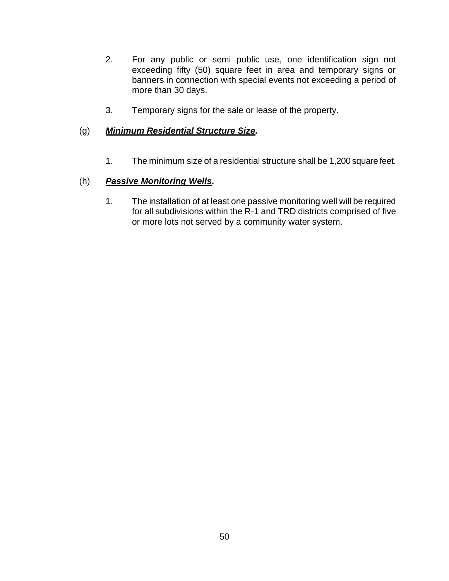- 2. For any public or semi public use, one identification sign not exceeding fifty (50) square feet in area and temporary signs or banners in connection with special events not exceeding a period of more than 30 days.
- 3. Temporary signs for the sale or lease of the property.

### (g) *Minimum Residential Structure Size.*

1. The minimum size of a residential structure shall be 1,200 square feet.

### (h) *Passive Monitoring Wells.*

1. The installation of at least one passive monitoring well will be required for all subdivisions within the R-1 and TRD districts comprised of five or more lots not served by a community water system.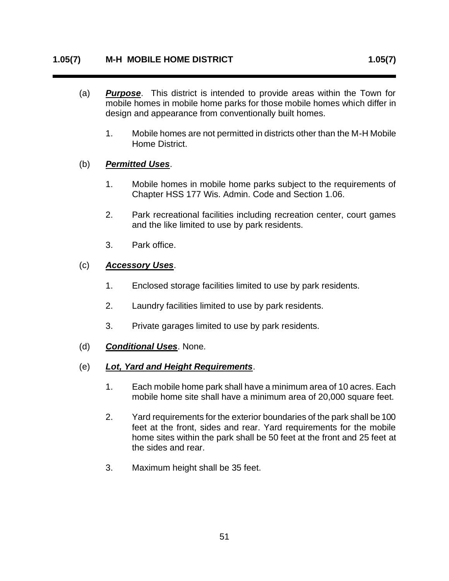- (a) *Purpose*. This district is intended to provide areas within the Town for mobile homes in mobile home parks for those mobile homes which differ in design and appearance from conventionally built homes.
	- 1. Mobile homes are not permitted in districts other than the M-H Mobile Home District.

### (b) *Permitted Uses*.

- 1. Mobile homes in mobile home parks subject to the requirements of Chapter HSS 177 Wis. Admin. Code and Section 1.06.
- 2. Park recreational facilities including recreation center, court games and the like limited to use by park residents.
- 3. Park office.

### (c) *Accessory Uses*.

- 1. Enclosed storage facilities limited to use by park residents.
- 2. Laundry facilities limited to use by park residents.
- 3. Private garages limited to use by park residents.
- (d) *Conditional Uses*. None.
- (e) *Lot, Yard and Height Requirements*.
	- 1. Each mobile home park shall have a minimum area of 10 acres. Each mobile home site shall have a minimum area of 20,000 square feet.
	- 2. Yard requirements for the exterior boundaries of the park shall be 100 feet at the front, sides and rear. Yard requirements for the mobile home sites within the park shall be 50 feet at the front and 25 feet at the sides and rear.
	- 3. Maximum height shall be 35 feet.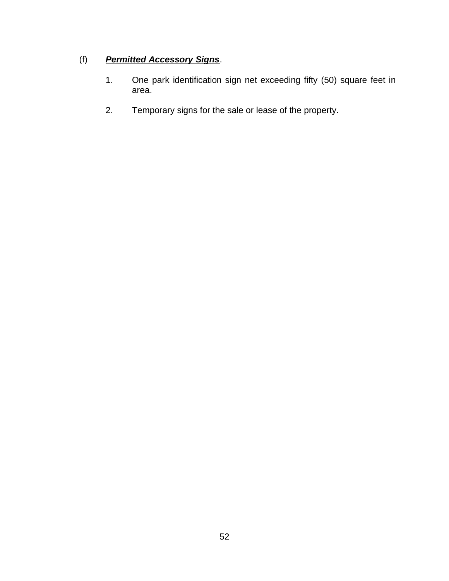# (f) *Permitted Accessory Signs*.

- 1. One park identification sign net exceeding fifty (50) square feet in area.
- 2. Temporary signs for the sale or lease of the property.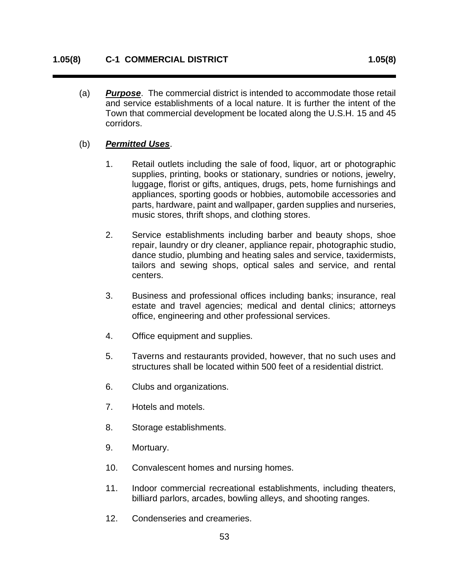(a) *Purpose*. The commercial district is intended to accommodate those retail and service establishments of a local nature. It is further the intent of the Town that commercial development be located along the U.S.H. 15 and 45 corridors.

#### (b) *Permitted Uses*.

- 1. Retail outlets including the sale of food, liquor, art or photographic supplies, printing, books or stationary, sundries or notions, jewelry, luggage, florist or gifts, antiques, drugs, pets, home furnishings and appliances, sporting goods or hobbies, automobile accessories and parts, hardware, paint and wallpaper, garden supplies and nurseries, music stores, thrift shops, and clothing stores.
- 2. Service establishments including barber and beauty shops, shoe repair, laundry or dry cleaner, appliance repair, photographic studio, dance studio, plumbing and heating sales and service, taxidermists, tailors and sewing shops, optical sales and service, and rental centers.
- 3. Business and professional offices including banks; insurance, real estate and travel agencies; medical and dental clinics; attorneys office, engineering and other professional services.
- 4. Office equipment and supplies.
- 5. Taverns and restaurants provided, however, that no such uses and structures shall be located within 500 feet of a residential district.
- 6. Clubs and organizations.
- 7. Hotels and motels.
- 8. Storage establishments.
- 9. Mortuary.
- 10. Convalescent homes and nursing homes.
- 11. Indoor commercial recreational establishments, including theaters, billiard parlors, arcades, bowling alleys, and shooting ranges.
- 12. Condenseries and creameries.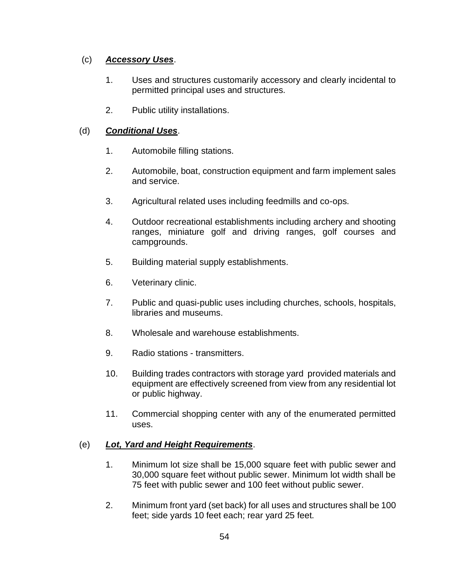# (c) *Accessory Uses*.

- 1. Uses and structures customarily accessory and clearly incidental to permitted principal uses and structures.
- 2. Public utility installations.

# (d) *Conditional Uses*.

- 1. Automobile filling stations.
- 2. Automobile, boat, construction equipment and farm implement sales and service.
- 3. Agricultural related uses including feedmills and co-ops.
- 4. Outdoor recreational establishments including archery and shooting ranges, miniature golf and driving ranges, golf courses and campgrounds.
- 5. Building material supply establishments.
- 6. Veterinary clinic.
- 7. Public and quasi-public uses including churches, schools, hospitals, libraries and museums.
- 8. Wholesale and warehouse establishments.
- 9. Radio stations transmitters.
- 10. Building trades contractors with storage yard provided materials and equipment are effectively screened from view from any residential lot or public highway.
- 11. Commercial shopping center with any of the enumerated permitted uses.

# (e) *Lot, Yard and Height Requirements*.

- 1. Minimum lot size shall be 15,000 square feet with public sewer and 30,000 square feet without public sewer. Minimum lot width shall be 75 feet with public sewer and 100 feet without public sewer.
- 2. Minimum front yard (set back) for all uses and structures shall be 100 feet; side yards 10 feet each; rear yard 25 feet.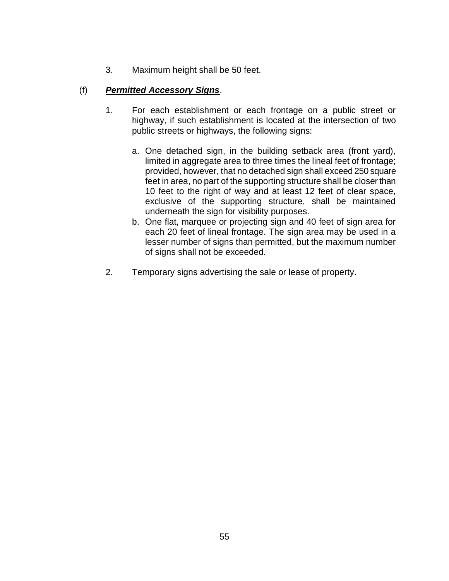3. Maximum height shall be 50 feet.

# (f) *Permitted Accessory Signs*.

- 1. For each establishment or each frontage on a public street or highway, if such establishment is located at the intersection of two public streets or highways, the following signs:
	- a. One detached sign, in the building setback area (front yard), limited in aggregate area to three times the lineal feet of frontage; provided, however, that no detached sign shall exceed 250 square feet in area, no part of the supporting structure shall be closer than 10 feet to the right of way and at least 12 feet of clear space, exclusive of the supporting structure, shall be maintained underneath the sign for visibility purposes.
	- b. One flat, marquee or projecting sign and 40 feet of sign area for each 20 feet of lineal frontage. The sign area may be used in a lesser number of signs than permitted, but the maximum number of signs shall not be exceeded.
- 2. Temporary signs advertising the sale or lease of property.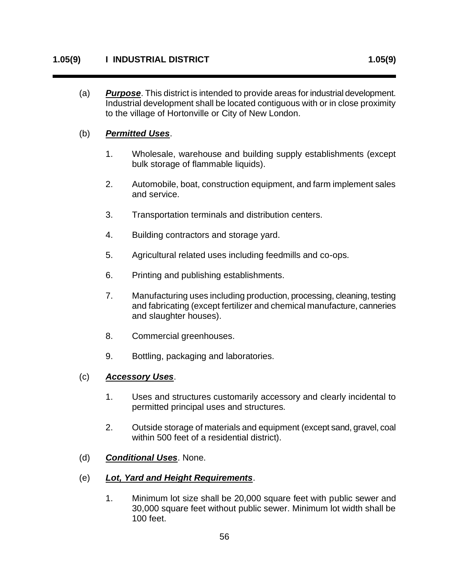(a) *Purpose*. This district is intended to provide areas for industrial development. Industrial development shall be located contiguous with or in close proximity to the village of Hortonville or City of New London.

#### (b) *Permitted Uses*.

- 1. Wholesale, warehouse and building supply establishments (except bulk storage of flammable liquids).
- 2. Automobile, boat, construction equipment, and farm implement sales and service.
- 3. Transportation terminals and distribution centers.
- 4. Building contractors and storage yard.
- 5. Agricultural related uses including feedmills and co-ops.
- 6. Printing and publishing establishments.
- 7. Manufacturing uses including production, processing, cleaning, testing and fabricating (except fertilizer and chemical manufacture, canneries and slaughter houses).
- 8. Commercial greenhouses.
- 9. Bottling, packaging and laboratories.

#### (c) *Accessory Uses*.

- 1. Uses and structures customarily accessory and clearly incidental to permitted principal uses and structures.
- 2. Outside storage of materials and equipment (except sand, gravel, coal within 500 feet of a residential district).
- (d) *Conditional Uses*. None.
- (e) *Lot, Yard and Height Requirements*.
	- 1. Minimum lot size shall be 20,000 square feet with public sewer and 30,000 square feet without public sewer. Minimum lot width shall be 100 feet.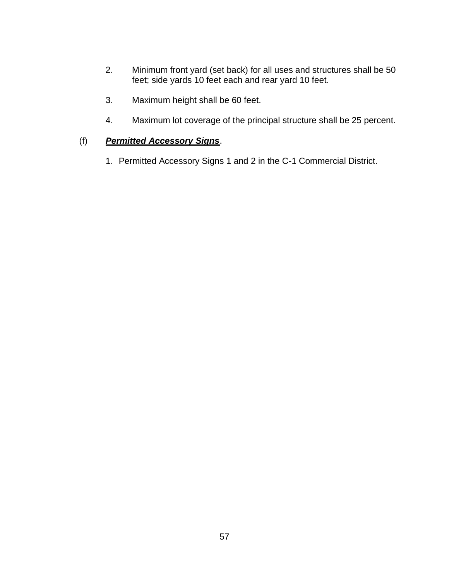- 2. Minimum front yard (set back) for all uses and structures shall be 50 feet; side yards 10 feet each and rear yard 10 feet.
- 3. Maximum height shall be 60 feet.
- 4. Maximum lot coverage of the principal structure shall be 25 percent.

#### (f) *Permitted Accessory Signs*.

1. Permitted Accessory Signs 1 and 2 in the C-1 Commercial District.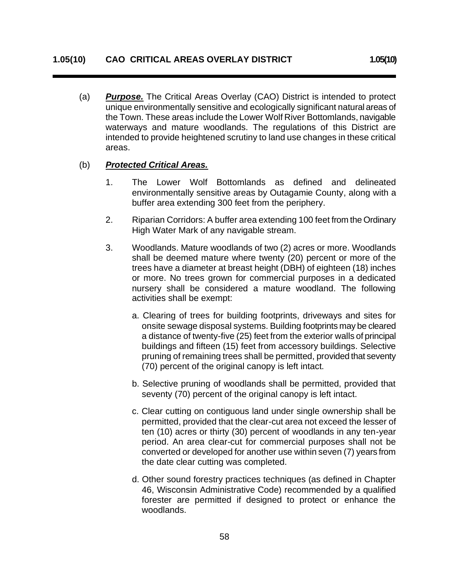(a) *Purpose.* The Critical Areas Overlay (CAO) District is intended to protect unique environmentally sensitive and ecologically significant natural areas of the Town. These areas include the Lower Wolf River Bottomlands, navigable waterways and mature woodlands. The regulations of this District are intended to provide heightened scrutiny to land use changes in these critical areas.

#### (b) *Protected Critical Areas.*

- 1. The Lower Wolf Bottomlands as defined and delineated environmentally sensitive areas by Outagamie County, along with a buffer area extending 300 feet from the periphery.
- 2. Riparian Corridors: A buffer area extending 100 feet from the Ordinary High Water Mark of any navigable stream.
- 3. Woodlands. Mature woodlands of two (2) acres or more. Woodlands shall be deemed mature where twenty (20) percent or more of the trees have a diameter at breast height (DBH) of eighteen (18) inches or more. No trees grown for commercial purposes in a dedicated nursery shall be considered a mature woodland. The following activities shall be exempt:
	- a. Clearing of trees for building footprints, driveways and sites for onsite sewage disposal systems. Building footprints may be cleared a distance of twenty-five (25) feet from the exterior walls of principal buildings and fifteen (15) feet from accessory buildings. Selective pruning of remaining trees shall be permitted, provided that seventy (70) percent of the original canopy is left intact.
	- b. Selective pruning of woodlands shall be permitted, provided that seventy (70) percent of the original canopy is left intact.
	- c. Clear cutting on contiguous land under single ownership shall be permitted, provided that the clear-cut area not exceed the lesser of ten (10) acres or thirty (30) percent of woodlands in any ten-year period. An area clear-cut for commercial purposes shall not be converted or developed for another use within seven (7) years from the date clear cutting was completed.
	- d. Other sound forestry practices techniques (as defined in Chapter 46, Wisconsin Administrative Code) recommended by a qualified forester are permitted if designed to protect or enhance the woodlands.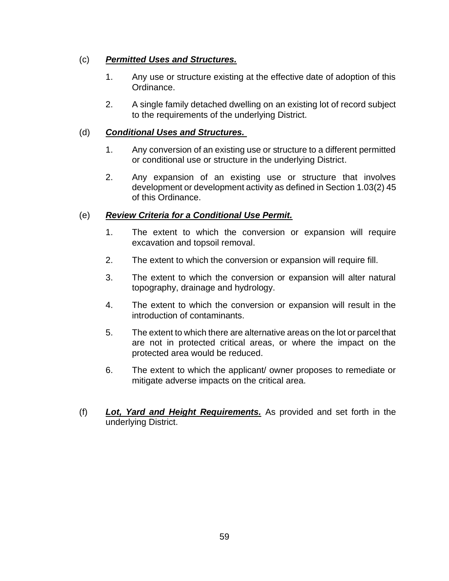# (c) *Permitted Uses and Structures.*

- 1. Any use or structure existing at the effective date of adoption of this Ordinance.
- 2. A single family detached dwelling on an existing lot of record subject to the requirements of the underlying District.

### (d) *Conditional Uses and Structures.*

- 1. Any conversion of an existing use or structure to a different permitted or conditional use or structure in the underlying District.
- 2. Any expansion of an existing use or structure that involves development or development activity as defined in Section 1.03(2) 45 of this Ordinance.

# (e) *Review Criteria for a Conditional Use Permit.*

- 1. The extent to which the conversion or expansion will require excavation and topsoil removal.
- 2. The extent to which the conversion or expansion will require fill.
- 3. The extent to which the conversion or expansion will alter natural topography, drainage and hydrology.
- 4. The extent to which the conversion or expansion will result in the introduction of contaminants.
- 5. The extent to which there are alternative areas on the lot or parcel that are not in protected critical areas, or where the impact on the protected area would be reduced.
- 6. The extent to which the applicant/ owner proposes to remediate or mitigate adverse impacts on the critical area.
- (f) *Lot, Yard and Height Requirements.* As provided and set forth in the underlying District.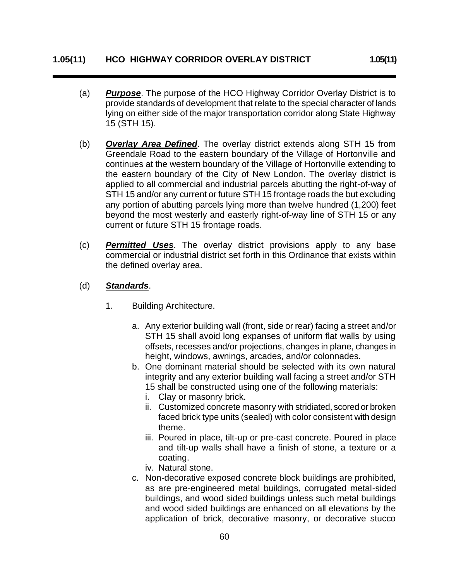- (a) *Purpose*. The purpose of the HCO Highway Corridor Overlay District is to provide standards of development that relate to the special character of lands lying on either side of the major transportation corridor along State Highway 15 (STH 15).
- (b) *Overlay Area Defined*. The overlay district extends along STH 15 from Greendale Road to the eastern boundary of the Village of Hortonville and continues at the western boundary of the Village of Hortonville extending to the eastern boundary of the City of New London. The overlay district is applied to all commercial and industrial parcels abutting the right-of-way of STH 15 and/or any current or future STH 15 frontage roads the but excluding any portion of abutting parcels lying more than twelve hundred (1,200) feet beyond the most westerly and easterly right-of-way line of STH 15 or any current or future STH 15 frontage roads.
- (c) *Permitted Uses*. The overlay district provisions apply to any base commercial or industrial district set forth in this Ordinance that exists within the defined overlay area.
- (d) *Standards*.
	- 1. Building Architecture.
		- a. Any exterior building wall (front, side or rear) facing a street and/or STH 15 shall avoid long expanses of uniform flat walls by using offsets, recesses and/or projections, changes in plane, changes in height, windows, awnings, arcades, and/or colonnades.
		- b. One dominant material should be selected with its own natural integrity and any exterior building wall facing a street and/or STH 15 shall be constructed using one of the following materials:
			- i. Clay or masonry brick.
			- ii. Customized concrete masonry with stridiated, scored or broken faced brick type units (sealed) with color consistent with design theme.
			- iii. Poured in place, tilt-up or pre-cast concrete. Poured in place and tilt-up walls shall have a finish of stone, a texture or a coating.
			- iv. Natural stone.
		- c. Non-decorative exposed concrete block buildings are prohibited, as are pre-engineered metal buildings, corrugated metal-sided buildings, and wood sided buildings unless such metal buildings and wood sided buildings are enhanced on all elevations by the application of brick, decorative masonry, or decorative stucco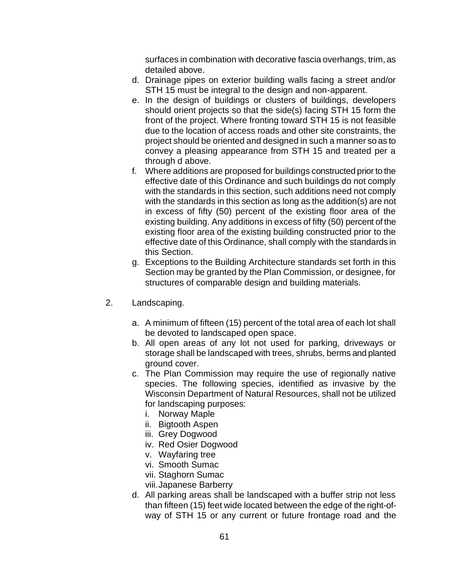surfaces in combination with decorative fascia overhangs, trim, as detailed above.

- d. Drainage pipes on exterior building walls facing a street and/or STH 15 must be integral to the design and non-apparent.
- e. In the design of buildings or clusters of buildings, developers should orient projects so that the side(s) facing STH 15 form the front of the project. Where fronting toward STH 15 is not feasible due to the location of access roads and other site constraints, the project should be oriented and designed in such a manner so as to convey a pleasing appearance from STH 15 and treated per a through d above.
- f. Where additions are proposed for buildings constructed prior to the effective date of this Ordinance and such buildings do not comply with the standards in this section, such additions need not comply with the standards in this section as long as the addition(s) are not in excess of fifty (50) percent of the existing floor area of the existing building. Any additions in excess of fifty (50) percent of the existing floor area of the existing building constructed prior to the effective date of this Ordinance, shall comply with the standards in this Section.
- g. Exceptions to the Building Architecture standards set forth in this Section may be granted by the Plan Commission, or designee, for structures of comparable design and building materials.
- 2. Landscaping.
	- a. A minimum of fifteen (15) percent of the total area of each lot shall be devoted to landscaped open space.
	- b. All open areas of any lot not used for parking, driveways or storage shall be landscaped with trees, shrubs, berms and planted ground cover.
	- c. The Plan Commission may require the use of regionally native species. The following species, identified as invasive by the Wisconsin Department of Natural Resources, shall not be utilized for landscaping purposes:
		- i. Norway Maple
		- ii. Bigtooth Aspen
		- iii. Grey Dogwood
		- iv. Red Osier Dogwood
		- v. Wayfaring tree
		- vi. Smooth Sumac
		- vii. Staghorn Sumac
		- viii.Japanese Barberry
	- d. All parking areas shall be landscaped with a buffer strip not less than fifteen (15) feet wide located between the edge of the right-ofway of STH 15 or any current or future frontage road and the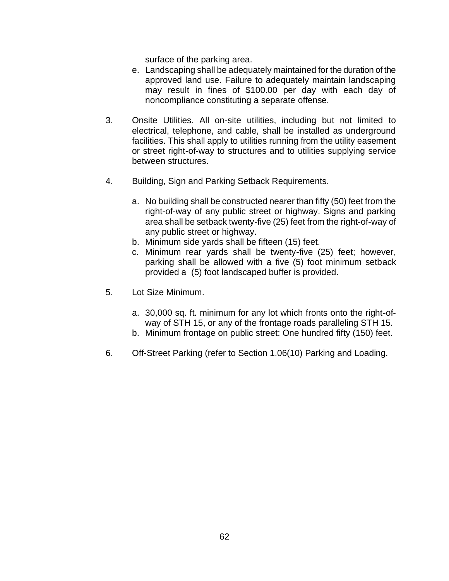surface of the parking area.

- e. Landscaping shall be adequately maintained for the duration of the approved land use. Failure to adequately maintain landscaping may result in fines of \$100.00 per day with each day of noncompliance constituting a separate offense.
- 3. Onsite Utilities. All on-site utilities, including but not limited to electrical, telephone, and cable, shall be installed as underground facilities. This shall apply to utilities running from the utility easement or street right-of-way to structures and to utilities supplying service between structures.
- 4. Building, Sign and Parking Setback Requirements.
	- a. No building shall be constructed nearer than fifty (50) feet from the right-of-way of any public street or highway. Signs and parking area shall be setback twenty-five (25) feet from the right-of-way of any public street or highway.
	- b. Minimum side yards shall be fifteen (15) feet.
	- c. Minimum rear yards shall be twenty-five (25) feet; however, parking shall be allowed with a five (5) foot minimum setback provided a (5) foot landscaped buffer is provided.
- 5. Lot Size Minimum.
	- a. 30,000 sq. ft. minimum for any lot which fronts onto the right-ofway of STH 15, or any of the frontage roads paralleling STH 15.
	- b. Minimum frontage on public street: One hundred fifty (150) feet.
- 6. Off-Street Parking (refer to Section 1.06(10) Parking and Loading.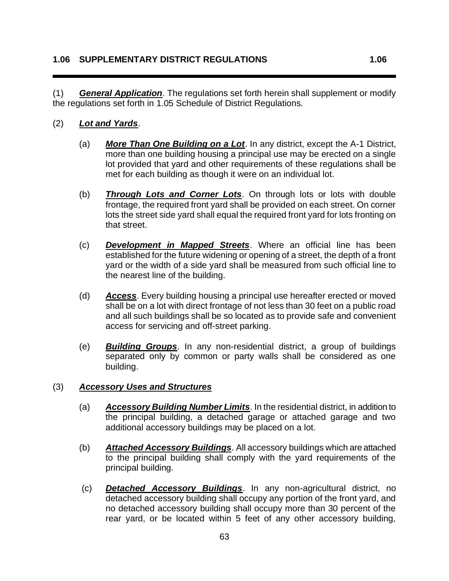(1) *General Application*. The regulations set forth herein shall supplement or modify the regulations set forth in 1.05 Schedule of District Regulations.

#### (2) *Lot and Yards*.

- (a) *More Than One Building on a Lot*. In any district, except the A-1 District, more than one building housing a principal use may be erected on a single lot provided that yard and other requirements of these regulations shall be met for each building as though it were on an individual lot.
- (b) *Through Lots and Corner Lots*. On through lots or lots with double frontage, the required front yard shall be provided on each street. On corner lots the street side yard shall equal the required front yard for lots fronting on that street.
- (c) *Development in Mapped Streets*. Where an official line has been established for the future widening or opening of a street, the depth of a front yard or the width of a side yard shall be measured from such official line to the nearest line of the building.
- (d) *Access*. Every building housing a principal use hereafter erected or moved shall be on a lot with direct frontage of not less than 30 feet on a public road and all such buildings shall be so located as to provide safe and convenient access for servicing and off-street parking.
- (e) *Building Groups*. In any non-residential district, a group of buildings separated only by common or party walls shall be considered as one building.

#### (3) *Accessory Uses and Structures*

- (a) *Accessory Building Number Limits*. In the residential district, in addition to the principal building, a detached garage or attached garage and two additional accessory buildings may be placed on a lot.
- (b) *Attached Accessory Buildings*. All accessory buildings which are attached to the principal building shall comply with the yard requirements of the principal building.
- (c) *Detached Accessory Buildings*. In any non-agricultural district, no detached accessory building shall occupy any portion of the front yard, and no detached accessory building shall occupy more than 30 percent of the rear yard, or be located within 5 feet of any other accessory building,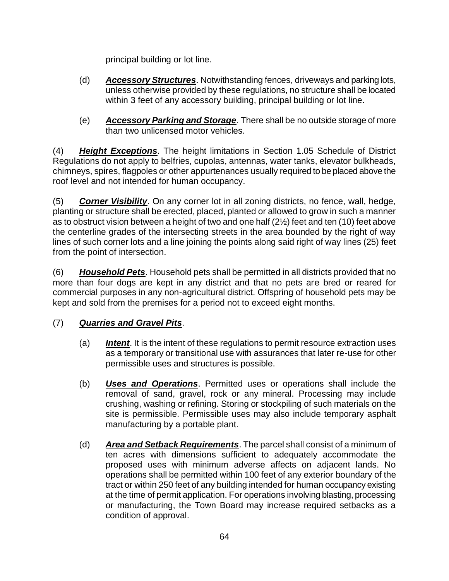principal building or lot line.

- (d) *Accessory Structures*. Notwithstanding fences, driveways and parking lots, unless otherwise provided by these regulations, no structure shall be located within 3 feet of any accessory building, principal building or lot line.
- (e) *Accessory Parking and Storage*. There shall be no outside storage of more than two unlicensed motor vehicles.

(4) *Height Exceptions*. The height limitations in Section 1.05 Schedule of District Regulations do not apply to belfries, cupolas, antennas, water tanks, elevator bulkheads, chimneys, spires, flagpoles or other appurtenances usually required to be placed above the roof level and not intended for human occupancy.

(5) *Corner Visibility*. On any corner lot in all zoning districts, no fence, wall, hedge, planting or structure shall be erected, placed, planted or allowed to grow in such a manner as to obstruct vision between a height of two and one half (2½) feet and ten (10) feet above the centerline grades of the intersecting streets in the area bounded by the right of way lines of such corner lots and a line joining the points along said right of way lines (25) feet from the point of intersection.

(6) *Household Pets*. Household pets shall be permitted in all districts provided that no more than four dogs are kept in any district and that no pets are bred or reared for commercial purposes in any non-agricultural district. Offspring of household pets may be kept and sold from the premises for a period not to exceed eight months.

# (7) *Quarries and Gravel Pits*.

- (a) *Intent*. It is the intent of these regulations to permit resource extraction uses as a temporary or transitional use with assurances that later re-use for other permissible uses and structures is possible.
- (b) *Uses and Operations*. Permitted uses or operations shall include the removal of sand, gravel, rock or any mineral. Processing may include crushing, washing or refining. Storing or stockpiling of such materials on the site is permissible. Permissible uses may also include temporary asphalt manufacturing by a portable plant.
- (d) *Area and Setback Requirements*. The parcel shall consist of a minimum of ten acres with dimensions sufficient to adequately accommodate the proposed uses with minimum adverse affects on adjacent lands. No operations shall be permitted within 100 feet of any exterior boundary of the tract or within 250 feet of any building intended for human occupancy existing at the time of permit application. For operations involving blasting, processing or manufacturing, the Town Board may increase required setbacks as a condition of approval.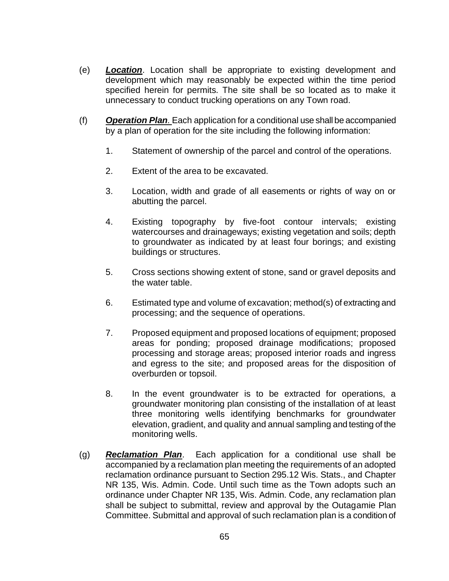- (e) *Location*. Location shall be appropriate to existing development and development which may reasonably be expected within the time period specified herein for permits. The site shall be so located as to make it unnecessary to conduct trucking operations on any Town road.
- (f) *Operation Plan.* Each application for a conditional use shall be accompanied by a plan of operation for the site including the following information:
	- 1. Statement of ownership of the parcel and control of the operations.
	- 2. Extent of the area to be excavated.
	- 3. Location, width and grade of all easements or rights of way on or abutting the parcel.
	- 4. Existing topography by five-foot contour intervals; existing watercourses and drainageways; existing vegetation and soils; depth to groundwater as indicated by at least four borings; and existing buildings or structures.
	- 5. Cross sections showing extent of stone, sand or gravel deposits and the water table.
	- 6. Estimated type and volume of excavation; method(s) of extracting and processing; and the sequence of operations.
	- 7. Proposed equipment and proposed locations of equipment; proposed areas for ponding; proposed drainage modifications; proposed processing and storage areas; proposed interior roads and ingress and egress to the site; and proposed areas for the disposition of overburden or topsoil.
	- 8. In the event groundwater is to be extracted for operations, a groundwater monitoring plan consisting of the installation of at least three monitoring wells identifying benchmarks for groundwater elevation, gradient, and quality and annual sampling and testing of the monitoring wells.
- (g) *Reclamation Plan*. Each application for a conditional use shall be accompanied by a reclamation plan meeting the requirements of an adopted reclamation ordinance pursuant to Section 295.12 Wis. Stats., and Chapter NR 135, Wis. Admin. Code. Until such time as the Town adopts such an ordinance under Chapter NR 135, Wis. Admin. Code, any reclamation plan shall be subject to submittal, review and approval by the Outagamie Plan Committee. Submittal and approval of such reclamation plan is a condition of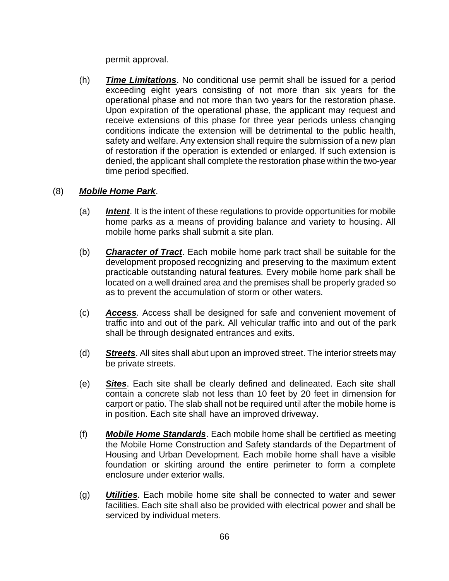permit approval.

(h) *Time Limitations*. No conditional use permit shall be issued for a period exceeding eight years consisting of not more than six years for the operational phase and not more than two years for the restoration phase. Upon expiration of the operational phase, the applicant may request and receive extensions of this phase for three year periods unless changing conditions indicate the extension will be detrimental to the public health, safety and welfare. Any extension shall require the submission of a new plan of restoration if the operation is extended or enlarged. If such extension is denied, the applicant shall complete the restoration phase within the two-year time period specified.

### (8) *Mobile Home Park*.

- (a) *Intent*. It is the intent of these regulations to provide opportunities for mobile home parks as a means of providing balance and variety to housing. All mobile home parks shall submit a site plan.
- (b) *Character of Tract*. Each mobile home park tract shall be suitable for the development proposed recognizing and preserving to the maximum extent practicable outstanding natural features. Every mobile home park shall be located on a well drained area and the premises shall be properly graded so as to prevent the accumulation of storm or other waters.
- (c) *Access*. Access shall be designed for safe and convenient movement of traffic into and out of the park. All vehicular traffic into and out of the park shall be through designated entrances and exits.
- (d) *Streets*. All sites shall abut upon an improved street. The interior streets may be private streets.
- (e) *Sites*. Each site shall be clearly defined and delineated. Each site shall contain a concrete slab not less than 10 feet by 20 feet in dimension for carport or patio. The slab shall not be required until after the mobile home is in position. Each site shall have an improved driveway.
- (f) *Mobile Home Standards*. Each mobile home shall be certified as meeting the Mobile Home Construction and Safety standards of the Department of Housing and Urban Development. Each mobile home shall have a visible foundation or skirting around the entire perimeter to form a complete enclosure under exterior walls.
- (g) *Utilities*. Each mobile home site shall be connected to water and sewer facilities. Each site shall also be provided with electrical power and shall be serviced by individual meters.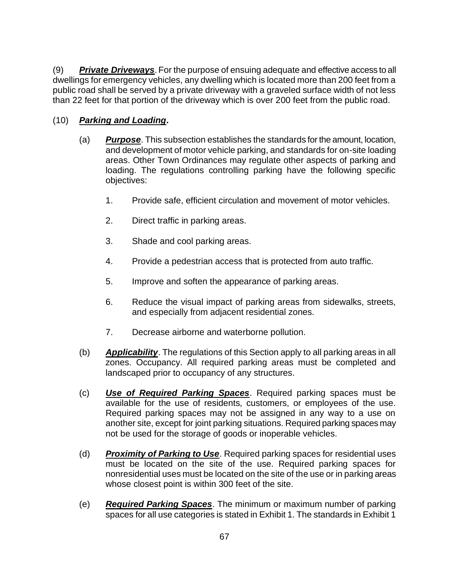(9) *Private Driveways*.For the purpose of ensuing adequate and effective access to all dwellings for emergency vehicles, any dwelling which is located more than 200 feet from a public road shall be served by a private driveway with a graveled surface width of not less than 22 feet for that portion of the driveway which is over 200 feet from the public road.

# (10) *Parking and Loading***.**

- (a) *Purpose*. This subsection establishes the standards for the amount, location, and development of motor vehicle parking, and standards for on-site loading areas. Other Town Ordinances may regulate other aspects of parking and loading. The regulations controlling parking have the following specific objectives:
	- 1. Provide safe, efficient circulation and movement of motor vehicles.
	- 2. Direct traffic in parking areas.
	- 3. Shade and cool parking areas.
	- 4. Provide a pedestrian access that is protected from auto traffic.
	- 5. Improve and soften the appearance of parking areas.
	- 6. Reduce the visual impact of parking areas from sidewalks, streets, and especially from adjacent residential zones.
	- 7. Decrease airborne and waterborne pollution.
- (b) *Applicability*. The regulations of this Section apply to all parking areas in all zones. Occupancy. All required parking areas must be completed and landscaped prior to occupancy of any structures.
- (c) *Use of Required Parking Spaces*. Required parking spaces must be available for the use of residents, customers, or employees of the use. Required parking spaces may not be assigned in any way to a use on another site, except for joint parking situations. Required parking spaces may not be used for the storage of goods or inoperable vehicles.
- (d) *Proximity of Parking to Use*. Required parking spaces for residential uses must be located on the site of the use. Required parking spaces for nonresidential uses must be located on the site of the use or in parking areas whose closest point is within 300 feet of the site.
- (e) *Required Parking Spaces*. The minimum or maximum number of parking spaces for all use categories is stated in Exhibit 1. The standards in Exhibit 1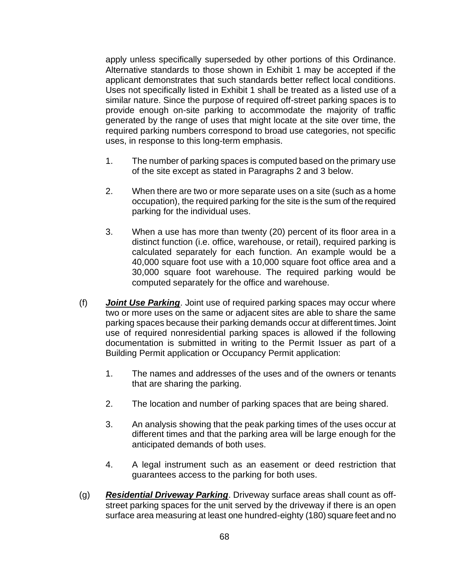apply unless specifically superseded by other portions of this Ordinance. Alternative standards to those shown in Exhibit 1 may be accepted if the applicant demonstrates that such standards better reflect local conditions. Uses not specifically listed in Exhibit 1 shall be treated as a listed use of a similar nature. Since the purpose of required off-street parking spaces is to provide enough on-site parking to accommodate the majority of traffic generated by the range of uses that might locate at the site over time, the required parking numbers correspond to broad use categories, not specific uses, in response to this long-term emphasis.

- 1. The number of parking spaces is computed based on the primary use of the site except as stated in Paragraphs 2 and 3 below.
- 2. When there are two or more separate uses on a site (such as a home occupation), the required parking for the site is the sum of the required parking for the individual uses.
- 3. When a use has more than twenty (20) percent of its floor area in a distinct function (i.e. office, warehouse, or retail), required parking is calculated separately for each function. An example would be a 40,000 square foot use with a 10,000 square foot office area and a 30,000 square foot warehouse. The required parking would be computed separately for the office and warehouse.
- (f) *Joint Use Parking*. Joint use of required parking spaces may occur where two or more uses on the same or adjacent sites are able to share the same parking spaces because their parking demands occur at different times. Joint use of required nonresidential parking spaces is allowed if the following documentation is submitted in writing to the Permit Issuer as part of a Building Permit application or Occupancy Permit application:
	- 1. The names and addresses of the uses and of the owners or tenants that are sharing the parking.
	- 2. The location and number of parking spaces that are being shared.
	- 3. An analysis showing that the peak parking times of the uses occur at different times and that the parking area will be large enough for the anticipated demands of both uses.
	- 4. A legal instrument such as an easement or deed restriction that guarantees access to the parking for both uses.
- (g) *Residential Driveway Parking*. Driveway surface areas shall count as offstreet parking spaces for the unit served by the driveway if there is an open surface area measuring at least one hundred-eighty (180) square feet and no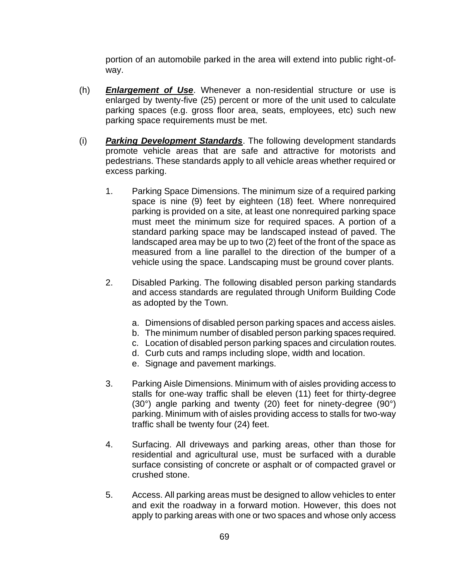portion of an automobile parked in the area will extend into public right-ofway.

- (h) *Enlargement of Use*. Whenever a non-residential structure or use is enlarged by twenty-five (25) percent or more of the unit used to calculate parking spaces (e.g. gross floor area, seats, employees, etc) such new parking space requirements must be met.
- (i) *Parking Development Standards*. The following development standards promote vehicle areas that are safe and attractive for motorists and pedestrians. These standards apply to all vehicle areas whether required or excess parking.
	- 1. Parking Space Dimensions. The minimum size of a required parking space is nine (9) feet by eighteen (18) feet. Where nonrequired parking is provided on a site, at least one nonrequired parking space must meet the minimum size for required spaces. A portion of a standard parking space may be landscaped instead of paved. The landscaped area may be up to two (2) feet of the front of the space as measured from a line parallel to the direction of the bumper of a vehicle using the space. Landscaping must be ground cover plants.
	- 2. Disabled Parking. The following disabled person parking standards and access standards are regulated through Uniform Building Code as adopted by the Town.
		- a. Dimensions of disabled person parking spaces and access aisles.
		- b. The minimum number of disabled person parking spaces required.
		- c. Location of disabled person parking spaces and circulation routes.
		- d. Curb cuts and ramps including slope, width and location.
		- e. Signage and pavement markings.
	- 3. Parking Aisle Dimensions. Minimum with of aisles providing access to stalls for one-way traffic shall be eleven (11) feet for thirty-degree (30°) angle parking and twenty (20) feet for ninety-degree (90°) parking. Minimum with of aisles providing access to stalls for two-way traffic shall be twenty four (24) feet.
	- 4. Surfacing. All driveways and parking areas, other than those for residential and agricultural use, must be surfaced with a durable surface consisting of concrete or asphalt or of compacted gravel or crushed stone.
	- 5. Access. All parking areas must be designed to allow vehicles to enter and exit the roadway in a forward motion. However, this does not apply to parking areas with one or two spaces and whose only access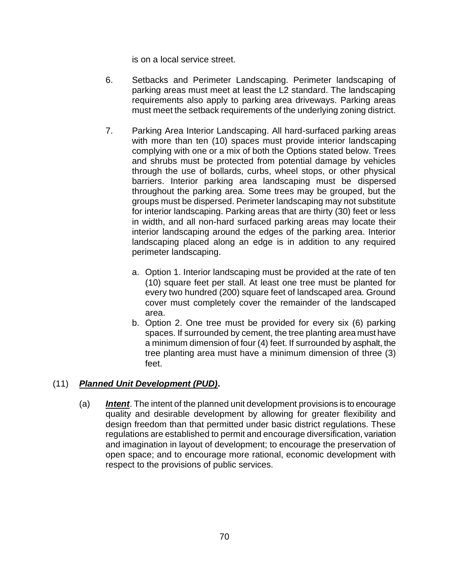is on a local service street.

- 6. Setbacks and Perimeter Landscaping. Perimeter landscaping of parking areas must meet at least the L2 standard. The landscaping requirements also apply to parking area driveways. Parking areas must meet the setback requirements of the underlying zoning district.
- 7. Parking Area Interior Landscaping. All hard-surfaced parking areas with more than ten (10) spaces must provide interior landscaping complying with one or a mix of both the Options stated below. Trees and shrubs must be protected from potential damage by vehicles through the use of bollards, curbs, wheel stops, or other physical barriers. Interior parking area landscaping must be dispersed throughout the parking area. Some trees may be grouped, but the groups must be dispersed. Perimeter landscaping may not substitute for interior landscaping. Parking areas that are thirty (30) feet or less in width, and all non-hard surfaced parking areas may locate their interior landscaping around the edges of the parking area. Interior landscaping placed along an edge is in addition to any required perimeter landscaping.
	- a. Option 1. Interior landscaping must be provided at the rate of ten (10) square feet per stall. At least one tree must be planted for every two hundred (200) square feet of landscaped area. Ground cover must completely cover the remainder of the landscaped area.
	- b. Option 2. One tree must be provided for every six (6) parking spaces. If surrounded by cement, the tree planting area must have a minimum dimension of four (4) feet. If surrounded by asphalt, the tree planting area must have a minimum dimension of three (3) feet.

## (11) *Planned Unit Development (PUD)***.**

(a) *Intent*. The intent of the planned unit development provisions is to encourage quality and desirable development by allowing for greater flexibility and design freedom than that permitted under basic district regulations. These regulations are established to permit and encourage diversification, variation and imagination in layout of development; to encourage the preservation of open space; and to encourage more rational, economic development with respect to the provisions of public services.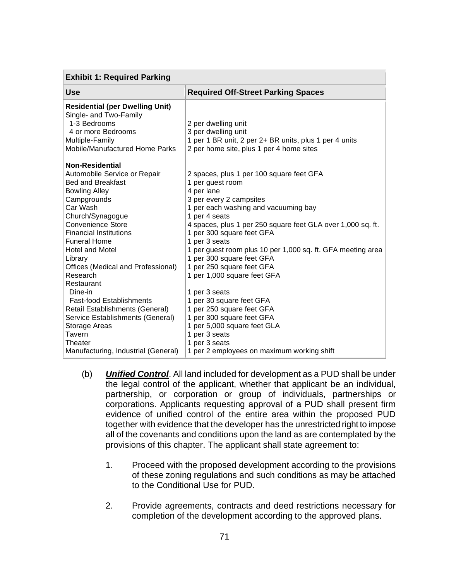| <b>Exhibit 1: Required Parking</b>                                                                                                                                                                                                                                                                                                                                                                                                                                                          |                                                                                                                                                                                                                                                                                                                                                                                                                                                                                                                                                                                            |  |
|---------------------------------------------------------------------------------------------------------------------------------------------------------------------------------------------------------------------------------------------------------------------------------------------------------------------------------------------------------------------------------------------------------------------------------------------------------------------------------------------|--------------------------------------------------------------------------------------------------------------------------------------------------------------------------------------------------------------------------------------------------------------------------------------------------------------------------------------------------------------------------------------------------------------------------------------------------------------------------------------------------------------------------------------------------------------------------------------------|--|
| <b>Use</b>                                                                                                                                                                                                                                                                                                                                                                                                                                                                                  | <b>Required Off-Street Parking Spaces</b>                                                                                                                                                                                                                                                                                                                                                                                                                                                                                                                                                  |  |
| <b>Residential (per Dwelling Unit)</b><br>Single- and Two-Family<br>1-3 Bedrooms<br>4 or more Bedrooms<br>Multiple-Family<br>Mobile/Manufactured Home Parks                                                                                                                                                                                                                                                                                                                                 | 2 per dwelling unit<br>3 per dwelling unit<br>1 per 1 BR unit, 2 per 2+ BR units, plus 1 per 4 units<br>2 per home site, plus 1 per 4 home sites                                                                                                                                                                                                                                                                                                                                                                                                                                           |  |
| <b>Non-Residential</b><br>Automobile Service or Repair<br><b>Bed and Breakfast</b><br><b>Bowling Alley</b><br>Campgrounds<br>Car Wash<br>Church/Synagogue<br>Convenience Store<br><b>Financial Institutions</b><br><b>Funeral Home</b><br><b>Hotel and Motel</b><br>Library<br>Offices (Medical and Professional)<br>Research<br>Restaurant<br>Dine-in<br><b>Fast-food Establishments</b><br>Retail Establishments (General)<br>Service Establishments (General)<br>Storage Areas<br>Tavern | 2 spaces, plus 1 per 100 square feet GFA<br>1 per guest room<br>4 per lane<br>3 per every 2 campsites<br>1 per each washing and vacuuming bay<br>1 per 4 seats<br>4 spaces, plus 1 per 250 square feet GLA over 1,000 sq. ft.<br>1 per 300 square feet GFA<br>1 per 3 seats<br>1 per guest room plus 10 per 1,000 sq. ft. GFA meeting area<br>1 per 300 square feet GFA<br>1 per 250 square feet GFA<br>1 per 1,000 square feet GFA<br>1 per 3 seats<br>1 per 30 square feet GFA<br>1 per 250 square feet GFA<br>1 per 300 square feet GFA<br>1 per 5,000 square feet GLA<br>1 per 3 seats |  |
| Theater<br>Manufacturing, Industrial (General)                                                                                                                                                                                                                                                                                                                                                                                                                                              | 1 per 3 seats<br>1 per 2 employees on maximum working shift                                                                                                                                                                                                                                                                                                                                                                                                                                                                                                                                |  |

- (b) *Unified Control*. All land included for development as a PUD shall be under the legal control of the applicant, whether that applicant be an individual, partnership, or corporation or group of individuals, partnerships or corporations. Applicants requesting approval of a PUD shall present firm evidence of unified control of the entire area within the proposed PUD together with evidence that the developer has the unrestricted right to impose all of the covenants and conditions upon the land as are contemplated by the provisions of this chapter. The applicant shall state agreement to:
	- 1. Proceed with the proposed development according to the provisions of these zoning regulations and such conditions as may be attached to the Conditional Use for PUD.
	- 2. Provide agreements, contracts and deed restrictions necessary for completion of the development according to the approved plans.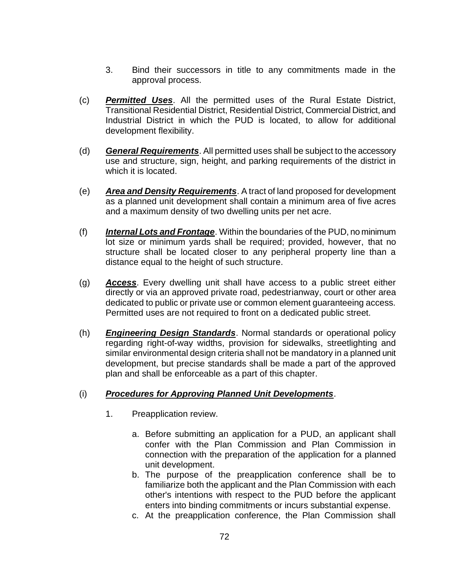- 3. Bind their successors in title to any commitments made in the approval process.
- (c) *Permitted Uses*. All the permitted uses of the Rural Estate District, Transitional Residential District, Residential District, Commercial District, and Industrial District in which the PUD is located, to allow for additional development flexibility.
- (d) *General Requirements*. All permitted uses shall be subject to the accessory use and structure, sign, height, and parking requirements of the district in which it is located.
- (e) *Area and Density Requirements*. A tract of land proposed for development as a planned unit development shall contain a minimum area of five acres and a maximum density of two dwelling units per net acre.
- (f) *Internal Lots and Frontage*. Within the boundaries of the PUD, no minimum lot size or minimum yards shall be required; provided, however, that no structure shall be located closer to any peripheral property line than a distance equal to the height of such structure.
- (g) *Access*. Every dwelling unit shall have access to a public street either directly or via an approved private road, pedestrianway, court or other area dedicated to public or private use or common element guaranteeing access. Permitted uses are not required to front on a dedicated public street.
- (h) *Engineering Design Standards*. Normal standards or operational policy regarding right-of-way widths, provision for sidewalks, streetlighting and similar environmental design criteria shall not be mandatory in a planned unit development, but precise standards shall be made a part of the approved plan and shall be enforceable as a part of this chapter.

#### (i) *Procedures for Approving Planned Unit Developments*.

- 1. Preapplication review.
	- a. Before submitting an application for a PUD, an applicant shall confer with the Plan Commission and Plan Commission in connection with the preparation of the application for a planned unit development.
	- b. The purpose of the preapplication conference shall be to familiarize both the applicant and the Plan Commission with each other's intentions with respect to the PUD before the applicant enters into binding commitments or incurs substantial expense.
	- c. At the preapplication conference, the Plan Commission shall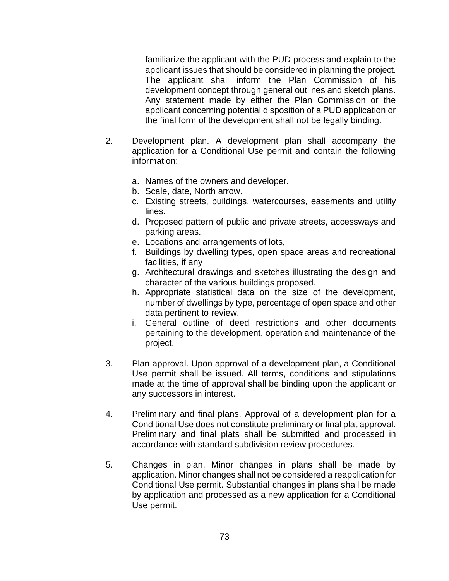familiarize the applicant with the PUD process and explain to the applicant issues that should be considered in planning the project. The applicant shall inform the Plan Commission of his development concept through general outlines and sketch plans. Any statement made by either the Plan Commission or the applicant concerning potential disposition of a PUD application or the final form of the development shall not be legally binding.

- 2. Development plan. A development plan shall accompany the application for a Conditional Use permit and contain the following information:
	- a. Names of the owners and developer.
	- b. Scale, date, North arrow.
	- c. Existing streets, buildings, watercourses, easements and utility lines.
	- d. Proposed pattern of public and private streets, accessways and parking areas.
	- e. Locations and arrangements of lots,
	- f. Buildings by dwelling types, open space areas and recreational facilities, if any
	- g. Architectural drawings and sketches illustrating the design and character of the various buildings proposed.
	- h. Appropriate statistical data on the size of the development, number of dwellings by type, percentage of open space and other data pertinent to review.
	- i. General outline of deed restrictions and other documents pertaining to the development, operation and maintenance of the project.
- 3. Plan approval. Upon approval of a development plan, a Conditional Use permit shall be issued. All terms, conditions and stipulations made at the time of approval shall be binding upon the applicant or any successors in interest.
- 4. Preliminary and final plans. Approval of a development plan for a Conditional Use does not constitute preliminary or final plat approval. Preliminary and final plats shall be submitted and processed in accordance with standard subdivision review procedures.
- 5. Changes in plan. Minor changes in plans shall be made by application. Minor changes shall not be considered a reapplication for Conditional Use permit. Substantial changes in plans shall be made by application and processed as a new application for a Conditional Use permit.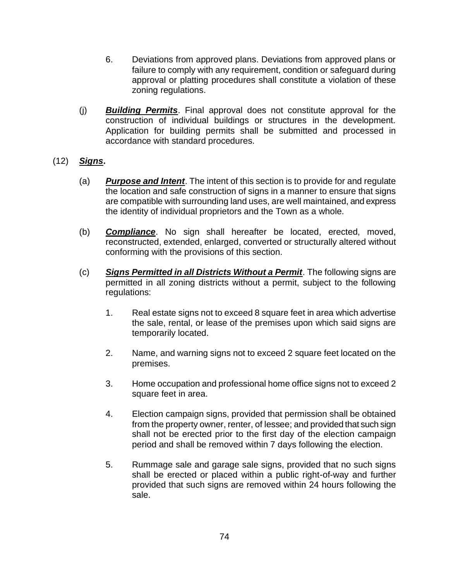- 6. Deviations from approved plans. Deviations from approved plans or failure to comply with any requirement, condition or safeguard during approval or platting procedures shall constitute a violation of these zoning regulations.
- (j) *Building Permits*. Final approval does not constitute approval for the construction of individual buildings or structures in the development. Application for building permits shall be submitted and processed in accordance with standard procedures.
- (12) *Signs***.**
	- (a) *Purpose and Intent*. The intent of this section is to provide for and regulate the location and safe construction of signs in a manner to ensure that signs are compatible with surrounding land uses, are well maintained, and express the identity of individual proprietors and the Town as a whole.
	- (b) *Compliance*. No sign shall hereafter be located, erected, moved, reconstructed, extended, enlarged, converted or structurally altered without conforming with the provisions of this section.
	- (c) *Signs Permitted in all Districts Without a Permit*. The following signs are permitted in all zoning districts without a permit, subject to the following regulations:
		- 1. Real estate signs not to exceed 8 square feet in area which advertise the sale, rental, or lease of the premises upon which said signs are temporarily located.
		- 2. Name, and warning signs not to exceed 2 square feet located on the premises.
		- 3. Home occupation and professional home office signs not to exceed 2 square feet in area.
		- 4. Election campaign signs, provided that permission shall be obtained from the property owner, renter, of lessee; and provided that such sign shall not be erected prior to the first day of the election campaign period and shall be removed within 7 days following the election.
		- 5. Rummage sale and garage sale signs, provided that no such signs shall be erected or placed within a public right-of-way and further provided that such signs are removed within 24 hours following the sale.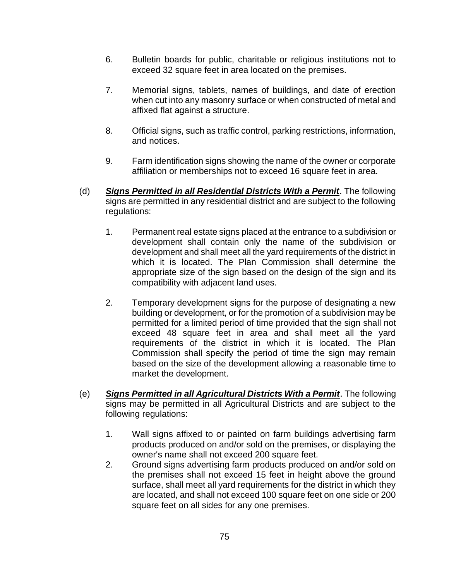- 6. Bulletin boards for public, charitable or religious institutions not to exceed 32 square feet in area located on the premises.
- 7. Memorial signs, tablets, names of buildings, and date of erection when cut into any masonry surface or when constructed of metal and affixed flat against a structure.
- 8. Official signs, such as traffic control, parking restrictions, information, and notices.
- 9. Farm identification signs showing the name of the owner or corporate affiliation or memberships not to exceed 16 square feet in area.
- (d) *Signs Permitted in all Residential Districts With a Permit*. The following signs are permitted in any residential district and are subject to the following regulations:
	- 1. Permanent real estate signs placed at the entrance to a subdivision or development shall contain only the name of the subdivision or development and shall meet all the yard requirements of the district in which it is located. The Plan Commission shall determine the appropriate size of the sign based on the design of the sign and its compatibility with adjacent land uses.
	- 2. Temporary development signs for the purpose of designating a new building or development, or for the promotion of a subdivision may be permitted for a limited period of time provided that the sign shall not exceed 48 square feet in area and shall meet all the yard requirements of the district in which it is located. The Plan Commission shall specify the period of time the sign may remain based on the size of the development allowing a reasonable time to market the development.
- (e) *Signs Permitted in all Agricultural Districts With a Permit*. The following signs may be permitted in all Agricultural Districts and are subject to the following regulations:
	- 1. Wall signs affixed to or painted on farm buildings advertising farm products produced on and/or sold on the premises, or displaying the owner's name shall not exceed 200 square feet.
	- 2. Ground signs advertising farm products produced on and/or sold on the premises shall not exceed 15 feet in height above the ground surface, shall meet all yard requirements for the district in which they are located, and shall not exceed 100 square feet on one side or 200 square feet on all sides for any one premises.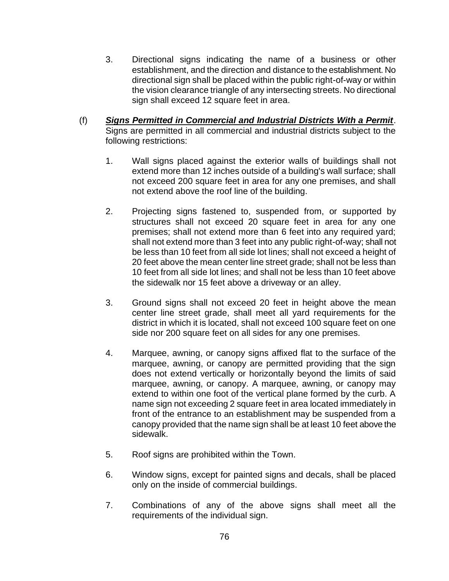- 3. Directional signs indicating the name of a business or other establishment, and the direction and distance to the establishment. No directional sign shall be placed within the public right-of-way or within the vision clearance triangle of any intersecting streets. No directional sign shall exceed 12 square feet in area.
- (f) *Signs Permitted in Commercial and Industrial Districts With a Permit*. Signs are permitted in all commercial and industrial districts subject to the following restrictions:
	- 1. Wall signs placed against the exterior walls of buildings shall not extend more than 12 inches outside of a building's wall surface; shall not exceed 200 square feet in area for any one premises, and shall not extend above the roof line of the building.
	- 2. Projecting signs fastened to, suspended from, or supported by structures shall not exceed 20 square feet in area for any one premises; shall not extend more than 6 feet into any required yard; shall not extend more than 3 feet into any public right-of-way; shall not be less than 10 feet from all side lot lines; shall not exceed a height of 20 feet above the mean center line street grade; shall not be less than 10 feet from all side lot lines; and shall not be less than 10 feet above the sidewalk nor 15 feet above a driveway or an alley.
	- 3. Ground signs shall not exceed 20 feet in height above the mean center line street grade, shall meet all yard requirements for the district in which it is located, shall not exceed 100 square feet on one side nor 200 square feet on all sides for any one premises.
	- 4. Marquee, awning, or canopy signs affixed flat to the surface of the marquee, awning, or canopy are permitted providing that the sign does not extend vertically or horizontally beyond the limits of said marquee, awning, or canopy. A marquee, awning, or canopy may extend to within one foot of the vertical plane formed by the curb. A name sign not exceeding 2 square feet in area located immediately in front of the entrance to an establishment may be suspended from a canopy provided that the name sign shall be at least 10 feet above the sidewalk.
	- 5. Roof signs are prohibited within the Town.
	- 6. Window signs, except for painted signs and decals, shall be placed only on the inside of commercial buildings.
	- 7. Combinations of any of the above signs shall meet all the requirements of the individual sign.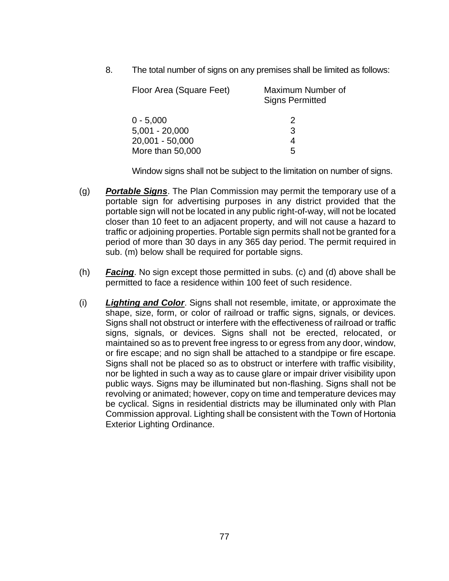8. The total number of signs on any premises shall be limited as follows:

| Floor Area (Square Feet) | Maximum Number of<br><b>Signs Permitted</b> |
|--------------------------|---------------------------------------------|
| $0 - 5,000$              | 2                                           |
| $5,001 - 20,000$         | 3                                           |
| 20,001 - 50,000          | 4                                           |
| More than 50,000         | 5                                           |

Window signs shall not be subject to the limitation on number of signs.

- (g) *Portable Signs*. The Plan Commission may permit the temporary use of a portable sign for advertising purposes in any district provided that the portable sign will not be located in any public right-of-way, will not be located closer than 10 feet to an adjacent property, and will not cause a hazard to traffic or adjoining properties. Portable sign permits shall not be granted for a period of more than 30 days in any 365 day period. The permit required in sub. (m) below shall be required for portable signs.
- (h) *Facing*. No sign except those permitted in subs. (c) and (d) above shall be permitted to face a residence within 100 feet of such residence.
- (i) *Lighting and Color*. Signs shall not resemble, imitate, or approximate the shape, size, form, or color of railroad or traffic signs, signals, or devices. Signs shall not obstruct or interfere with the effectiveness of railroad or traffic signs, signals, or devices. Signs shall not be erected, relocated, or maintained so as to prevent free ingress to or egress from any door, window, or fire escape; and no sign shall be attached to a standpipe or fire escape. Signs shall not be placed so as to obstruct or interfere with traffic visibility, nor be lighted in such a way as to cause glare or impair driver visibility upon public ways. Signs may be illuminated but non-flashing. Signs shall not be revolving or animated; however, copy on time and temperature devices may be cyclical. Signs in residential districts may be illuminated only with Plan Commission approval. Lighting shall be consistent with the Town of Hortonia Exterior Lighting Ordinance.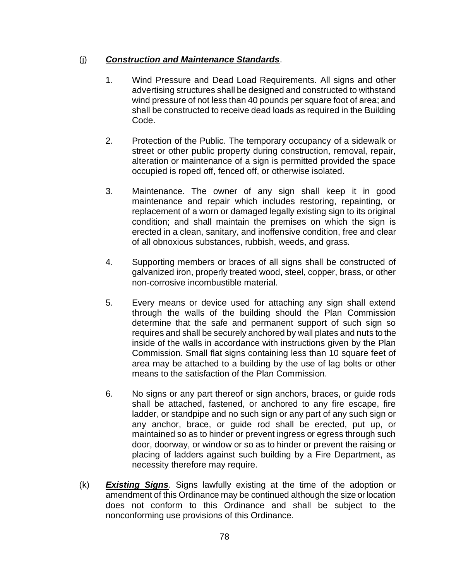### (j) *Construction and Maintenance Standards*.

- 1. Wind Pressure and Dead Load Requirements. All signs and other advertising structures shall be designed and constructed to withstand wind pressure of not less than 40 pounds per square foot of area; and shall be constructed to receive dead loads as required in the Building Code.
- 2. Protection of the Public. The temporary occupancy of a sidewalk or street or other public property during construction, removal, repair, alteration or maintenance of a sign is permitted provided the space occupied is roped off, fenced off, or otherwise isolated.
- 3. Maintenance. The owner of any sign shall keep it in good maintenance and repair which includes restoring, repainting, or replacement of a worn or damaged legally existing sign to its original condition; and shall maintain the premises on which the sign is erected in a clean, sanitary, and inoffensive condition, free and clear of all obnoxious substances, rubbish, weeds, and grass.
- 4. Supporting members or braces of all signs shall be constructed of galvanized iron, properly treated wood, steel, copper, brass, or other non-corrosive incombustible material.
- 5. Every means or device used for attaching any sign shall extend through the walls of the building should the Plan Commission determine that the safe and permanent support of such sign so requires and shall be securely anchored by wall plates and nuts to the inside of the walls in accordance with instructions given by the Plan Commission. Small flat signs containing less than 10 square feet of area may be attached to a building by the use of lag bolts or other means to the satisfaction of the Plan Commission.
- 6. No signs or any part thereof or sign anchors, braces, or guide rods shall be attached, fastened, or anchored to any fire escape, fire ladder, or standpipe and no such sign or any part of any such sign or any anchor, brace, or guide rod shall be erected, put up, or maintained so as to hinder or prevent ingress or egress through such door, doorway, or window or so as to hinder or prevent the raising or placing of ladders against such building by a Fire Department, as necessity therefore may require.
- (k) *Existing Signs*. Signs lawfully existing at the time of the adoption or amendment of this Ordinance may be continued although the size or location does not conform to this Ordinance and shall be subject to the nonconforming use provisions of this Ordinance.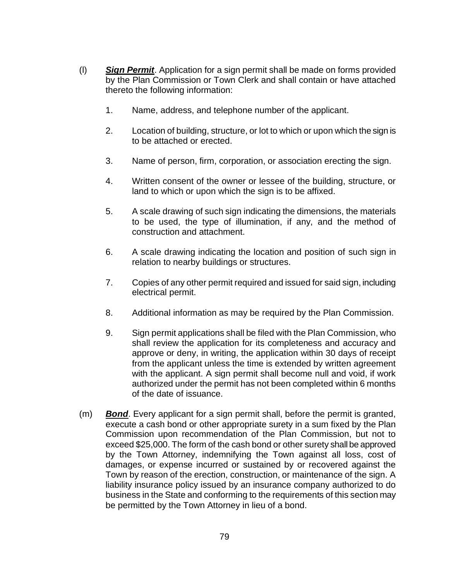- (l) *Sign Permit*. Application for a sign permit shall be made on forms provided by the Plan Commission or Town Clerk and shall contain or have attached thereto the following information:
	- 1. Name, address, and telephone number of the applicant.
	- 2. Location of building, structure, or lot to which or upon which the sign is to be attached or erected.
	- 3. Name of person, firm, corporation, or association erecting the sign.
	- 4. Written consent of the owner or lessee of the building, structure, or land to which or upon which the sign is to be affixed.
	- 5. A scale drawing of such sign indicating the dimensions, the materials to be used, the type of illumination, if any, and the method of construction and attachment.
	- 6. A scale drawing indicating the location and position of such sign in relation to nearby buildings or structures.
	- 7. Copies of any other permit required and issued for said sign, including electrical permit.
	- 8. Additional information as may be required by the Plan Commission.
	- 9. Sign permit applications shall be filed with the Plan Commission, who shall review the application for its completeness and accuracy and approve or deny, in writing, the application within 30 days of receipt from the applicant unless the time is extended by written agreement with the applicant. A sign permit shall become null and void, if work authorized under the permit has not been completed within 6 months of the date of issuance.
- (m) *Bond*. Every applicant for a sign permit shall, before the permit is granted, execute a cash bond or other appropriate surety in a sum fixed by the Plan Commission upon recommendation of the Plan Commission, but not to exceed \$25,000. The form of the cash bond or other surety shall be approved by the Town Attorney, indemnifying the Town against all loss, cost of damages, or expense incurred or sustained by or recovered against the Town by reason of the erection, construction, or maintenance of the sign. A liability insurance policy issued by an insurance company authorized to do business in the State and conforming to the requirements of this section may be permitted by the Town Attorney in lieu of a bond.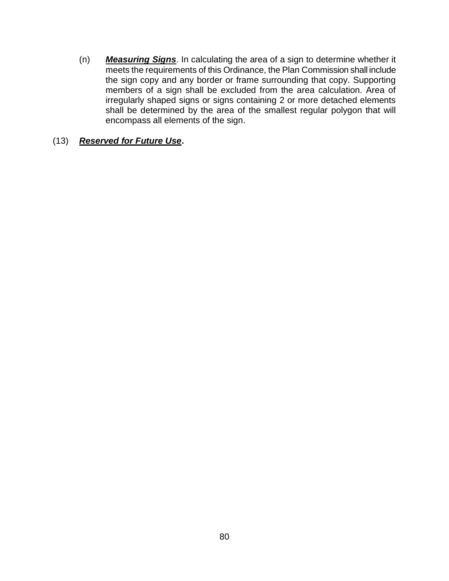(n) *Measuring Signs*. In calculating the area of a sign to determine whether it meets the requirements of this Ordinance, the Plan Commission shall include the sign copy and any border or frame surrounding that copy. Supporting members of a sign shall be excluded from the area calculation. Area of irregularly shaped signs or signs containing 2 or more detached elements shall be determined by the area of the smallest regular polygon that will encompass all elements of the sign.

#### (13) *Reserved for Future Use***.**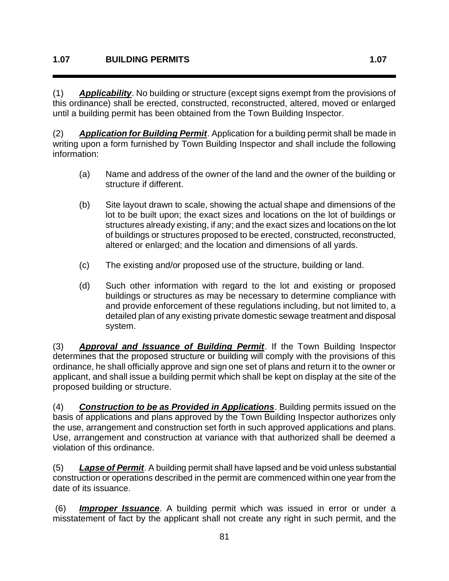(1) *Applicability*. No building or structure (except signs exempt from the provisions of this ordinance) shall be erected, constructed, reconstructed, altered, moved or enlarged until a building permit has been obtained from the Town Building Inspector.

(2) *Application for Building Permit*. Application for a building permit shall be made in writing upon a form furnished by Town Building Inspector and shall include the following information:

- (a) Name and address of the owner of the land and the owner of the building or structure if different.
- (b) Site layout drawn to scale, showing the actual shape and dimensions of the lot to be built upon; the exact sizes and locations on the lot of buildings or structures already existing, if any; and the exact sizes and locations on the lot of buildings or structures proposed to be erected, constructed, reconstructed, altered or enlarged; and the location and dimensions of all yards.
- (c) The existing and/or proposed use of the structure, building or land.
- (d) Such other information with regard to the lot and existing or proposed buildings or structures as may be necessary to determine compliance with and provide enforcement of these regulations including, but not limited to, a detailed plan of any existing private domestic sewage treatment and disposal system.

(3) *Approval and Issuance of Building Permit*. If the Town Building Inspector determines that the proposed structure or building will comply with the provisions of this ordinance, he shall officially approve and sign one set of plans and return it to the owner or applicant, and shall issue a building permit which shall be kept on display at the site of the proposed building or structure.

(4) *Construction to be as Provided in Applications*. Building permits issued on the basis of applications and plans approved by the Town Building Inspector authorizes only the use, arrangement and construction set forth in such approved applications and plans. Use, arrangement and construction at variance with that authorized shall be deemed a violation of this ordinance.

(5) *Lapse of Permit*. A building permit shall have lapsed and be void unless substantial construction or operations described in the permit are commenced within one year from the date of its issuance.

(6) *Improper Issuance*. A building permit which was issued in error or under a misstatement of fact by the applicant shall not create any right in such permit, and the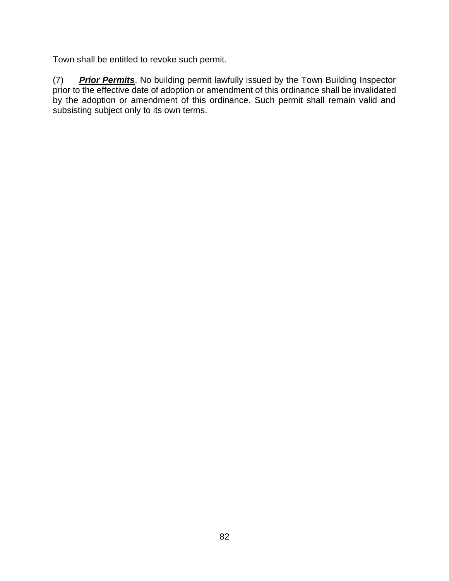Town shall be entitled to revoke such permit.

(7) *Prior Permits*. No building permit lawfully issued by the Town Building Inspector prior to the effective date of adoption or amendment of this ordinance shall be invalidated by the adoption or amendment of this ordinance. Such permit shall remain valid and subsisting subject only to its own terms.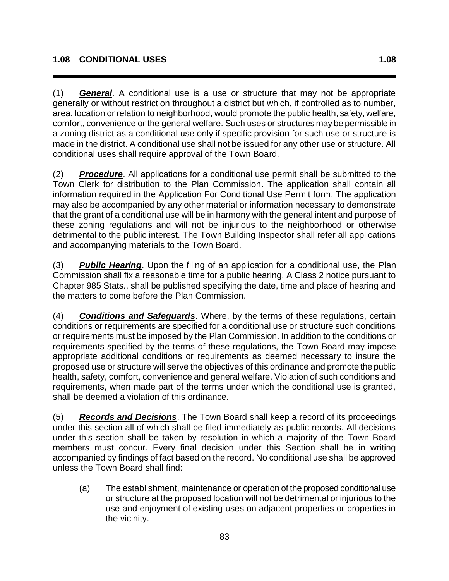(1) *General*. A conditional use is a use or structure that may not be appropriate generally or without restriction throughout a district but which, if controlled as to number, area, location or relation to neighborhood, would promote the public health, safety, welfare, comfort, convenience or the general welfare. Such uses or structures may be permissible in a zoning district as a conditional use only if specific provision for such use or structure is made in the district. A conditional use shall not be issued for any other use or structure. All conditional uses shall require approval of the Town Board.

(2) *Procedure*. All applications for a conditional use permit shall be submitted to the Town Clerk for distribution to the Plan Commission. The application shall contain all information required in the Application For Conditional Use Permit form. The application may also be accompanied by any other material or information necessary to demonstrate that the grant of a conditional use will be in harmony with the general intent and purpose of these zoning regulations and will not be injurious to the neighborhood or otherwise detrimental to the public interest. The Town Building Inspector shall refer all applications and accompanying materials to the Town Board.

(3) *Public Hearing*. Upon the filing of an application for a conditional use, the Plan Commission shall fix a reasonable time for a public hearing. A Class 2 notice pursuant to Chapter 985 Stats., shall be published specifying the date, time and place of hearing and the matters to come before the Plan Commission.

(4) *Conditions and Safeguards*. Where, by the terms of these regulations, certain conditions or requirements are specified for a conditional use or structure such conditions or requirements must be imposed by the Plan Commission. In addition to the conditions or requirements specified by the terms of these regulations, the Town Board may impose appropriate additional conditions or requirements as deemed necessary to insure the proposed use or structure will serve the objectives of this ordinance and promote the public health, safety, comfort, convenience and general welfare. Violation of such conditions and requirements, when made part of the terms under which the conditional use is granted, shall be deemed a violation of this ordinance.

(5) *Records and Decisions*. The Town Board shall keep a record of its proceedings under this section all of which shall be filed immediately as public records. All decisions under this section shall be taken by resolution in which a majority of the Town Board members must concur. Every final decision under this Section shall be in writing accompanied by findings of fact based on the record. No conditional use shall be approved unless the Town Board shall find:

(a) The establishment, maintenance or operation of the proposed conditional use or structure at the proposed location will not be detrimental or injurious to the use and enjoyment of existing uses on adjacent properties or properties in the vicinity.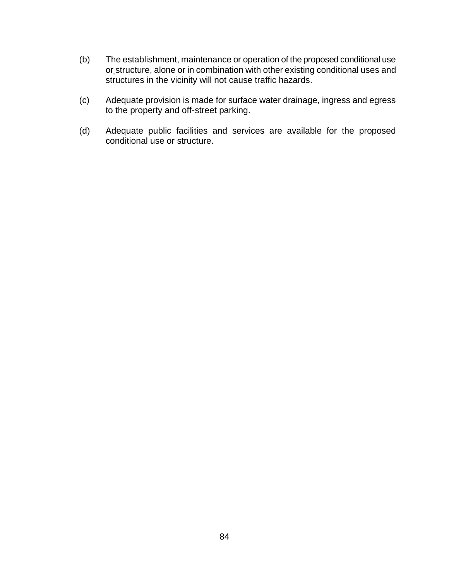- (b) The establishment, maintenance or operation of the proposed conditional use or structure, alone or in combination with other existing conditional uses and structures in the vicinity will not cause traffic hazards.
- (c) Adequate provision is made for surface water drainage, ingress and egress to the property and off-street parking.
- (d) Adequate public facilities and services are available for the proposed conditional use or structure.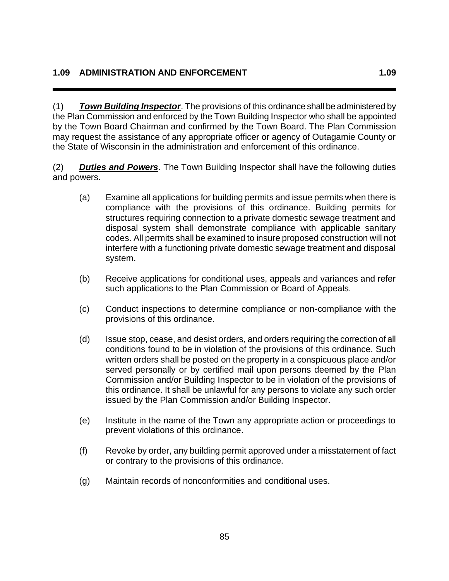(1) *Town Building Inspector*. The provisions of this ordinance shall be administered by the Plan Commission and enforced by the Town Building Inspector who shall be appointed by the Town Board Chairman and confirmed by the Town Board. The Plan Commission may request the assistance of any appropriate officer or agency of Outagamie County or the State of Wisconsin in the administration and enforcement of this ordinance.

(2) *Duties and Powers*. The Town Building Inspector shall have the following duties and powers.

- (a) Examine all applications for building permits and issue permits when there is compliance with the provisions of this ordinance. Building permits for structures requiring connection to a private domestic sewage treatment and disposal system shall demonstrate compliance with applicable sanitary codes. All permits shall be examined to insure proposed construction will not interfere with a functioning private domestic sewage treatment and disposal system.
- (b) Receive applications for conditional uses, appeals and variances and refer such applications to the Plan Commission or Board of Appeals.
- (c) Conduct inspections to determine compliance or non-compliance with the provisions of this ordinance.
- (d) Issue stop, cease, and desist orders, and orders requiring the correction of all conditions found to be in violation of the provisions of this ordinance. Such written orders shall be posted on the property in a conspicuous place and/or served personally or by certified mail upon persons deemed by the Plan Commission and/or Building Inspector to be in violation of the provisions of this ordinance. It shall be unlawful for any persons to violate any such order issued by the Plan Commission and/or Building Inspector.
- (e) Institute in the name of the Town any appropriate action or proceedings to prevent violations of this ordinance.
- (f) Revoke by order, any building permit approved under a misstatement of fact or contrary to the provisions of this ordinance.
- (g) Maintain records of nonconformities and conditional uses.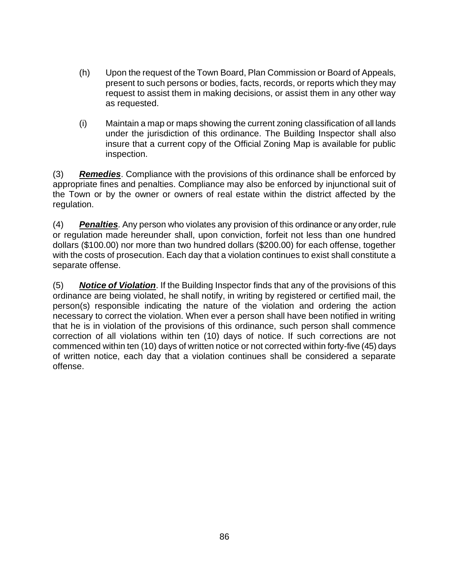- (h) Upon the request of the Town Board, Plan Commission or Board of Appeals, present to such persons or bodies, facts, records, or reports which they may request to assist them in making decisions, or assist them in any other way as requested.
- (i) Maintain a map or maps showing the current zoning classification of all lands under the jurisdiction of this ordinance. The Building Inspector shall also insure that a current copy of the Official Zoning Map is available for public inspection.

(3) *Remedies*. Compliance with the provisions of this ordinance shall be enforced by appropriate fines and penalties. Compliance may also be enforced by injunctional suit of the Town or by the owner or owners of real estate within the district affected by the regulation.

(4) *Penalties*. Any person who violates any provision of this ordinance or any order, rule or regulation made hereunder shall, upon conviction, forfeit not less than one hundred dollars (\$100.00) nor more than two hundred dollars (\$200.00) for each offense, together with the costs of prosecution. Each day that a violation continues to exist shall constitute a separate offense.

(5) *Notice of Violation*. If the Building Inspector finds that any of the provisions of this ordinance are being violated, he shall notify, in writing by registered or certified mail, the person(s) responsible indicating the nature of the violation and ordering the action necessary to correct the violation. When ever a person shall have been notified in writing that he is in violation of the provisions of this ordinance, such person shall commence correction of all violations within ten (10) days of notice. If such corrections are not commenced within ten (10) days of written notice or not corrected within forty-five (45) days of written notice, each day that a violation continues shall be considered a separate offense.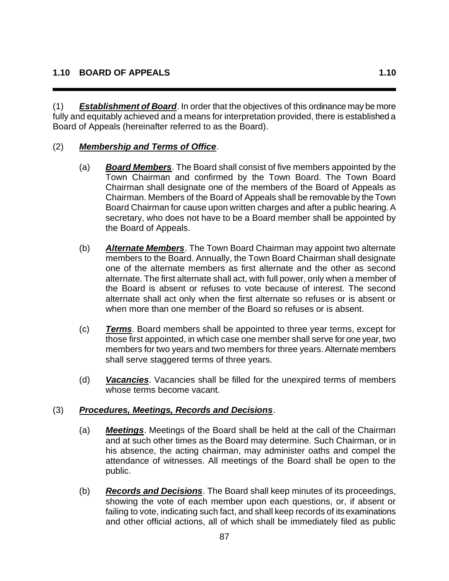(1) *Establishment of Board*. In order that the objectives of this ordinance may be more fully and equitably achieved and a means for interpretation provided, there is established a Board of Appeals (hereinafter referred to as the Board).

#### (2) *Membership and Terms of Office*.

- (a) *Board Members*. The Board shall consist of five members appointed by the Town Chairman and confirmed by the Town Board. The Town Board Chairman shall designate one of the members of the Board of Appeals as Chairman. Members of the Board of Appeals shall be removable by the Town Board Chairman for cause upon written charges and after a public hearing. A secretary, who does not have to be a Board member shall be appointed by the Board of Appeals.
- (b) *Alternate Members*. The Town Board Chairman may appoint two alternate members to the Board. Annually, the Town Board Chairman shall designate one of the alternate members as first alternate and the other as second alternate. The first alternate shall act, with full power, only when a member of the Board is absent or refuses to vote because of interest. The second alternate shall act only when the first alternate so refuses or is absent or when more than one member of the Board so refuses or is absent.
- (c) *Terms*. Board members shall be appointed to three year terms, except for those first appointed, in which case one member shall serve for one year, two members for two years and two members for three years. Alternate members shall serve staggered terms of three years.
- (d) *Vacancies*. Vacancies shall be filled for the unexpired terms of members whose terms become vacant.

#### (3) *Procedures, Meetings, Records and Decisions*.

- (a) *Meetings*. Meetings of the Board shall be held at the call of the Chairman and at such other times as the Board may determine. Such Chairman, or in his absence, the acting chairman, may administer oaths and compel the attendance of witnesses. All meetings of the Board shall be open to the public.
- (b) *Records and Decisions*. The Board shall keep minutes of its proceedings, showing the vote of each member upon each questions, or, if absent or failing to vote, indicating such fact, and shall keep records of its examinations and other official actions, all of which shall be immediately filed as public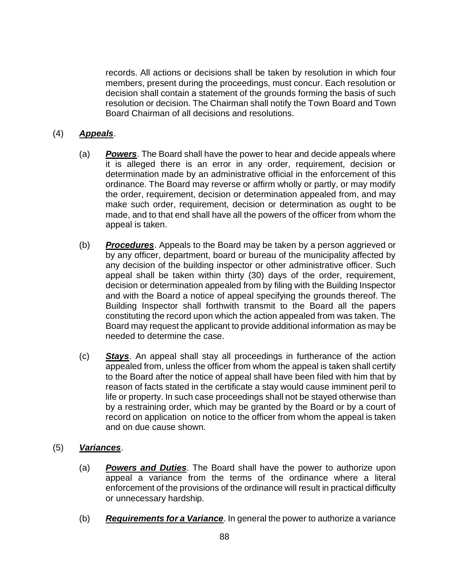records. All actions or decisions shall be taken by resolution in which four members, present during the proceedings, must concur. Each resolution or decision shall contain a statement of the grounds forming the basis of such resolution or decision. The Chairman shall notify the Town Board and Town Board Chairman of all decisions and resolutions.

## (4) *Appeals*.

- (a) *Powers*. The Board shall have the power to hear and decide appeals where it is alleged there is an error in any order, requirement, decision or determination made by an administrative official in the enforcement of this ordinance. The Board may reverse or affirm wholly or partly, or may modify the order, requirement, decision or determination appealed from, and may make such order, requirement, decision or determination as ought to be made, and to that end shall have all the powers of the officer from whom the appeal is taken.
- (b) *Procedures*. Appeals to the Board may be taken by a person aggrieved or by any officer, department, board or bureau of the municipality affected by any decision of the building inspector or other administrative officer. Such appeal shall be taken within thirty (30) days of the order, requirement, decision or determination appealed from by filing with the Building Inspector and with the Board a notice of appeal specifying the grounds thereof. The Building Inspector shall forthwith transmit to the Board all the papers constituting the record upon which the action appealed from was taken. The Board may request the applicant to provide additional information as may be needed to determine the case.
- (c) *Stays*. An appeal shall stay all proceedings in furtherance of the action appealed from, unless the officer from whom the appeal is taken shall certify to the Board after the notice of appeal shall have been filed with him that by reason of facts stated in the certificate a stay would cause imminent peril to life or property. In such case proceedings shall not be stayed otherwise than by a restraining order, which may be granted by the Board or by a court of record on application on notice to the officer from whom the appeal is taken and on due cause shown.

## (5) *Variances*.

- (a) *Powers and Duties*. The Board shall have the power to authorize upon appeal a variance from the terms of the ordinance where a literal enforcement of the provisions of the ordinance will result in practical difficulty or unnecessary hardship.
- (b) *Requirements for a Variance*. In general the power to authorize a variance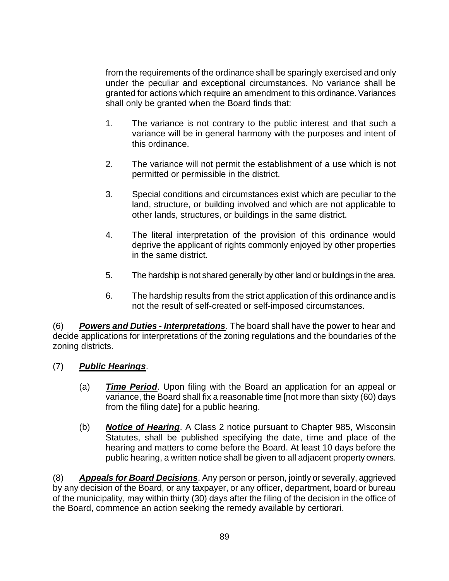from the requirements of the ordinance shall be sparingly exercised and only under the peculiar and exceptional circumstances. No variance shall be granted for actions which require an amendment to this ordinance. Variances shall only be granted when the Board finds that:

- 1. The variance is not contrary to the public interest and that such a variance will be in general harmony with the purposes and intent of this ordinance.
- 2. The variance will not permit the establishment of a use which is not permitted or permissible in the district.
- 3. Special conditions and circumstances exist which are peculiar to the land, structure, or building involved and which are not applicable to other lands, structures, or buildings in the same district.
- 4. The literal interpretation of the provision of this ordinance would deprive the applicant of rights commonly enjoyed by other properties in the same district.
- 5. The hardship is not shared generally by other land or buildings in the area.
- 6. The hardship results from the strict application of this ordinance and is not the result of self-created or self-imposed circumstances.

(6) *Powers and Duties - Interpretations*. The board shall have the power to hear and decide applications for interpretations of the zoning regulations and the boundaries of the zoning districts.

- (7) *Public Hearings*.
	- (a) *Time Period*. Upon filing with the Board an application for an appeal or variance, the Board shall fix a reasonable time [not more than sixty (60) days from the filing date] for a public hearing.
	- (b) *Notice of Hearing*. A Class 2 notice pursuant to Chapter 985, Wisconsin Statutes, shall be published specifying the date, time and place of the hearing and matters to come before the Board. At least 10 days before the public hearing, a written notice shall be given to all adjacent property owners.

(8) *Appeals for Board Decisions*. Any person or person, jointly or severally, aggrieved by any decision of the Board, or any taxpayer, or any officer, department, board or bureau of the municipality, may within thirty (30) days after the filing of the decision in the office of the Board, commence an action seeking the remedy available by certiorari.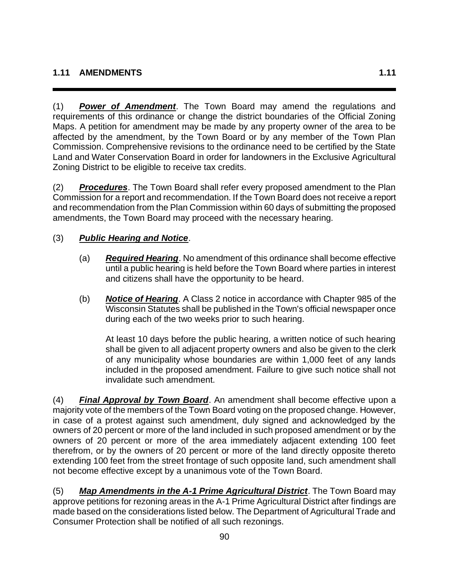(1) *Power of Amendment*. The Town Board may amend the regulations and requirements of this ordinance or change the district boundaries of the Official Zoning Maps. A petition for amendment may be made by any property owner of the area to be affected by the amendment, by the Town Board or by any member of the Town Plan Commission. Comprehensive revisions to the ordinance need to be certified by the State Land and Water Conservation Board in order for landowners in the Exclusive Agricultural Zoning District to be eligible to receive tax credits.

(2) *Procedures*. The Town Board shall refer every proposed amendment to the Plan Commission for a report and recommendation. If the Town Board does not receive a report and recommendation from the Plan Commission within 60 days of submitting the proposed amendments, the Town Board may proceed with the necessary hearing.

# (3) *Public Hearing and Notice*.

- (a) *Required Hearing*. No amendment of this ordinance shall become effective until a public hearing is held before the Town Board where parties in interest and citizens shall have the opportunity to be heard.
- (b) *Notice of Hearing*. A Class 2 notice in accordance with Chapter 985 of the Wisconsin Statutes shall be published in the Town's official newspaper once during each of the two weeks prior to such hearing.

At least 10 days before the public hearing, a written notice of such hearing shall be given to all adjacent property owners and also be given to the clerk of any municipality whose boundaries are within 1,000 feet of any lands included in the proposed amendment. Failure to give such notice shall not invalidate such amendment.

(4) *Final Approval by Town Board*. An amendment shall become effective upon a majority vote of the members of the Town Board voting on the proposed change. However, in case of a protest against such amendment, duly signed and acknowledged by the owners of 20 percent or more of the land included in such proposed amendment or by the owners of 20 percent or more of the area immediately adjacent extending 100 feet therefrom, or by the owners of 20 percent or more of the land directly opposite thereto extending 100 feet from the street frontage of such opposite land, such amendment shall not become effective except by a unanimous vote of the Town Board.

(5) *Map Amendments in the A-1 Prime Agricultural District*. The Town Board may approve petitions for rezoning areas in the A-1 Prime Agricultural District after findings are made based on the considerations listed below. The Department of Agricultural Trade and Consumer Protection shall be notified of all such rezonings.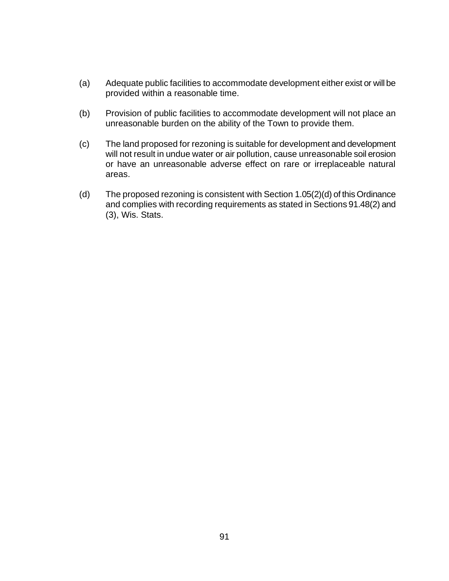- (a) Adequate public facilities to accommodate development either exist or will be provided within a reasonable time.
- (b) Provision of public facilities to accommodate development will not place an unreasonable burden on the ability of the Town to provide them.
- (c) The land proposed for rezoning is suitable for development and development will not result in undue water or air pollution, cause unreasonable soil erosion or have an unreasonable adverse effect on rare or irreplaceable natural areas.
- (d) The proposed rezoning is consistent with Section 1.05(2)(d) of this Ordinance and complies with recording requirements as stated in Sections 91.48(2) and (3), Wis. Stats.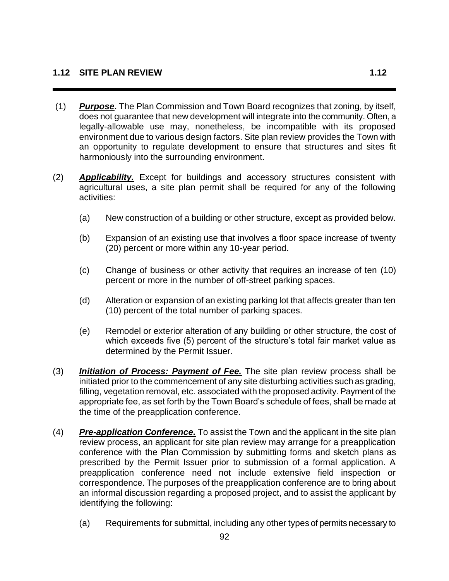- (1) *Purpose.* The Plan Commission and Town Board recognizes that zoning, by itself, does not guarantee that new development will integrate into the community. Often, a legally-allowable use may, nonetheless, be incompatible with its proposed environment due to various design factors. Site plan review provides the Town with an opportunity to regulate development to ensure that structures and sites fit harmoniously into the surrounding environment.
- (2) *Applicability.* Except for buildings and accessory structures consistent with agricultural uses, a site plan permit shall be required for any of the following activities:
	- (a) New construction of a building or other structure, except as provided below.
	- (b) Expansion of an existing use that involves a floor space increase of twenty (20) percent or more within any 10-year period.
	- (c) Change of business or other activity that requires an increase of ten (10) percent or more in the number of off-street parking spaces.
	- (d) Alteration or expansion of an existing parking lot that affects greater than ten (10) percent of the total number of parking spaces.
	- (e) Remodel or exterior alteration of any building or other structure, the cost of which exceeds five (5) percent of the structure's total fair market value as determined by the Permit Issuer.
- (3) *Initiation of Process: Payment of Fee.* The site plan review process shall be initiated prior to the commencement of any site disturbing activities such as grading, filling, vegetation removal, etc. associated with the proposed activity. Payment of the appropriate fee, as set forth by the Town Board's schedule of fees, shall be made at the time of the preapplication conference.
- (4) *Pre-application Conference.* To assist the Town and the applicant in the site plan review process, an applicant for site plan review may arrange for a preapplication conference with the Plan Commission by submitting forms and sketch plans as prescribed by the Permit Issuer prior to submission of a formal application. A preapplication conference need not include extensive field inspection or correspondence. The purposes of the preapplication conference are to bring about an informal discussion regarding a proposed project, and to assist the applicant by identifying the following:
	- (a) Requirements for submittal, including any other types of permits necessary to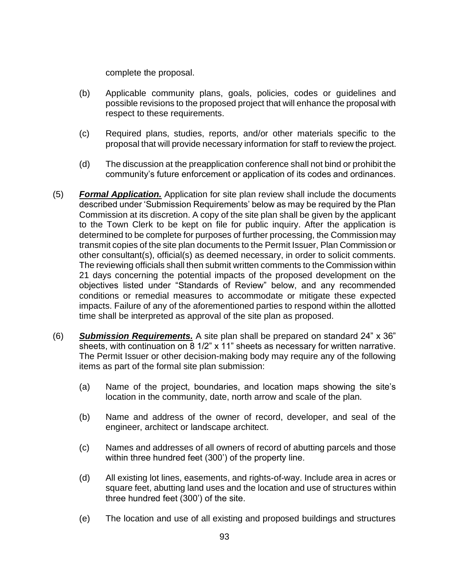complete the proposal.

- (b) Applicable community plans, goals, policies, codes or guidelines and possible revisions to the proposed project that will enhance the proposal with respect to these requirements.
- (c) Required plans, studies, reports, and/or other materials specific to the proposal that will provide necessary information for staff to review the project.
- (d) The discussion at the preapplication conference shall not bind or prohibit the community's future enforcement or application of its codes and ordinances.
- (5) *Formal Application.* Application for site plan review shall include the documents described under 'Submission Requirements' below as may be required by the Plan Commission at its discretion. A copy of the site plan shall be given by the applicant to the Town Clerk to be kept on file for public inquiry. After the application is determined to be complete for purposes of further processing, the Commission may transmit copies of the site plan documents to the Permit Issuer, Plan Commission or other consultant(s), official(s) as deemed necessary, in order to solicit comments. The reviewing officials shall then submit written comments to the Commission within 21 days concerning the potential impacts of the proposed development on the objectives listed under "Standards of Review" below, and any recommended conditions or remedial measures to accommodate or mitigate these expected impacts. Failure of any of the aforementioned parties to respond within the allotted time shall be interpreted as approval of the site plan as proposed.
- (6) *Submission Requirements.* A site plan shall be prepared on standard 24" x 36" sheets, with continuation on 8 1/2" x 11" sheets as necessary for written narrative. The Permit Issuer or other decision-making body may require any of the following items as part of the formal site plan submission:
	- (a) Name of the project, boundaries, and location maps showing the site's location in the community, date, north arrow and scale of the plan.
	- (b) Name and address of the owner of record, developer, and seal of the engineer, architect or landscape architect.
	- (c) Names and addresses of all owners of record of abutting parcels and those within three hundred feet (300') of the property line.
	- (d) All existing lot lines, easements, and rights-of-way. Include area in acres or square feet, abutting land uses and the location and use of structures within three hundred feet (300') of the site.
	- (e) The location and use of all existing and proposed buildings and structures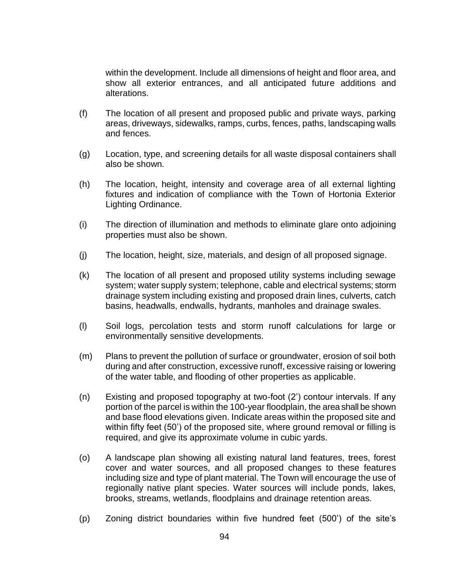within the development. Include all dimensions of height and floor area, and show all exterior entrances, and all anticipated future additions and alterations.

- (f) The location of all present and proposed public and private ways, parking areas, driveways, sidewalks, ramps, curbs, fences, paths, landscaping walls and fences.
- (g) Location, type, and screening details for all waste disposal containers shall also be shown.
- (h) The location, height, intensity and coverage area of all external lighting fixtures and indication of compliance with the Town of Hortonia Exterior Lighting Ordinance.
- (i) The direction of illumination and methods to eliminate glare onto adjoining properties must also be shown.
- (j) The location, height, size, materials, and design of all proposed signage.
- (k) The location of all present and proposed utility systems including sewage system; water supply system; telephone, cable and electrical systems; storm drainage system including existing and proposed drain lines, culverts, catch basins, headwalls, endwalls, hydrants, manholes and drainage swales.
- (l) Soil logs, percolation tests and storm runoff calculations for large or environmentally sensitive developments.
- (m) Plans to prevent the pollution of surface or groundwater, erosion of soil both during and after construction, excessive runoff, excessive raising or lowering of the water table, and flooding of other properties as applicable.
- (n) Existing and proposed topography at two-foot (2') contour intervals. If any portion of the parcel is within the 100-year floodplain, the area shall be shown and base flood elevations given. Indicate areas within the proposed site and within fifty feet (50') of the proposed site, where ground removal or filling is required, and give its approximate volume in cubic yards.
- (o) A landscape plan showing all existing natural land features, trees, forest cover and water sources, and all proposed changes to these features including size and type of plant material. The Town will encourage the use of regionally native plant species. Water sources will include ponds, lakes, brooks, streams, wetlands, floodplains and drainage retention areas.
- (p) Zoning district boundaries within five hundred feet (500') of the site's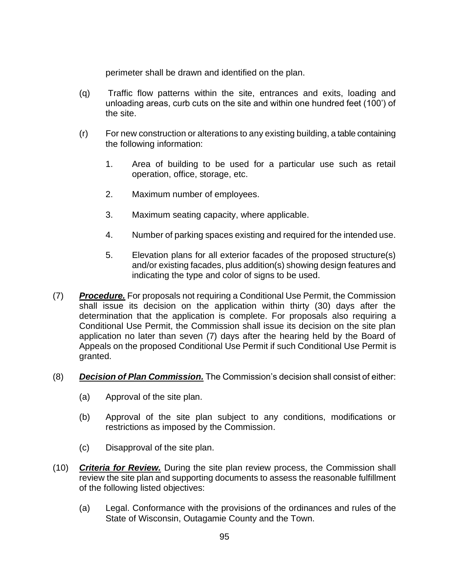perimeter shall be drawn and identified on the plan.

- (q) Traffic flow patterns within the site, entrances and exits, loading and unloading areas, curb cuts on the site and within one hundred feet (100') of the site.
- (r) For new construction or alterations to any existing building, a table containing the following information:
	- 1. Area of building to be used for a particular use such as retail operation, office, storage, etc.
	- 2. Maximum number of employees.
	- 3. Maximum seating capacity, where applicable.
	- 4. Number of parking spaces existing and required for the intended use.
	- 5. Elevation plans for all exterior facades of the proposed structure(s) and/or existing facades, plus addition(s) showing design features and indicating the type and color of signs to be used.
- (7) *Procedure.* For proposals not requiring a Conditional Use Permit, the Commission shall issue its decision on the application within thirty (30) days after the determination that the application is complete. For proposals also requiring a Conditional Use Permit, the Commission shall issue its decision on the site plan application no later than seven (7) days after the hearing held by the Board of Appeals on the proposed Conditional Use Permit if such Conditional Use Permit is granted.
- (8) *Decision of Plan Commission.* The Commission's decision shall consist of either:
	- (a) Approval of the site plan.
	- (b) Approval of the site plan subject to any conditions, modifications or restrictions as imposed by the Commission.
	- (c) Disapproval of the site plan.
- (10) *Criteria for Review.* During the site plan review process, the Commission shall review the site plan and supporting documents to assess the reasonable fulfillment of the following listed objectives:
	- (a) Legal. Conformance with the provisions of the ordinances and rules of the State of Wisconsin, Outagamie County and the Town.